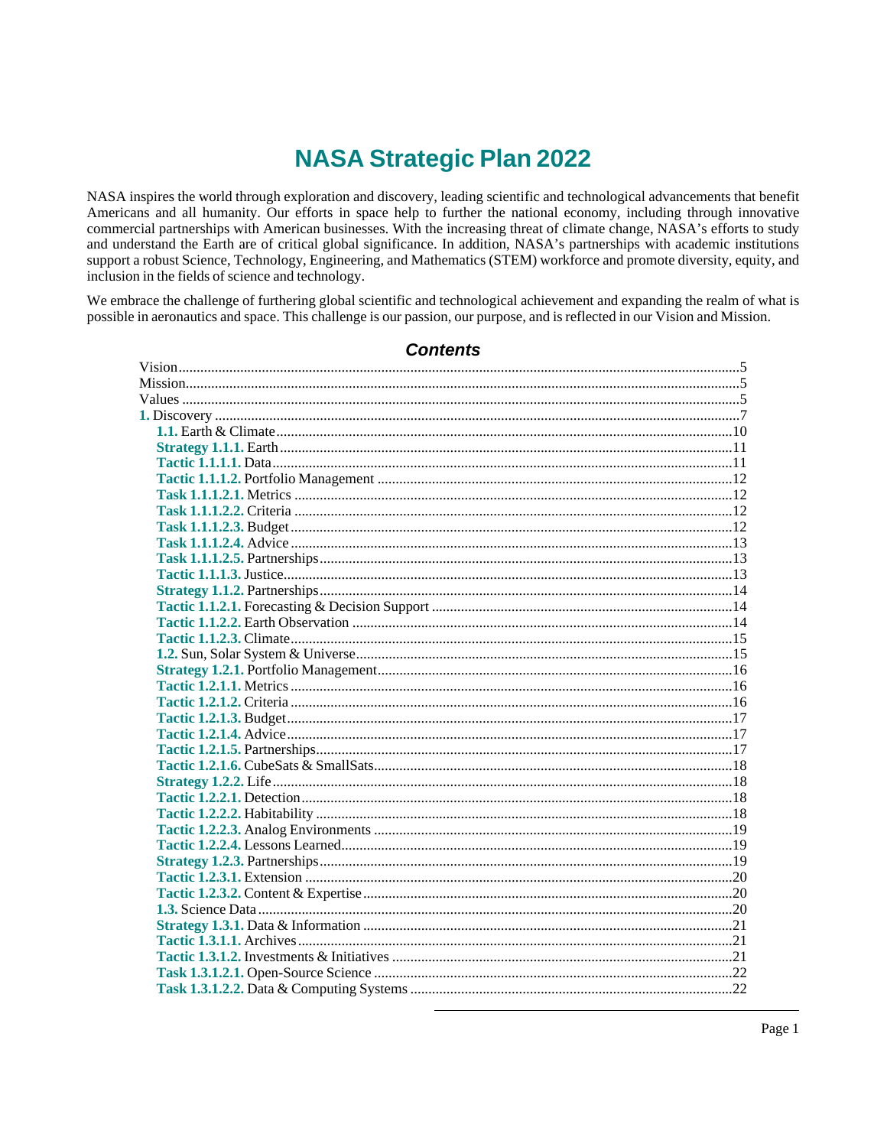# **NASA Strategic Plan 2022**

NASA inspires the world through exploration and discovery, leading scientific and technological advancements that benefit Americans and all humanity. Our efforts in space help to further the national economy, including through innovative commercial partnerships with American businesses. With the increasing threat of climate change, NASA's efforts to study and understand the Earth are of critical global significance. In addition, NASA's partnerships with academic institutions support a robust Science, Technology, Engineering, and Mathematics (STEM) workforce and promote diversity, equity, and inclusion in the fields of science and technology.

We embrace the challenge of furthering global scientific and technological achievement and expanding the realm of what is possible in aeronautics and space. This challenge is our passion, our purpose, and is reflected in our Vision and Mission.

## **Contents**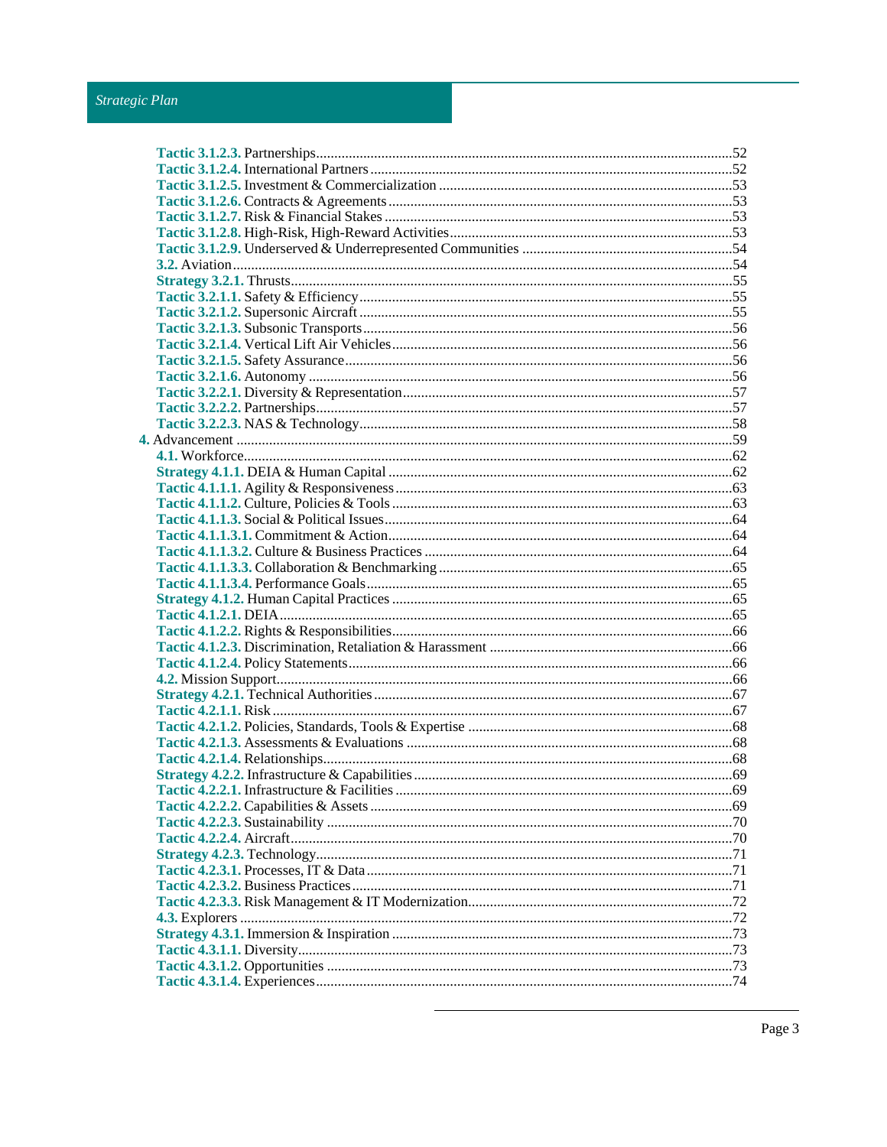## Strategic Plan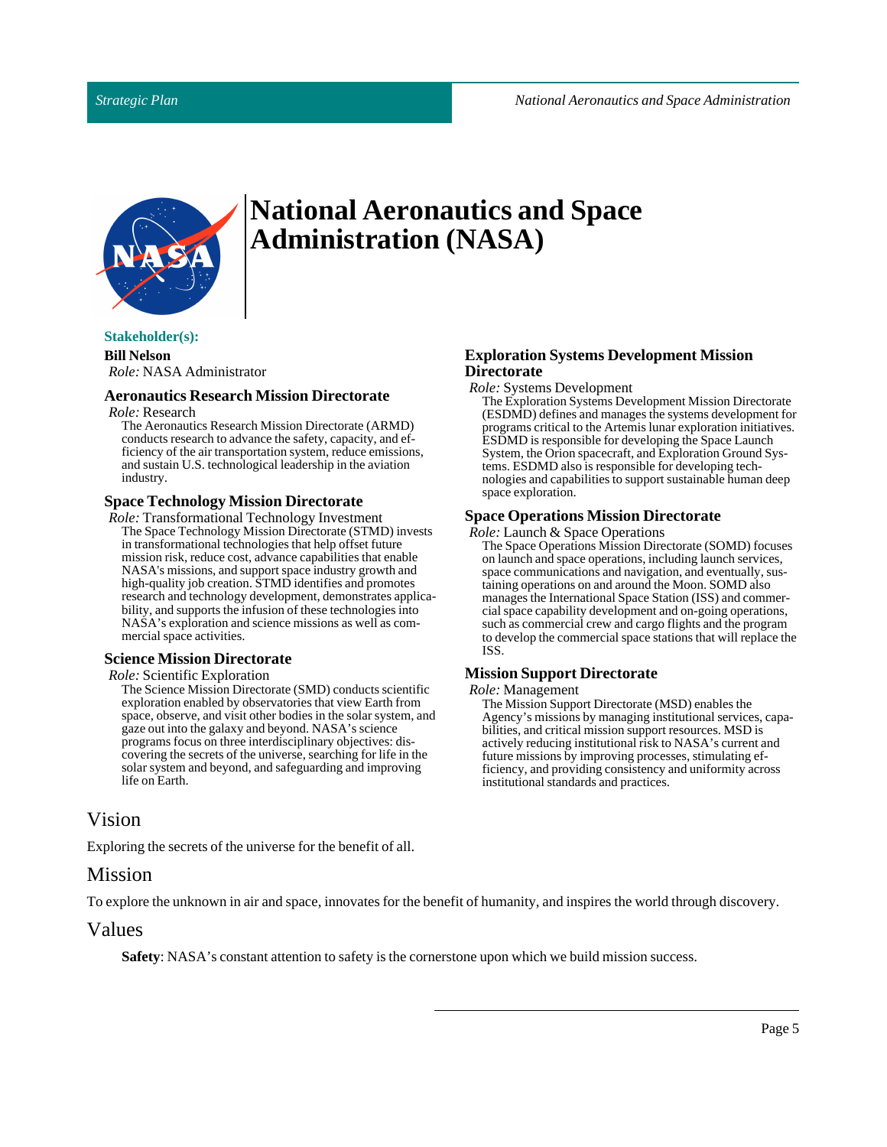

# **National Aeronautics and Space Administration (NASA)**

### **Stakeholder(s):**

**Bill Nelson** *Role:* NASA Administrator

## **Aeronautics Research Mission Directorate**

*Role:* Research

The Aeronautics Research Mission Directorate (ARMD) conducts research to advance the safety, capacity, and efficiency of the air transportation system, reduce emissions, and sustain U.S. technological leadership in the aviation industry.

## **Space Technology Mission Directorate**

*Role:* Transformational Technology Investment The Space Technology Mission Directorate (STMD) invests in transformational technologies that help offset future mission risk, reduce cost, advance capabilities that enable NASA's missions, and support space industry growth and high-quality job creation. STMD identifies and promotes research and technology development, demonstrates applicability, and supports the infusion of these technologies into NASA's exploration and science missions as well as commercial space activities.

## **Science Mission Directorate**

## *Role:*Scientific Exploration

The Science Mission Directorate (SMD) conducts scientific exploration enabled by observatories that view Earth from space, observe, and visit other bodies in the solar system, and gaze out into the galaxy and beyond. NASA's science programs focus on three interdisciplinary objectives: discovering the secrets of the universe, searching for life in the solar system and beyond, and safeguarding and improving life on Earth.

## <span id="page-4-0"></span>Vision

Exploring the secrets of the universe for the benefit of all.

## <span id="page-4-1"></span>Mission

To explore the unknown in air and space, innovates for the benefit of humanity, and inspires the world through discovery.

## <span id="page-4-2"></span>Values

**Safety**: NASA's constant attention to safety is the cornerstone upon which we build mission success.

## **Exploration Systems Development Mission Directorate**

*Role:*Systems Development

The Exploration Systems Development Mission Directorate (ESDMD) defines and manages the systems development for programs critical to the Artemis lunar exploration initiatives. ESDMD is responsible for developing the Space Launch System, the Orion spacecraft, and Exploration Ground Systems. ESDMD also is responsible for developing technologies and capabilities to support sustainable human deep space exploration.

## **Space Operations Mission Directorate**

*Role:* Launch & Space Operations

The Space Operations Mission Directorate (SOMD) focuses on launch and space operations, including launch services, space communications and navigation, and eventually, sustaining operations on and around the Moon. SOMD also manages the International Space Station (ISS) and commercial space capability development and on-going operations, such as commercial crew and cargo flights and the program to develop the commercial space stations that will replace the ISS.

## **Mission Support Directorate**

#### *Role:* Management

The Mission Support Directorate (MSD) enables the Agency's missions by managing institutional services, capabilities, and critical mission support resources. MSD is actively reducing institutional risk to NASA's current and future missions by improving processes, stimulating efficiency, and providing consistency and uniformity across institutional standards and practices.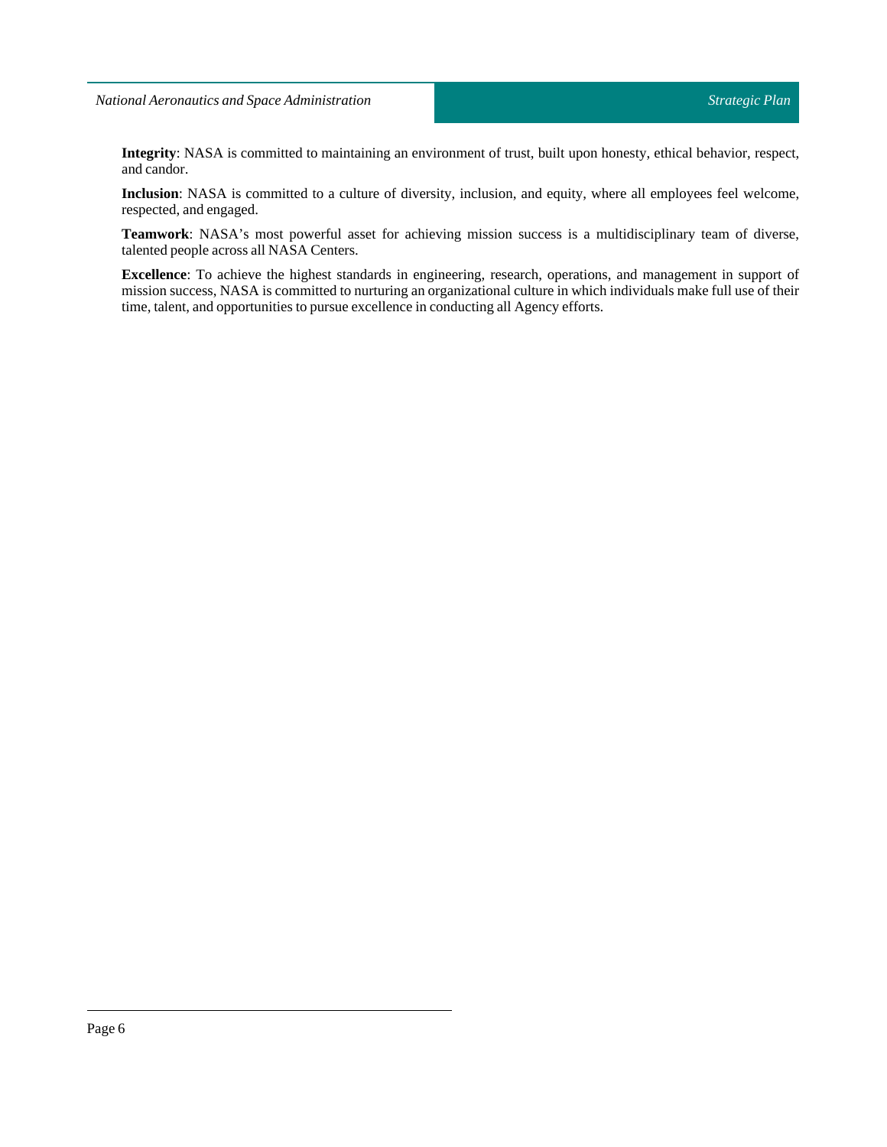**Integrity**: NASA is committed to maintaining an environment of trust, built upon honesty, ethical behavior, respect, and candor.

**Inclusion**: NASA is committed to a culture of diversity, inclusion, and equity, where all employees feel welcome, respected, and engaged.

**Teamwork**: NASA's most powerful asset for achieving mission success is a multidisciplinary team of diverse, talented people across all NASA Centers.

**Excellence**: To achieve the highest standards in engineering, research, operations, and management in support of mission success, NASA is committed to nurturing an organizational culture in which individuals make full use of their time, talent, and opportunities to pursue excellence in conducting all Agency efforts.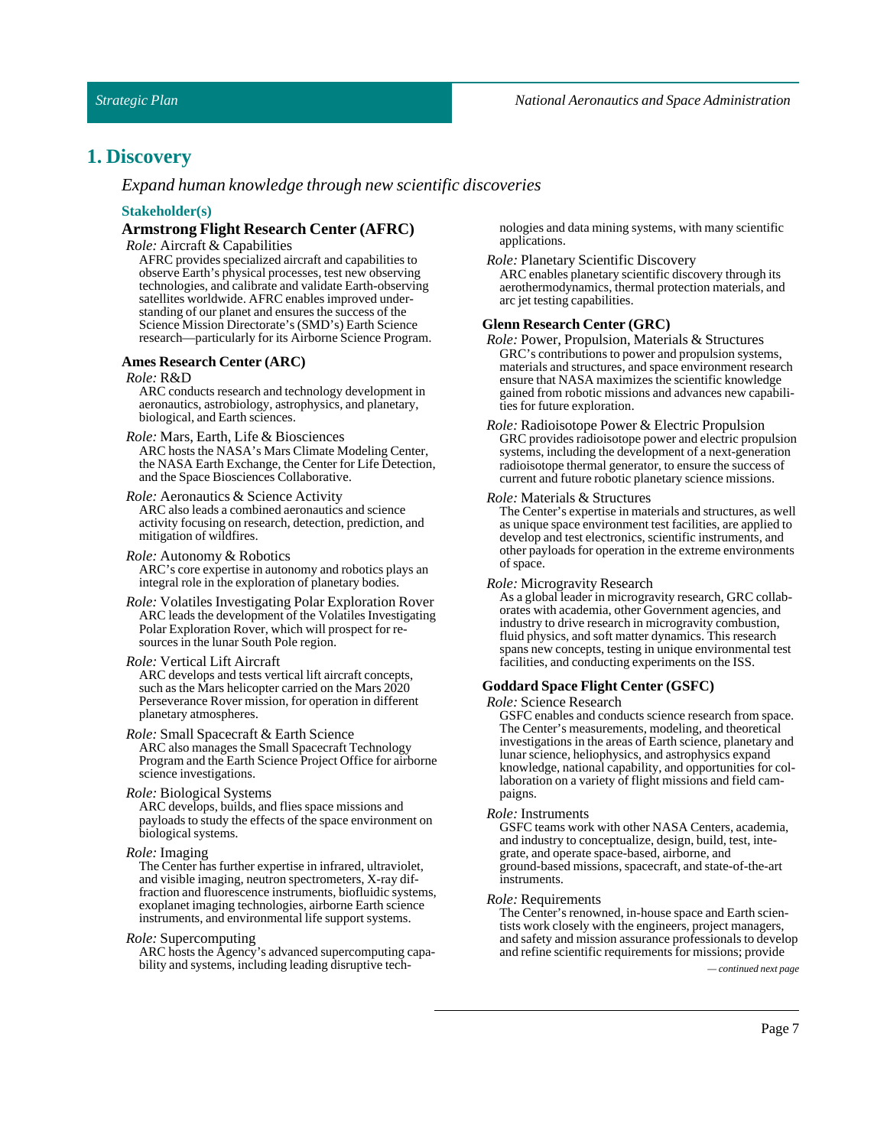## <span id="page-6-0"></span>**1. Discovery**

*Expand human knowledge through new scientific discoveries*

#### **Stakeholder(s)**

## **Armstrong Flight Research Center (AFRC)**

*Role:* Aircraft & Capabilities

AFRC provides specialized aircraft and capabilities to observe Earth's physical processes, test new observing technologies, and calibrate and validate Earth-observing satellites worldwide. AFRC enables improved understanding of our planet and ensures the success of the Science Mission Directorate's (SMD's) Earth Science research—particularly for its Airborne Science Program.

#### **Ames Research Center (ARC)**

#### *Role:* R&D

ARC conducts research and technology development in aeronautics, astrobiology, astrophysics, and planetary, biological, and Earth sciences.

*Role:* Mars, Earth, Life & Biosciences

ARC hosts the NASA's Mars Climate Modeling Center, the NASA Earth Exchange, the Center for Life Detection, and the Space Biosciences Collaborative.

#### *Role:* Aeronautics & Science Activity

ARC also leads a combined aeronautics and science activity focusing on research, detection, prediction, and mitigation of wildfires.

#### *Role:* Autonomy & Robotics

ARC's core expertise in autonomy and robotics plays an integral role in the exploration of planetary bodies.

*Role:* Volatiles Investigating Polar Exploration Rover ARC leads the development of the Volatiles Investigating Polar Exploration Rover, which will prospect for resources in the lunar South Pole region.

#### *Role:* Vertical Lift Aircraft

ARC develops and tests vertical lift aircraft concepts, such as the Mars helicopter carried on the Mars 2020 Perseverance Rover mission, for operation in different planetary atmospheres.

### *Role:* Small Spacecraft & Earth Science

ARC also manages the Small Spacecraft Technology Program and the Earth Science Project Office for airborne science investigations.

#### *Role:* Biological Systems

ARC develops, builds, and flies space missions and payloads to study the effects of the space environment on biological systems.

#### *Role:* Imaging

The Center has further expertise in infrared, ultraviolet, and visible imaging, neutron spectrometers, X-ray diffraction and fluorescence instruments, biofluidic systems, exoplanet imaging technologies, airborne Earth science instruments, and environmental life support systems.

#### *Role:*Supercomputing

ARC hosts the Agency's advanced supercomputing capability and systems, including leading disruptive tech- *— continued next page*

nologies and data mining systems, with many scientific applications.

- *Role:* Planetary Scientific Discovery
	- ARC enables planetary scientific discovery through its aerothermodynamics, thermal protection materials, and arc jet testing capabilities.

#### **Glenn Research Center (GRC)**

- *Role:* Power, Propulsion, Materials & Structures GRC's contributions to power and propulsion systems, materials and structures, and space environment research ensure that NASA maximizes the scientific knowledge gained from robotic missions and advances new capabilities for future exploration.
- *Role:* Radioisotope Power & Electric Propulsion GRC provides radioisotope power and electric propulsion systems, including the development of a next-generation radioisotope thermal generator, to ensure the success of current and future robotic planetary science missions.

#### *Role:* Materials & Structures

The Center's expertise in materials and structures, as well as unique space environment test facilities, are applied to develop and test electronics, scientific instruments, and other payloads for operation in the extreme environments of space.

#### *Role:* Microgravity Research

As a global leader in microgravity research, GRC collaborates with academia, other Government agencies, and industry to drive research in microgravity combustion, fluid physics, and soft matter dynamics. This research spans new concepts, testing in unique environmental test facilities, and conducting experiments on the ISS.

#### **GoddardSpace Flight Center (GSFC)**

#### *Role:*Science Research

GSFC enables and conducts science research from space. The Center's measurements, modeling, and theoretical investigations in the areas of Earth science, planetary and lunar science, heliophysics, and astrophysics expand knowledge, national capability, and opportunities for collaboration on a variety of flight missions and field campaigns.

#### *Role:* Instruments

GSFC teams work with other NASA Centers, academia, and industry to conceptualize, design, build, test, integrate, and operate space-based, airborne, and ground-based missions, spacecraft, and state-of-the-art instruments.

#### *Role:* Requirements

The Center's renowned, in-house space and Earth scientists work closely with the engineers, project managers, and safety and mission assurance professionals to develop and refine scientific requirements for missions; provide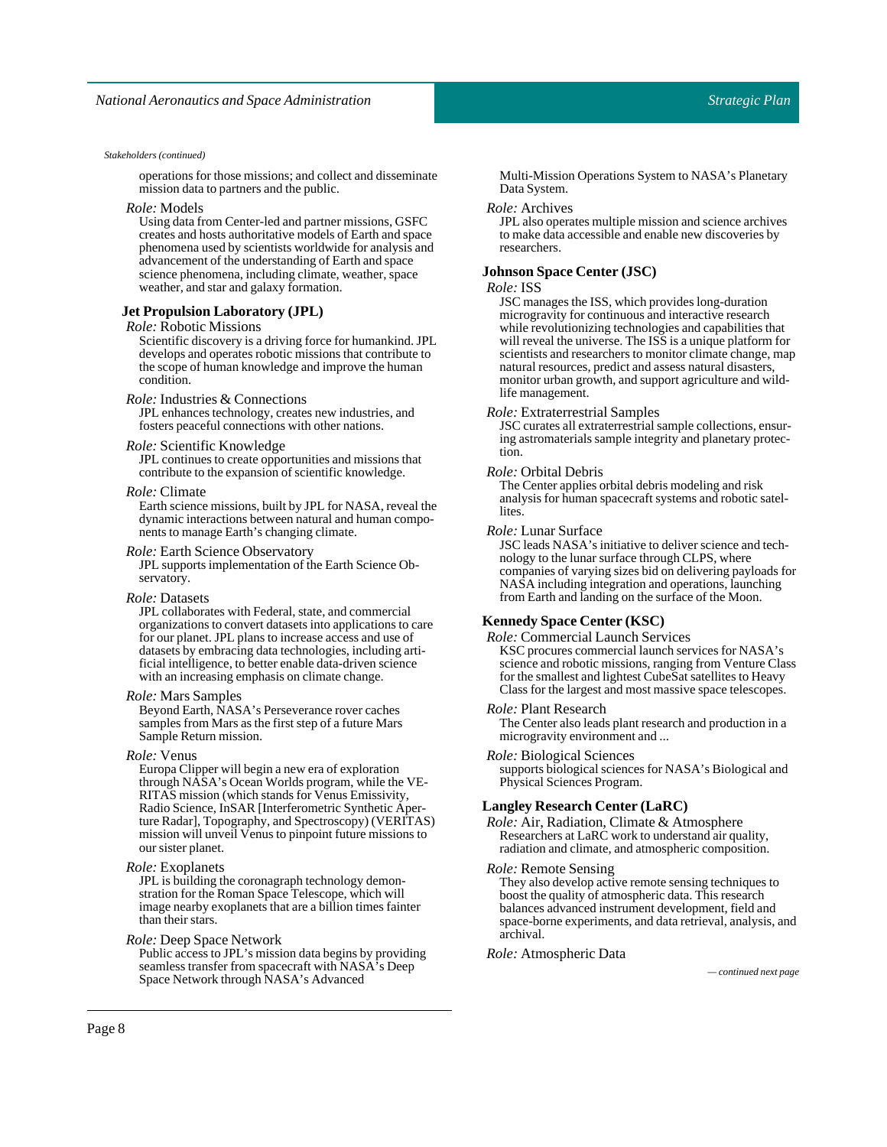operations for those missions; and collect and disseminate mission data to partners and the public.

#### *Role:* Models

Using data from Center-led and partner missions, GSFC creates and hosts authoritative models of Earth and space phenomena used by scientists worldwide for analysis and advancement of the understanding of Earth and space science phenomena, including climate, weather, space weather, and star and galaxy formation.

#### **Jet Propulsion Laboratory (JPL)**

#### *Role:* Robotic Missions

Scientific discovery is a driving force for humankind. JPL develops and operates robotic missions that contribute to the scope of human knowledge and improve the human condition.

#### *Role:* Industries & Connections

JPL enhances technology, creates new industries, and fosters peaceful connections with other nations.

#### *Role:*Scientific Knowledge

JPL continues to create opportunities and missions that contribute to the expansion of scientific knowledge.

#### *Role:* Climate

Earth science missions, built by JPL for NASA, reveal the dynamic interactions between natural and human components to manage Earth's changing climate.

#### *Role:* Earth Science Observatory

JPL supports implementation of the Earth Science Observatory.

#### *Role:* Datasets

JPL collaborates with Federal, state, and commercial organizations to convert datasets into applications to care for our planet. JPL plans to increase access and use of datasets by embracing data technologies, including artificial intelligence, to better enable data-driven science with an increasing emphasis on climate change.

#### *Role:* MarsSamples

Beyond Earth, NASA's Perseverance rover caches samples from Mars as the first step of a future Mars Sample Return mission.

#### *Role:* Venus

Europa Clipper will begin a new era of exploration through NASA's Ocean Worlds program, while the VE-RITAS mission (which stands for Venus Emissivity, Radio Science, InSAR [Interferometric Synthetic Aperture Radar], Topography, and Spectroscopy) (VERITAS) mission will unveil Venus to pinpoint future missions to our sister planet.

#### *Role:* Exoplanets

JPL is building the coronagraph technology demonstration for the Roman Space Telescope, which will image nearby exoplanets that are a billion times fainter than their stars.

#### *Role:* DeepSpace Network

Public access to JPL's mission data begins by providing seamless transfer from spacecraft with NASA's Deep Space Network through NASA's Advanced *— continued next page*

Multi-Mission Operations System to NASA's Planetary Data System.

#### *Role:* Archives

JPL also operates multiple mission and science archives to make data accessible and enable new discoveries by researchers.

## **JohnsonSpace Center (JSC)**

### *Role:* ISS

JSC manages the ISS, which provides long-duration microgravity for continuous and interactive research while revolutionizing technologies and capabilities that will reveal the universe. The ISS is a unique platform for scientists and researchers to monitor climate change, map natural resources, predict and assess natural disasters, monitor urban growth, and support agriculture and wildlife management.

#### *Role:* Extraterrestrial Samples

JSC curates all extraterrestrial sample collections, ensuring astromaterials sample integrity and planetary protection.

#### *Role:* Orbital Debris

The Center applies orbital debris modeling and risk analysis for human spacecraft systems and robotic satellites.

#### *Role:* Lunar Surface

JSC leads NASA's initiative to deliver science and technology to the lunar surface through CLPS, where companies of varying sizes bid on delivering payloads for NASA including integration and operations, launching from Earth and landing on the surface of the Moon.

#### **KennedySpace Center (KSC)**

*Role:* Commercial Launch Services KSC procures commercial launch services for NASA's science and robotic missions, ranging from Venture Class for the smallest and lightest CubeSat satellites to Heavy Class for the largest and most massive space telescopes.

#### *Role:*Plant Research

The Center also leads plant research and production in a microgravity environment and ...

#### *Role:* Biological Sciences

supports biological sciences for NASA's Biological and Physical Sciences Program.

#### **Langley Research Center (LaRC)**

*Role:* Air, Radiation, Climate & Atmosphere Researchers at LaRC work to understand air quality, radiation and climate, and atmospheric composition.

#### *Role:* Remote Sensing

They also develop active remote sensing techniques to boost the quality of atmospheric data. This research balances advanced instrument development, field and space-borne experiments, and data retrieval, analysis, and archival.

#### *Role:* Atmospheric Data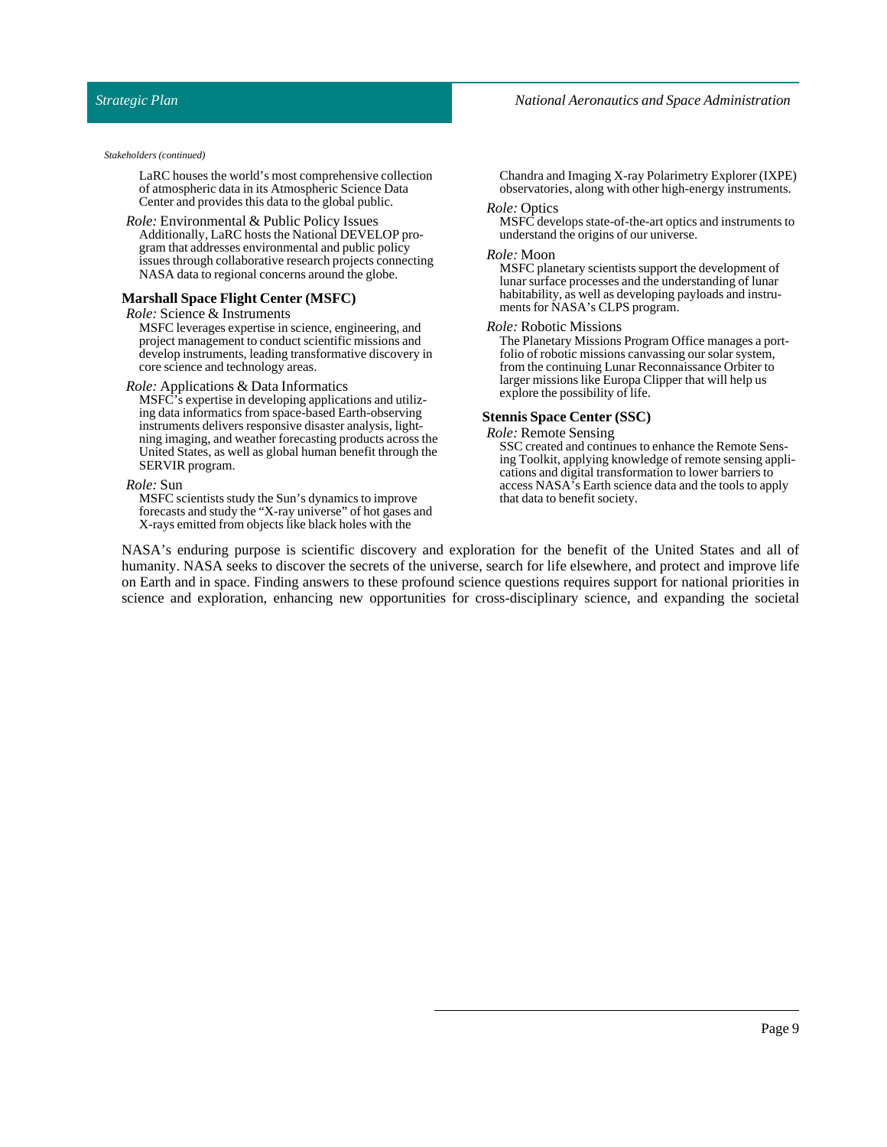LaRC houses the world's most comprehensive collection of atmospheric data in its Atmospheric Science Data Center and provides this data to the global public.

#### *Role:* Environmental & Public Policy Issues Additionally, LaRC hosts the National DEVELOP program that addresses environmental and public policy issues through collaborative research projects connecting NASA data to regional concerns around the globe.

#### **MarshallSpace Flight Center (MSFC)**

#### *Role:*Science & Instruments

MSFC leverages expertise in science, engineering, and project management to conduct scientific missions and develop instruments, leading transformative discovery in core science and technology areas.

#### *Role:* Applications & Data Informatics

MSFC's expertise in developing applications and utilizing data informatics from space-based Earth-observing instruments delivers responsive disaster analysis, lightning imaging, and weather forecasting products across the United States, as well as global human benefit through the SERVIR program.

#### *Role:*Sun

MSFC scientists study the Sun's dynamics to improve forecasts and study the "X-ray universe" of hot gases and X-rays emitted from objects like black holes with the

Chandra and Imaging X-ray Polarimetry Explorer (IXPE) observatories, along with other high-energy instruments.

#### *Role:* Optics

MSFC develops state-of-the-art optics and instruments to understand the origins of our universe.

#### *Role:* Moon

MSFC planetary scientists support the development of lunar surface processes and the understanding of lunar habitability, as well as developing payloads and instruments for NASA's CLPS program.

#### *Role:* Robotic Missions

The Planetary Missions Program Office manages a portfolio of robotic missions canvassing our solar system, from the continuing Lunar Reconnaissance Orbiter to larger missions like Europa Clipper that will help us explore the possibility of life.

#### **StennisSpace Center (SSC)**

*Role:* Remote Sensing

SSC created and continues to enhance the Remote Sensing Toolkit, applying knowledge of remote sensing applications and digital transformation to lower barriers to access NASA's Earth science data and the tools to apply that data to benefit society.

NASA's enduring purpose is scientific discovery and exploration for the benefit of the United States and all of humanity. NASA seeks to discover the secrets of the universe, search for life elsewhere, and protect and improve life on Earth and in space. Finding answers to these profound science questions requires support for national priorities in science and exploration, enhancing new opportunities for cross-disciplinary science, and expanding the societal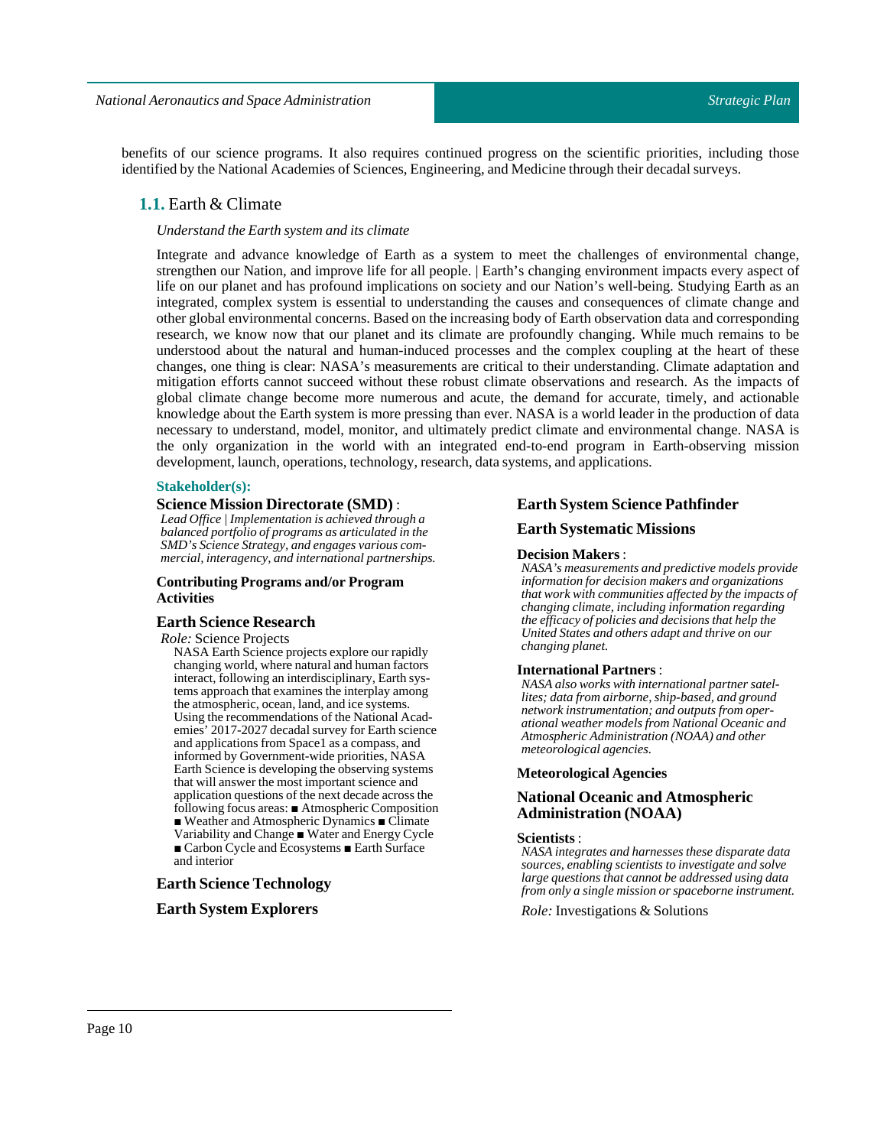<span id="page-9-0"></span>benefits of our science programs. It also requires continued progress on the scientific priorities, including those identified by the National Academies of Sciences, Engineering, and Medicine through their decadal surveys.

## **1.1.** Earth & Climate

## *Understand the Earth system and its climate*

Integrate and advance knowledge of Earth as a system to meet the challenges of environmental change, strengthen our Nation, and improve life for all people. | Earth's changing environment impacts every aspect of life on our planet and has profound implications on society and our Nation's well-being. Studying Earth as an integrated, complex system is essential to understanding the causes and consequences of climate change and other global environmental concerns. Based on the increasing body of Earth observation data and corresponding research, we know now that our planet and its climate are profoundly changing. While much remains to be understood about the natural and human-induced processes and the complex coupling at the heart of these changes, one thing is clear: NASA's measurements are critical to their understanding. Climate adaptation and mitigation efforts cannot succeed without these robust climate observations and research. As the impacts of global climate change become more numerous and acute, the demand for accurate, timely, and actionable knowledge about the Earth system is more pressing than ever. NASA is a world leader in the production of data necessary to understand, model, monitor, and ultimately predict climate and environmental change. NASA is the only organization in the world with an integrated end-to-end program in Earth-observing mission development, launch, operations, technology, research, data systems, and applications.

### **Stakeholder(s):**

### **Science Mission Directorate (SMD)** :

*Lead Office | Implementation is achieved through a balanced portfolio of programs as articulated in the SMD's Science Strategy, and engages various commercial, interagency, and international partnerships.*

### **Contributing Programs and/or Program Activities**

### **Earth Science Research**

*Role:*ScienceProjects

NASA Earth Science projects explore our rapidly changing world, where natural and human factors interact, following an interdisciplinary, Earth systems approach that examines the interplay among the atmospheric, ocean, land, and ice systems. Using the recommendations of the National Academies' 2017-2027 decadal survey for Earth science and applications from Space1 as a compass, and informed by Government-wide priorities, NASA Earth Science is developing the observing systems that will answer the most important science and application questions of the next decade across the following focus areas: ■ Atmospheric Composition ■ Weather and Atmospheric Dynamics ■ Climate Variability and Change ■ Water and Energy Cycle ■ Carbon Cycle and Ecosystems ■ Earth Surface and interior

## **Earth Science Technology**

### **Earth System Explorers**

#### **Earth System Science Pathfinder**

### **Earth Systematic Missions**

#### **Decision Makers**:

*NASA's measurements and predictive models provide information for decision makers and organizations that work with communities affected by the impacts of changing climate, including information regarding the efficacy of policies and decisions that help the United States and others adapt and thrive on our changing planet.*

#### **International Partners**:

*NASA also works with international partner satellites; data from airborne, ship-based, and ground network instrumentation; and outputs from operational weather models from National Oceanic and Atmospheric Administration (NOAA) and other meteorological agencies.*

### **Meteorological Agencies**

### **National Oceanic and Atmospheric Administration (NOAA)**

#### **Scientists** :

*NASA integrates and harnesses these disparate data sources, enabling scientists to investigate and solve large questions that cannot be addressed using data from only a single mission or spaceborne instrument.*

*Role:* Investigations & Solutions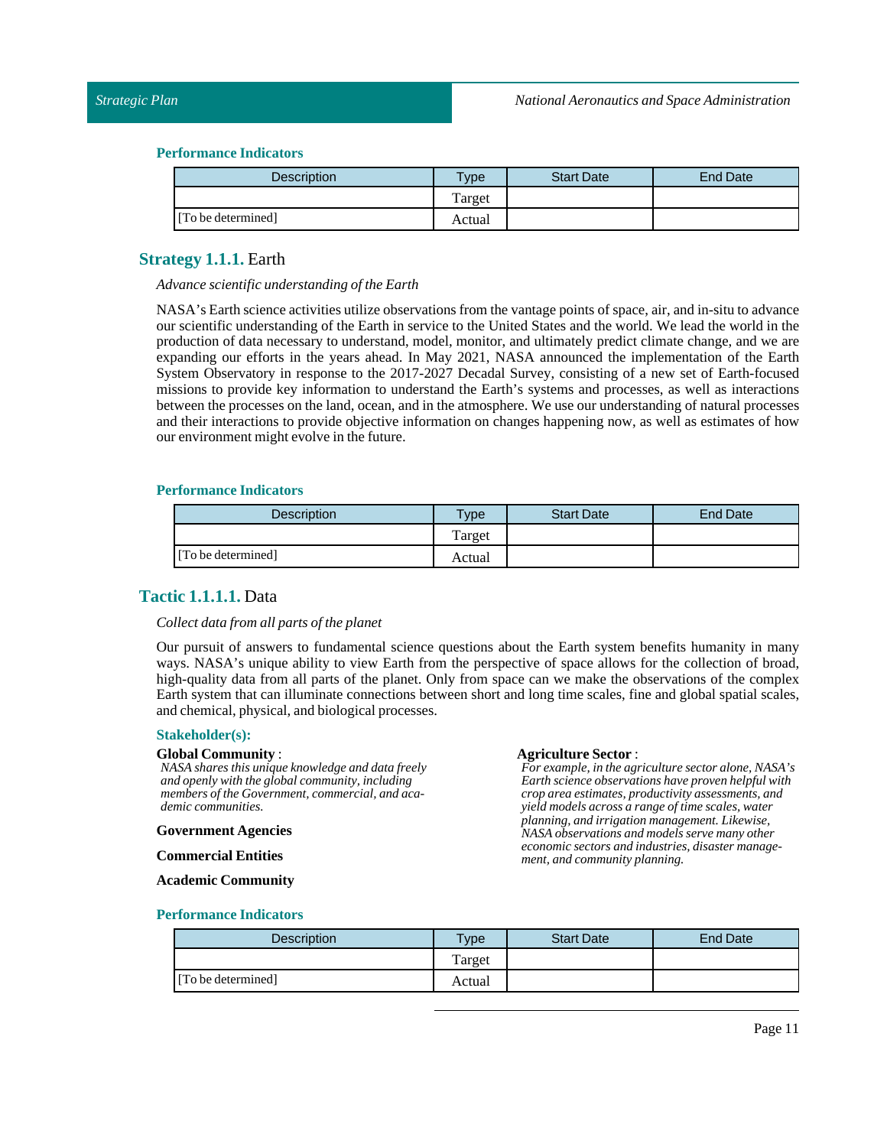| <b>Description</b> | <b>Type</b> | <b>Start Date</b> | <b>End Date</b> |
|--------------------|-------------|-------------------|-----------------|
|                    | Target      |                   |                 |
| [To be determined] | Actual      |                   |                 |

## <span id="page-10-0"></span>**Strategy 1.1.1.** Earth

#### *Advance scientific understanding ofthe Earth*

NASA's Earth science activities utilize observations from the vantage points of space, air, and in-situ to advance our scientific understanding of the Earth in service to the United States and the world. We lead the world in the production of data necessary to understand, model, monitor, and ultimately predict climate change, and we are expanding our efforts in the years ahead. In May 2021, NASA announced the implementation of the Earth System Observatory in response to the 2017-2027 Decadal Survey, consisting of a new set of Earth-focused missions to provide key information to understand the Earth's systems and processes, as well as interactions between the processes on the land, ocean, and in the atmosphere. We use our understanding of natural processes and their interactions to provide objective information on changes happening now, as well as estimates of how our environment might evolve in the future.

### **Performance Indicators**

| Description        | Type   | <b>Start Date</b> | <b>End Date</b> |
|--------------------|--------|-------------------|-----------------|
|                    | Target |                   |                 |
| [To be determined] | Actual |                   |                 |

## <span id="page-10-1"></span>**Tactic 1.1.1.1.** Data

### $Collect data from all parts of the planet$

Our pursuit of answers to fundamental science questions about the Earth system benefits humanity in many ways. NASA's unique ability to view Earth from the perspective of space allows for the collection of broad, high-quality data from all parts of the planet. Only from space can we make the observations of the complex Earth system that can illuminate connections between short and long time scales, fine and global spatial scales, and chemical, physical, and biological processes.

### **Stakeholder(s):**

#### **Global Community** :

*NASA shares this unique knowledge and data freely and openly with the global community, including members of the Government, commercial, and academic communities.*

#### **Government Agencies**

**Commercial Entities**

### Agriculture Sector :

*For example, in the agriculture sector alone, NASA's Earth science observations have proven helpful with crop area estimates, productivity assessments, and yield models across a range of time scales, water planning, and irrigation management. Likewise, NASA observations and models serve many other economic sectors and industries, disaster management, and community planning.*

#### **Academic Community**

| <b>Description</b> | <b>Vpe</b> | <b>Start Date</b> | <b>End Date</b> |
|--------------------|------------|-------------------|-----------------|
|                    | Target     |                   |                 |
| [To be determined] | Actual     |                   |                 |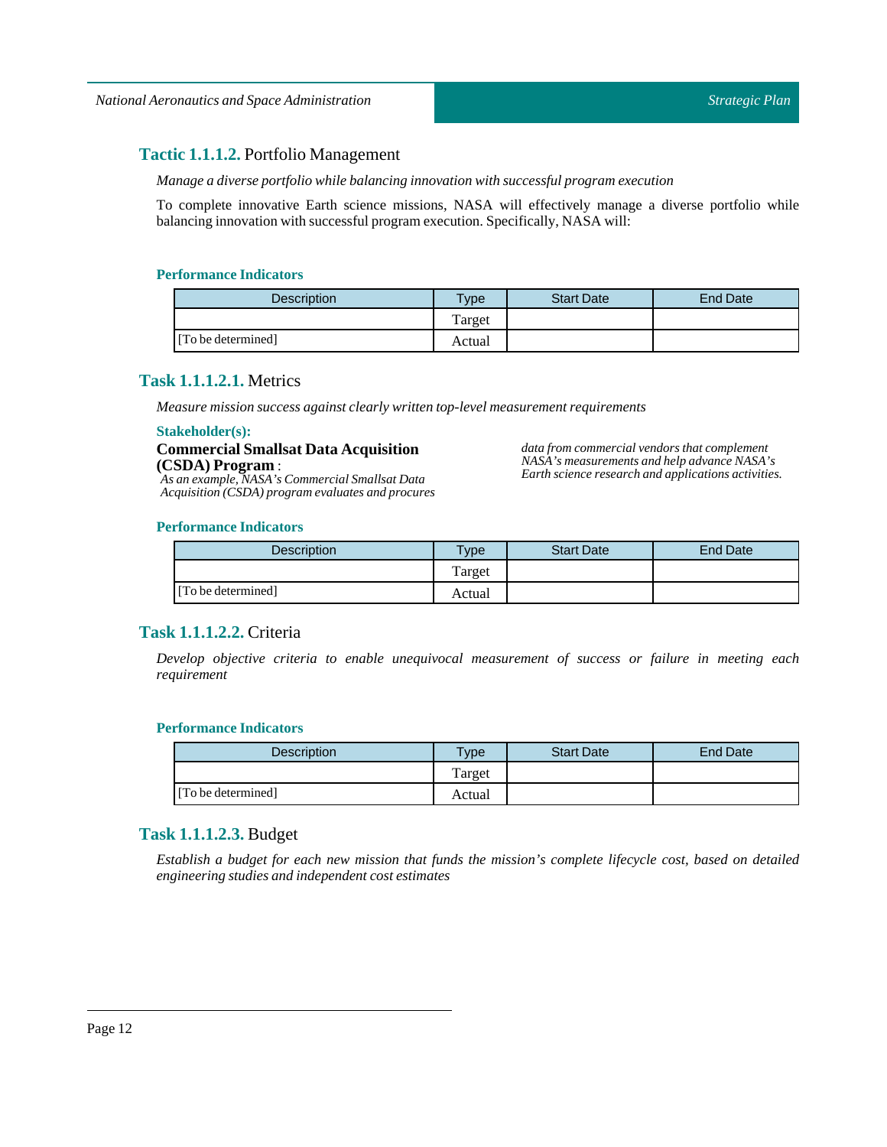## <span id="page-11-0"></span>**Tactic 1.1.1.2.** Portfolio Management

*Manage a diverse portfolio while balancing innovation with successful program execution*

To complete innovative Earth science missions, NASA will effectively manage a diverse portfolio while balancing innovation with successful program execution. Specifically, NASA will:

## **Performance Indicators**

| <b>Description</b> | vpe    | <b>Start Date</b> | <b>End Date</b> |
|--------------------|--------|-------------------|-----------------|
|                    | Target |                   |                 |
| [To be determined] | Actual |                   |                 |

## <span id="page-11-1"></span>**Task 1.1.1.2.1.** Metrics

*Measure mission success against clearly written top-level measurement requirements*

#### **Stakeholder(s):**

**Commercial Smallsat Data Acquisition (CSDA) Program** :

*As an example, NASA's Commercial Smallsat Data Acquisition (CSDA) program evaluates and procures* *data from commercial vendors that complement NASA's measurements and help advance NASA's Earth science research and applications activities.*

## **Performance Indicators**

| Description        | <b>Type</b> | <b>Start Date</b> | <b>End Date</b> |
|--------------------|-------------|-------------------|-----------------|
|                    | Target      |                   |                 |
| [To be determined] | Actual      |                   |                 |

## <span id="page-11-2"></span>**Task 1.1.1.2.2.** Criteria

*Develop objective criteria to enable unequivocal measurement of success or failure in meeting each requirement*

## **Performance Indicators**

| <b>Description</b> | $T$ <sub>ype</sub> | <b>Start Date</b> | <b>End Date</b> |
|--------------------|--------------------|-------------------|-----------------|
|                    | Target             |                   |                 |
| [To be determined] | Actual             |                   |                 |

## <span id="page-11-3"></span>**Task 1.1.1.2.3.** Budget

Establish a budget for each new mission that funds the mission's complete lifecycle cost, based on detailed *engineering studies and independent cost estimates*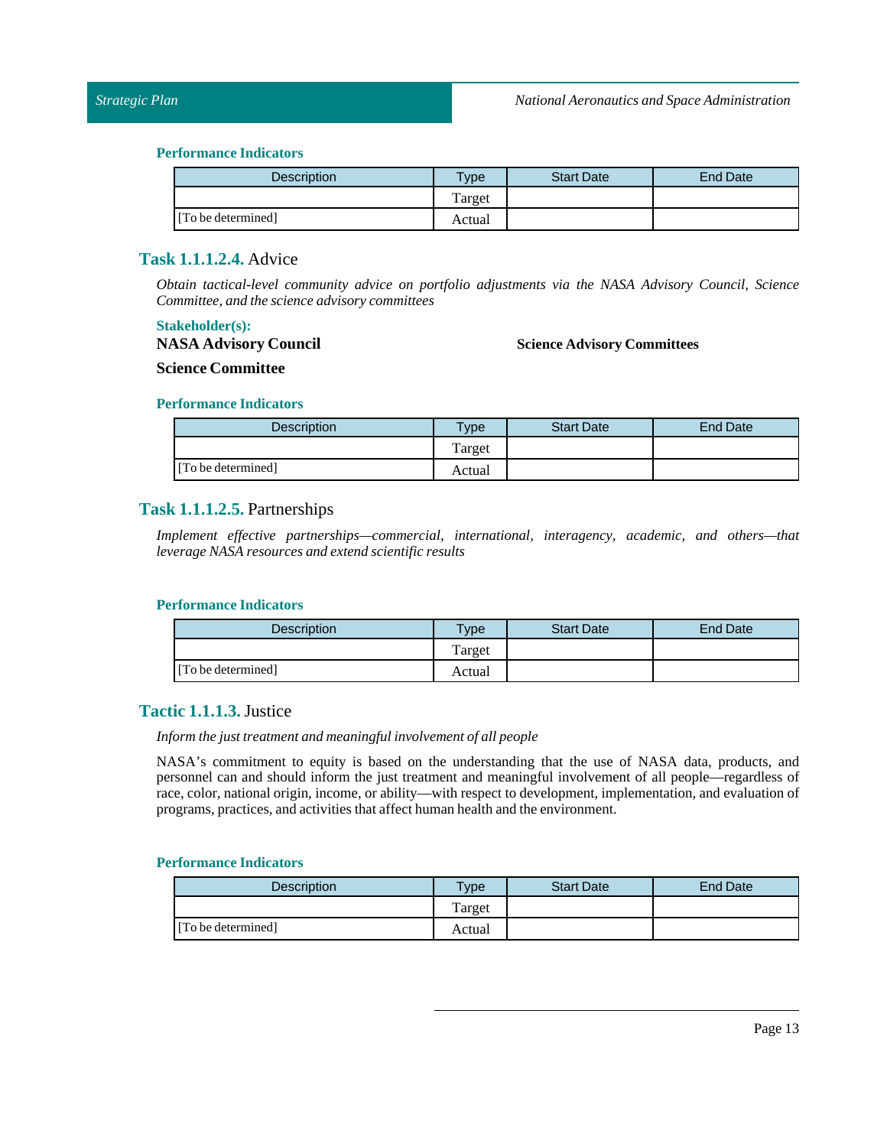| <b>Description</b> | $T$ <sub>ype</sub> | <b>Start Date</b> | End Date |
|--------------------|--------------------|-------------------|----------|
|                    | Target             |                   |          |
| [To be determined] | Actual             |                   |          |

## <span id="page-12-0"></span>**Task 1.1.1.2.4.** Advice

*Obtain tactical-level community advice on portfolio adjustments via the NASA Advisory Council, Science Committee, and the science advisory committees*

## **Stakeholder(s):**

**NASA Advisory Council**

### **Science Advisory Committees**

**Science Committee**

### **Performance Indicators**

| Description        | $T$ ype | <b>Start Date</b> | <b>End Date</b> |
|--------------------|---------|-------------------|-----------------|
|                    | Target  |                   |                 |
| [To be determined] | Actual  |                   |                 |

## <span id="page-12-1"></span>**Task 1.1.1.2.5.** Partnerships

*Implement effective partnerships—commercial, international, interagency, academic, and others—that leverage NASA resources and extend scientific results*

## **Performance Indicators**

| <b>Description</b> | $T$ <sub>V</sub> $pe$ | <b>Start Date</b> | <b>End Date</b> |
|--------------------|-----------------------|-------------------|-----------------|
|                    | Target                |                   |                 |
| [To be determined] | Actual                |                   |                 |

## <span id="page-12-2"></span>**Tactic 1.1.1.3.**Justice

## *Inform* the just treatment and meaningful involvement of all people

NASA's commitment to equity is based on the understanding that the use of NASA data, products, and personnel can and should inform the just treatment and meaningful involvement of all people—regardless of race, color, national origin, income, or ability—with respect to development, implementation, and evaluation of programs, practices, and activities that affect human health and the environment.

| Description        | <b>Type</b> | <b>Start Date</b> | <b>End Date</b> |
|--------------------|-------------|-------------------|-----------------|
|                    | Target      |                   |                 |
| [To be determined] | Actual      |                   |                 |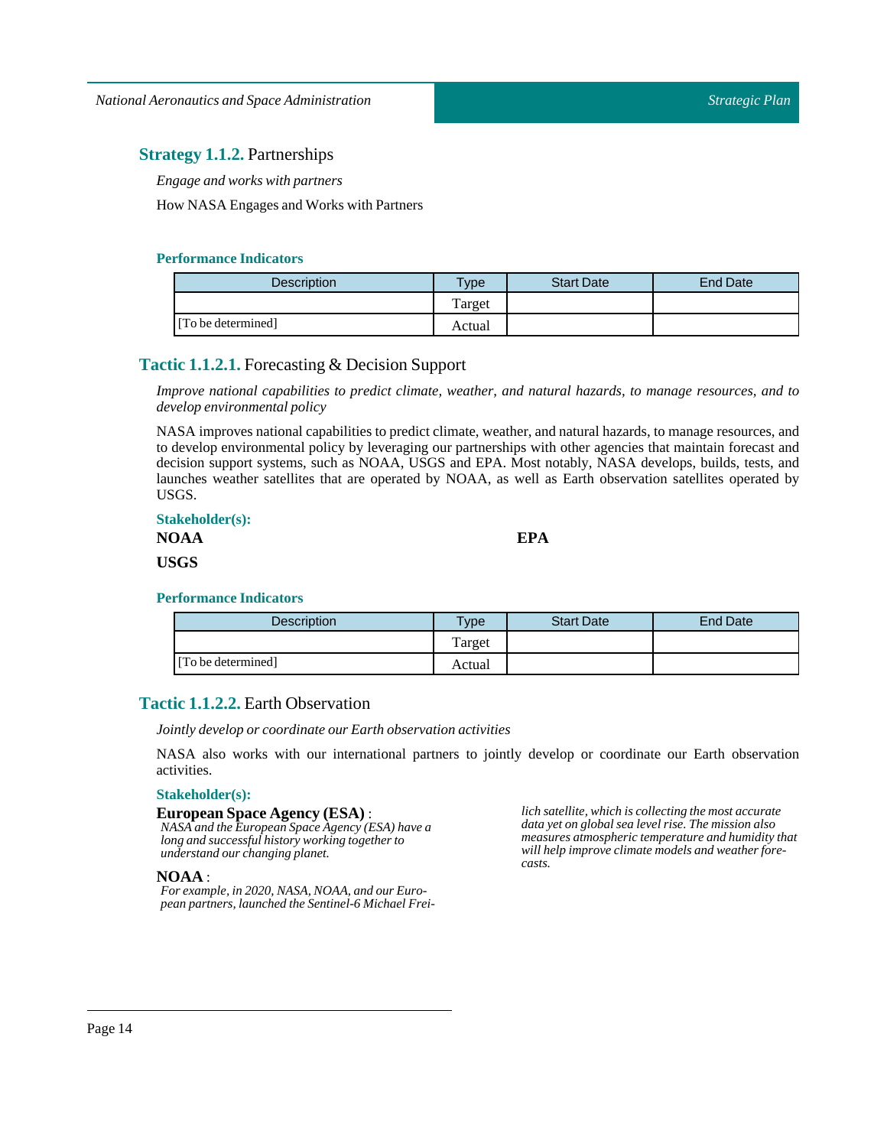## <span id="page-13-0"></span>**Strategy 1.1.2.** Partnerships

*Engage and works with partners*

How NASA Engages and Works with Partners

## **Performance Indicators**

| <b>Description</b> | $T$ <sub>ype</sub> | <b>Start Date</b> | <b>End Date</b> |
|--------------------|--------------------|-------------------|-----------------|
|                    | Target             |                   |                 |
| [To be determined] | Actual             |                   |                 |

## <span id="page-13-1"></span>**Tactic 1.1.2.1.** Forecasting & Decision Support

*Improve national capabilities to predict climate, weather, and natural hazards, to manage resources, and to develop environmental policy*

NASA improves national capabilities to predict climate, weather, and natural hazards, to manage resources, and to develop environmental policy by leveraging our partnerships with other agencies that maintain forecast and decision support systems, such as NOAA, USGS and EPA. Most notably, NASA develops, builds, tests, and launches weather satellites that are operated by NOAA, as well as Earth observation satellites operated by USGS.

## **Stakeholder(s):**

| .    |  |
|------|--|
| NOAA |  |
| USGS |  |

**EPA**

## **Performance Indicators**

| <b>Description</b> | Type   | <b>Start Date</b> | End Date |
|--------------------|--------|-------------------|----------|
|                    | Target |                   |          |
| [To be determined] | Actual |                   |          |

## <span id="page-13-2"></span>**Tactic 1.1.2.2.** Earth Observation

*Jointly develop or coordinate our Earth observation activities*

NASA also works with our international partners to jointly develop or coordinate our Earth observation activities.

## **Stakeholder(s):**

## **European Space Agency (ESA)** :

*NASA and the European Space Agency (ESA) have a long and successful history working together to understand our changing planet.*

## **NOAA** :

*For example, in 2020, NASA, NOAA, and our European partners, launched the Sentinel-6 Michael Frei-* *lich satellite, which is collecting the most accurate data yet on global sea level rise. The mission also measures atmospheric temperature and humidity that will help improve climate models and weather forecasts.*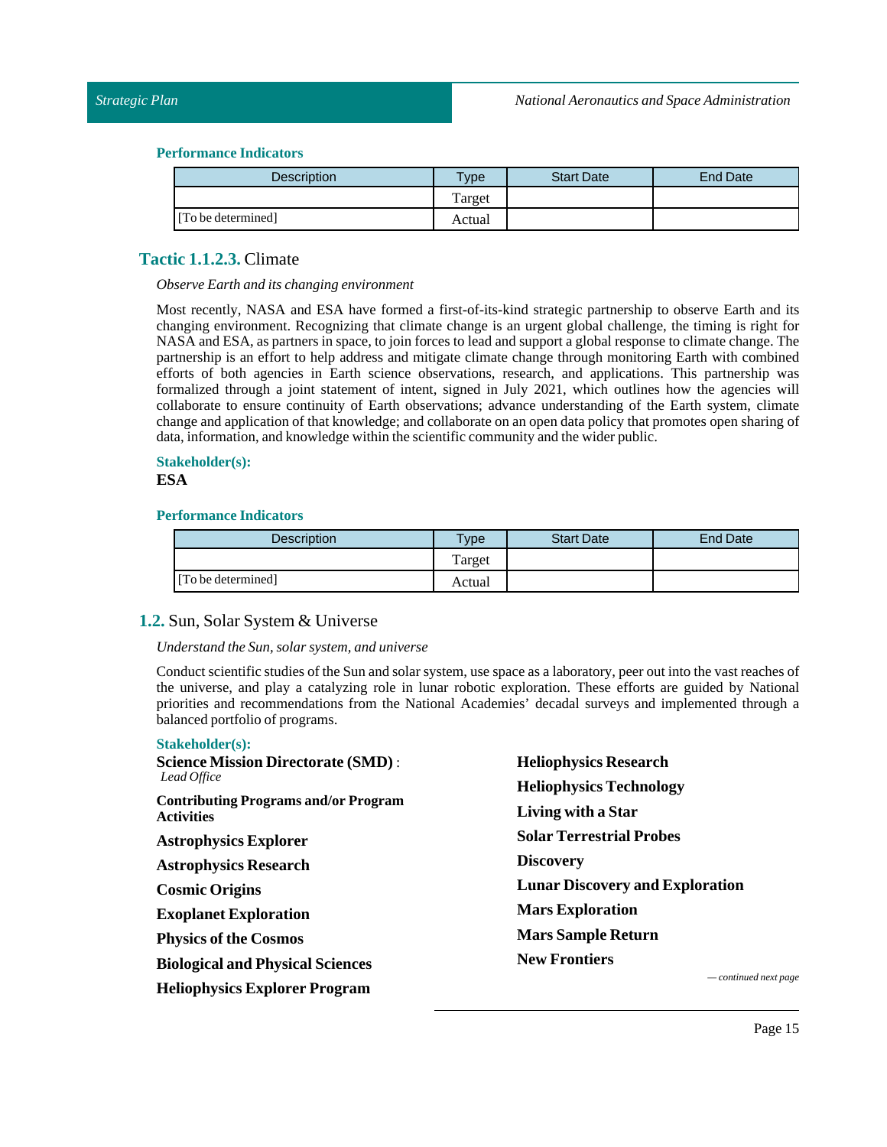| <b>Description</b> | <b>Type</b> | <b>Start Date</b> | <b>End Date</b> |
|--------------------|-------------|-------------------|-----------------|
|                    | Target      |                   |                 |
| [To be determined] | Actual      |                   |                 |

## <span id="page-14-0"></span>**Tactic 1.1.2.3.** Climate

### *Observe Earth and its changing environment*

Most recently, NASA and ESA have formed a first-of-its-kind strategic partnership to observe Earth and its changing environment. Recognizing that climate change is an urgent global challenge, the timing is right for NASA and ESA, as partners in space, to join forces to lead and support a global response to climate change. The partnership is an effort to help address and mitigate climate change through monitoring Earth with combined efforts of both agencies in Earth science observations, research, and applications. This partnership was formalized through a joint statement of intent, signed in July 2021, which outlines how the agencies will collaborate to ensure continuity of Earth observations; advance understanding of the Earth system, climate change and application of that knowledge; and collaborate on an open data policy that promotes open sharing of data, information, and knowledge within the scientific community and the wider public.

## **Stakeholder(s): ESA**

## **Performance Indicators**

| Description        | $T$ <sub>V</sub> $pe$ | <b>Start Date</b> | <b>End Date</b> |
|--------------------|-----------------------|-------------------|-----------------|
|                    | Target                |                   |                 |
| [To be determined] | Actual                |                   |                 |

## <span id="page-14-1"></span>**1.2.** Sun, Solar System & Universe

## *Understand the Sun, solar system, and universe*

Conduct scientific studies of theSun and solar system, use space as a laboratory, peer out into the vast reaches of the universe, and play a catalyzing role in lunar robotic exploration. These efforts are guided by National priorities and recommendations from the National Academies' decadal surveys and implemented through a balanced portfolio of programs.

| <b>Stakeholder(s):</b>                                           |                                        |
|------------------------------------------------------------------|----------------------------------------|
| <b>Science Mission Directorate (SMD):</b>                        | <b>Heliophysics Research</b>           |
| Lead Office                                                      | <b>Heliophysics Technology</b>         |
| <b>Contributing Programs and/or Program</b><br><b>Activities</b> | Living with a Star                     |
| <b>Astrophysics Explorer</b>                                     | <b>Solar Terrestrial Probes</b>        |
| <b>Astrophysics Research</b>                                     | <b>Discovery</b>                       |
| <b>Cosmic Origins</b>                                            | <b>Lunar Discovery and Exploration</b> |
| <b>Exoplanet Exploration</b>                                     | <b>Mars Exploration</b>                |
| <b>Physics of the Cosmos</b>                                     | <b>Mars Sample Return</b>              |
| <b>Biological and Physical Sciences</b>                          | <b>New Frontiers</b>                   |
| <b>Heliophysics Explorer Program</b>                             | $-$ continued next page                |
|                                                                  |                                        |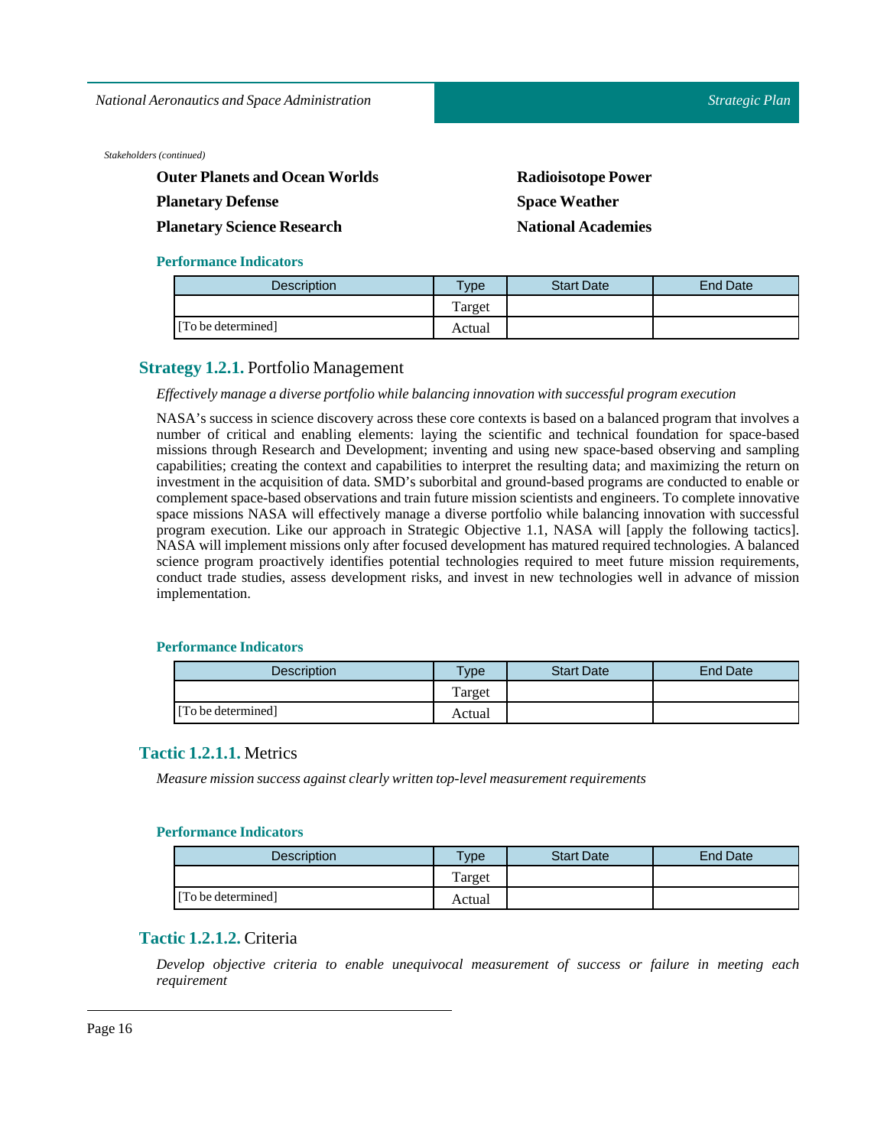*National Aeronautics and Space Administration*

*Stakeholders (continued)*

| <b>Outer Planets and Ocean Worlds</b> | <b>Radioisotope Power</b> |
|---------------------------------------|---------------------------|
| <b>Planetary Defense</b>              | <b>Space Weather</b>      |
| <b>Planetary Science Research</b>     | <b>National Academies</b> |

## **Performance Indicators**

| Description        | <b>Type</b> | <b>Start Date</b> | End Date |
|--------------------|-------------|-------------------|----------|
|                    | Target      |                   |          |
| [To be determined] | Actual      |                   |          |

## <span id="page-15-0"></span>**Strategy 1.2.1.** Portfolio Management

## *Effectively manage a diverse portfolio while balancing innovation with successful program execution*

NASA's success in science discovery across these core contexts is based on a balanced program that involves a number of critical and enabling elements: laying the scientific and technical foundation for space-based missions through Research and Development; inventing and using new space-based observing and sampling capabilities; creating the context and capabilities to interpret the resulting data; and maximizing the return on investment in the acquisition of data. SMD's suborbital and ground-based programs are conducted to enable or complement space-based observations and train future mission scientists and engineers. To complete innovative space missions NASA will effectively manage a diverse portfolio while balancing innovation with successful program execution. Like our approach in Strategic Objective 1.1, NASA will [apply the following tactics]. NASA will implement missions only after focused development has matured required technologies. A balanced science program proactively identifies potential technologies required to meet future mission requirements, conduct trade studies, assess development risks, and invest in new technologies well in advance of mission implementation.

## **Performance Indicators**

| <b>Description</b> | <b>Type</b> | <b>Start Date</b> | <b>End Date</b> |
|--------------------|-------------|-------------------|-----------------|
|                    | Target      |                   |                 |
| [To be determined] | Actual      |                   |                 |

## <span id="page-15-1"></span>**Tactic 1.2.1.1.** Metrics

*Measure mission success against clearly written top-level measurement requirements*

## **Performance Indicators**

| <b>Description</b> | $T$ ype | <b>Start Date</b> | <b>End Date</b> |
|--------------------|---------|-------------------|-----------------|
|                    | Target  |                   |                 |
| [To be determined] | Actual  |                   |                 |

## <span id="page-15-2"></span>**Tactic 1.2.1.2.** Criteria

*Develop objective criteria to enable unequivocal measurement of success or failure in meeting each requirement*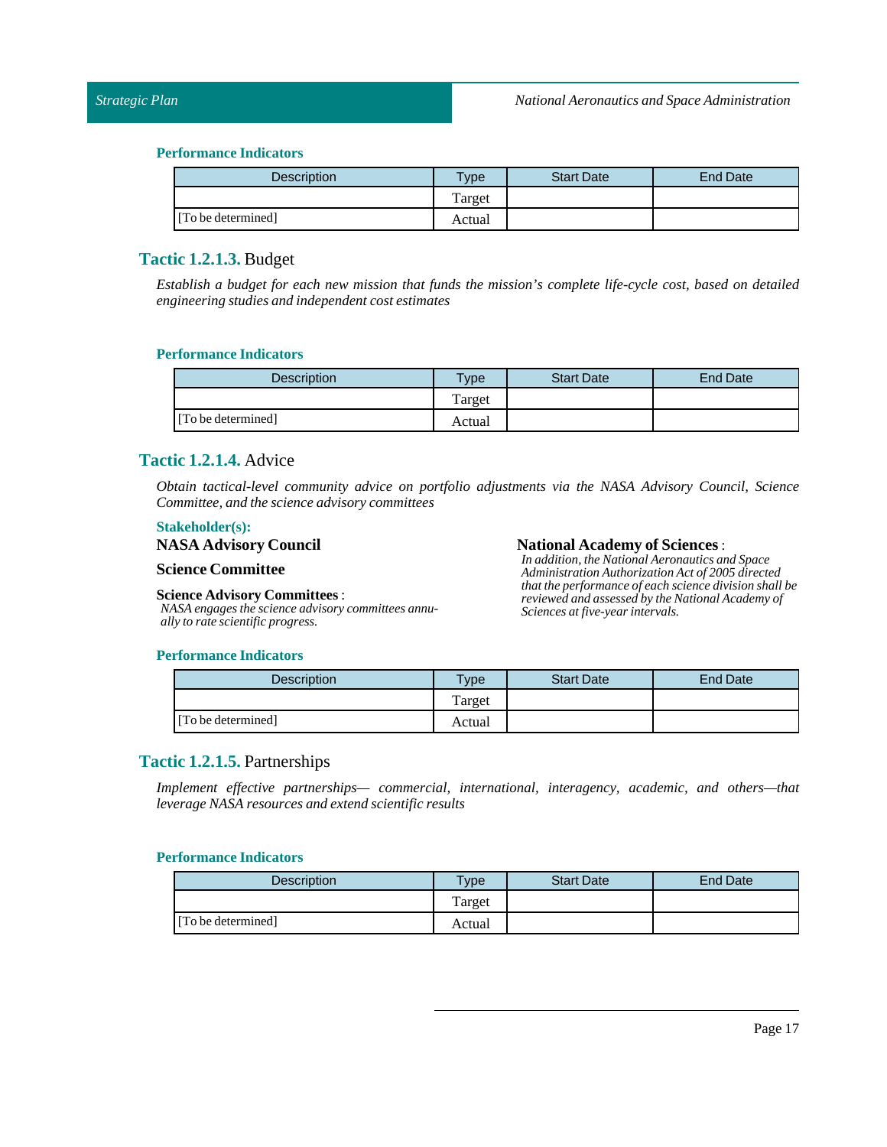| <b>Description</b> | $T$ <sub>ype</sub> | <b>Start Date</b> | End Date |
|--------------------|--------------------|-------------------|----------|
|                    | Target             |                   |          |
| [To be determined] | Actual             |                   |          |

## <span id="page-16-0"></span>**Tactic 1.2.1.3.** Budget

Establish a budget for each new mission that funds the mission's complete life-cycle cost, based on detailed *engineering studies and independent cost estimates*

## **Performance Indicators**

| Description        | <b>Vpe</b> | <b>Start Date</b> | End Date |
|--------------------|------------|-------------------|----------|
|                    | Target     |                   |          |
| [To be determined] | Actual     |                   |          |

## <span id="page-16-1"></span>**Tactic 1.2.1.4.** Advice

*Obtain tactical-level community advice on portfolio adjustments via the NASA Advisory Council, Science Committee, and the science advisory committees*

## **Stakeholder(s):**

## **NASA Advisory Council**

## **Science Committee**

## **Science Advisory Committees** :

*NASA engages the science advisory committees annually to rate scientific progress.*

### **National Academy of Sciences**:

*In addition, the National Aeronautics and Space Administration Authorization Act of 2005 directed that the performance of each science division shall be reviewed and assessed by the National Academy of Sciences at five-year intervals.*

## **Performance Indicators**

| <b>Description</b> | $T$ ype | <b>Start Date</b> | <b>End Date</b> |
|--------------------|---------|-------------------|-----------------|
|                    | Target  |                   |                 |
| [To be determined] | Actual  |                   |                 |

## <span id="page-16-2"></span>**Tactic 1.2.1.5.** Partnerships

*Implement effective partnerships— commercial, international, interagency, academic, and others—that leverage NASA resources and extend scientific results*

| <b>Description</b> | <b>Vpe</b> | <b>Start Date</b> | <b>End Date</b> |
|--------------------|------------|-------------------|-----------------|
|                    | Target     |                   |                 |
| [To be determined] | Actual     |                   |                 |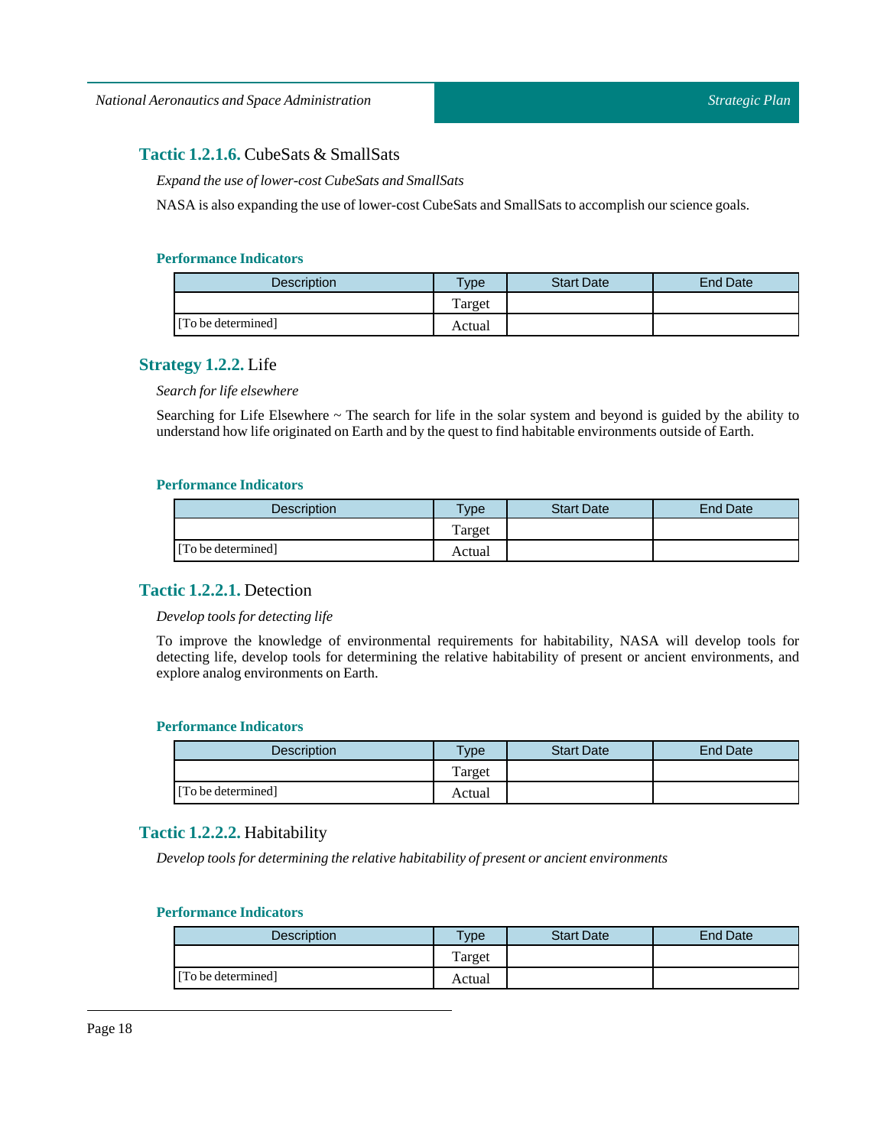## <span id="page-17-0"></span>**Tactic 1.2.1.6.** CubeSats & SmallSats

*Expand the use oflower-cost CubeSats and SmallSats*

NASA is also expanding the use of lower-cost CubeSats and SmallSats to accomplish our science goals.

## **Performance Indicators**

| Description        | $T$ <sub>V</sub> pe | <b>Start Date</b> | End Date |
|--------------------|---------------------|-------------------|----------|
|                    | Target              |                   |          |
| [To be determined] | Actual              |                   |          |

## <span id="page-17-1"></span>**Strategy 1.2.2.** Life

*Search for life elsewhere*

Searching for Life Elsewhere ~ The search for life in the solar system and beyond is guided by the ability to understand how life originated on Earth and by the questto find habitable environments outside of Earth.

## **Performance Indicators**

| <b>Description</b> | Type   | <b>Start Date</b> | <b>End Date</b> |
|--------------------|--------|-------------------|-----------------|
|                    | Target |                   |                 |
| [To be determined] | Actual |                   |                 |

## <span id="page-17-2"></span>**Tactic 1.2.2.1.** Detection

*Develop tools for detecting life*

To improve the knowledge of environmental requirements for habitability, NASA will develop tools for detecting life, develop tools for determining the relative habitability of present or ancient environments, and explore analog environments on Earth.

## **Performance Indicators**

| <b>Description</b> | <b>Type</b> | <b>Start Date</b> | End Date |
|--------------------|-------------|-------------------|----------|
|                    | Target      |                   |          |
| [To be determined] | Actual      |                   |          |

## <span id="page-17-3"></span>**Tactic 1.2.2.2.** Habitability

*Develop tools for determining the relative habitability of present or ancient environments*

| <b>Description</b> | <b>Type</b> | <b>Start Date</b> | End Date |
|--------------------|-------------|-------------------|----------|
|                    | Target      |                   |          |
| [To be determined] | Actual      |                   |          |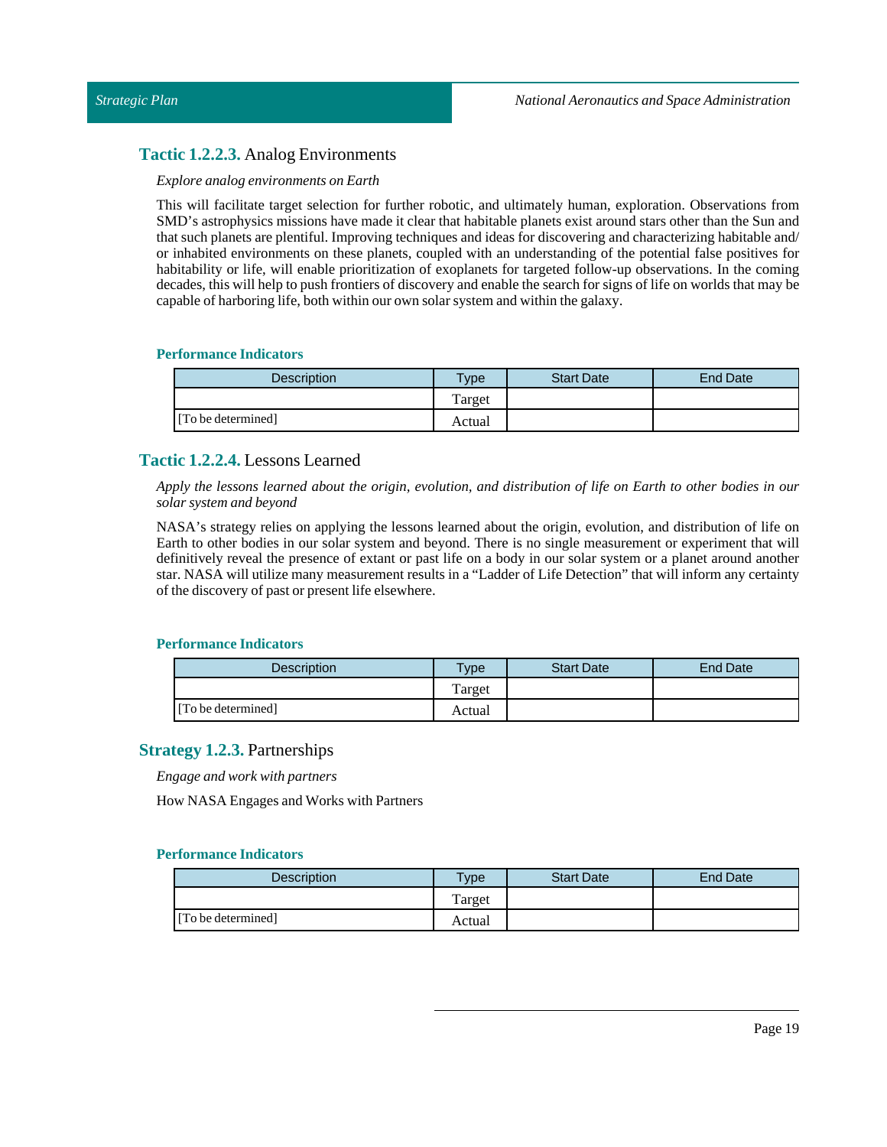## <span id="page-18-0"></span>**Tactic 1.2.2.3.** Analog Environments

### *Explore analog environments on Earth*

This will facilitate target selection for further robotic, and ultimately human, exploration. Observations from SMD's astrophysics missions have made it clear that habitable planets exist around stars other than the Sun and that such planets are plentiful. Improving techniques and ideas for discovering and characterizing habitable and/ or inhabited environments on these planets, coupled with an understanding of the potential false positives for habitability or life, will enable prioritization of exoplanets for targeted follow-up observations. In the coming decades, this will help to push frontiers of discovery and enable the search for signs of life on worlds that may be capable of harboring life, both within our own solar system and within the galaxy.

### **Performance Indicators**

| Description        | <b>Vpe</b> | <b>Start Date</b> | End Date |
|--------------------|------------|-------------------|----------|
|                    | Target     |                   |          |
| [To be determined] | Actual     |                   |          |

## <span id="page-18-1"></span>**Tactic 1.2.2.4.** Lessons Learned

Apply the lessons learned about the origin, evolution, and distribution of life on Earth to other bodies in our *solar system and beyond*

NASA's strategy relies on applying the lessons learned about the origin, evolution, and distribution of life on Earth to other bodies in our solar system and beyond. There is no single measurement or experiment that will definitively reveal the presence of extant or past life on a body in our solar system or a planet around another star. NASA will utilize many measurement results in a "Ladder of Life Detection" that will inform any certainty of the discovery of past or present life elsewhere.

### **Performance Indicators**

| <b>Description</b> | $T$ ype | <b>Start Date</b> | End Date |
|--------------------|---------|-------------------|----------|
|                    | Target  |                   |          |
| [To be determined] | Actual  |                   |          |

## <span id="page-18-2"></span>**Strategy 1.2.3.** Partnerships

*Engage and work with partners*

How NASA Engages and Works with Partners

| Description        | Type   | <b>Start Date</b> | End Date |
|--------------------|--------|-------------------|----------|
|                    | Target |                   |          |
| [To be determined] | Actual |                   |          |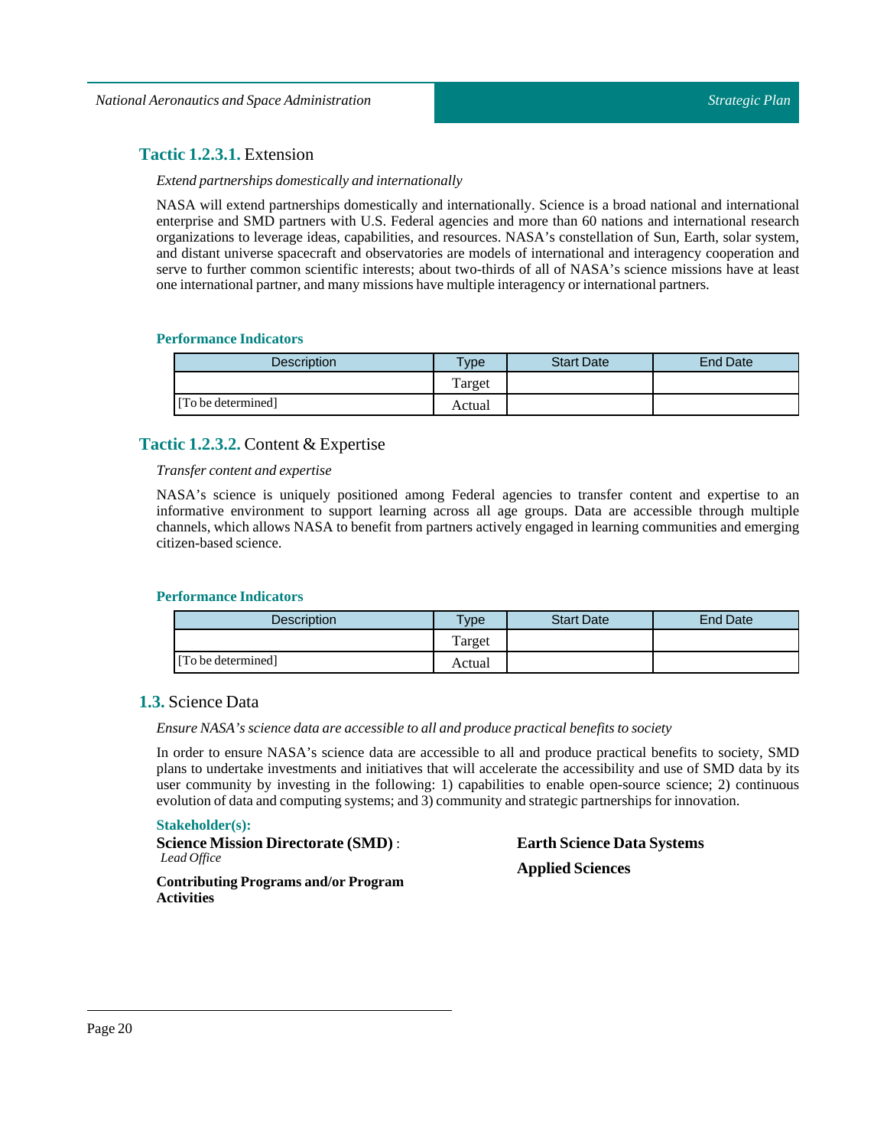## <span id="page-19-0"></span>**Tactic 1.2.3.1.** Extension

## *Extend partnerships domestically and internationally*

NASA will extend partnerships domestically and internationally. Science is a broad national and international enterprise and SMD partners with U.S. Federal agencies and more than 60 nations and international research organizations to leverage ideas, capabilities, and resources. NASA's constellation of Sun, Earth, solar system, and distant universe spacecraft and observatories are models of international and interagency cooperation and serve to further common scientific interests; about two-thirds of all of NASA's science missions have at least one international partner, and many missions have multiple interagency or international partners.

## **Performance Indicators**

| Description        | $T$ ype | <b>Start Date</b> | End Date |
|--------------------|---------|-------------------|----------|
|                    | Target  |                   |          |
| [To be determined] | Actual  |                   |          |

## <span id="page-19-1"></span>**Tactic 1.2.3.2.** Content & Expertise

### *Transfer content and expertise*

NASA's science is uniquely positioned among Federal agencies to transfer content and expertise to an informative environment to support learning across all age groups. Data are accessible through multiple channels, which allows NASA to benefit from partners actively engaged in learning communities and emerging citizen-based science.

#### **Performance Indicators**

| <b>Description</b> | $T$ vpe | <b>Start Date</b> | <b>End Date</b> |
|--------------------|---------|-------------------|-----------------|
|                    | Target  |                   |                 |
| [To be determined] | Actual  |                   |                 |

## <span id="page-19-2"></span>**1.3.** Science Data

### *Ensure NASA's science data are accessible to all and produce practical benefits to society*

In order to ensure NASA's science data are accessible to all and produce practical benefits to society, SMD plans to undertake investments and initiatives that will accelerate the accessibility and use of SMD data by its user community by investing in the following: 1) capabilities to enable open-source science; 2) continuous evolution of data and computing systems; and 3) community and strategic partnerships for innovation.

#### **Stakeholder(s):**

**Science Mission Directorate (SMD)** : *Lead Office*

## **Earth Science Data Systems Applied Sciences**

**Contributing Programs and/or Program Activities**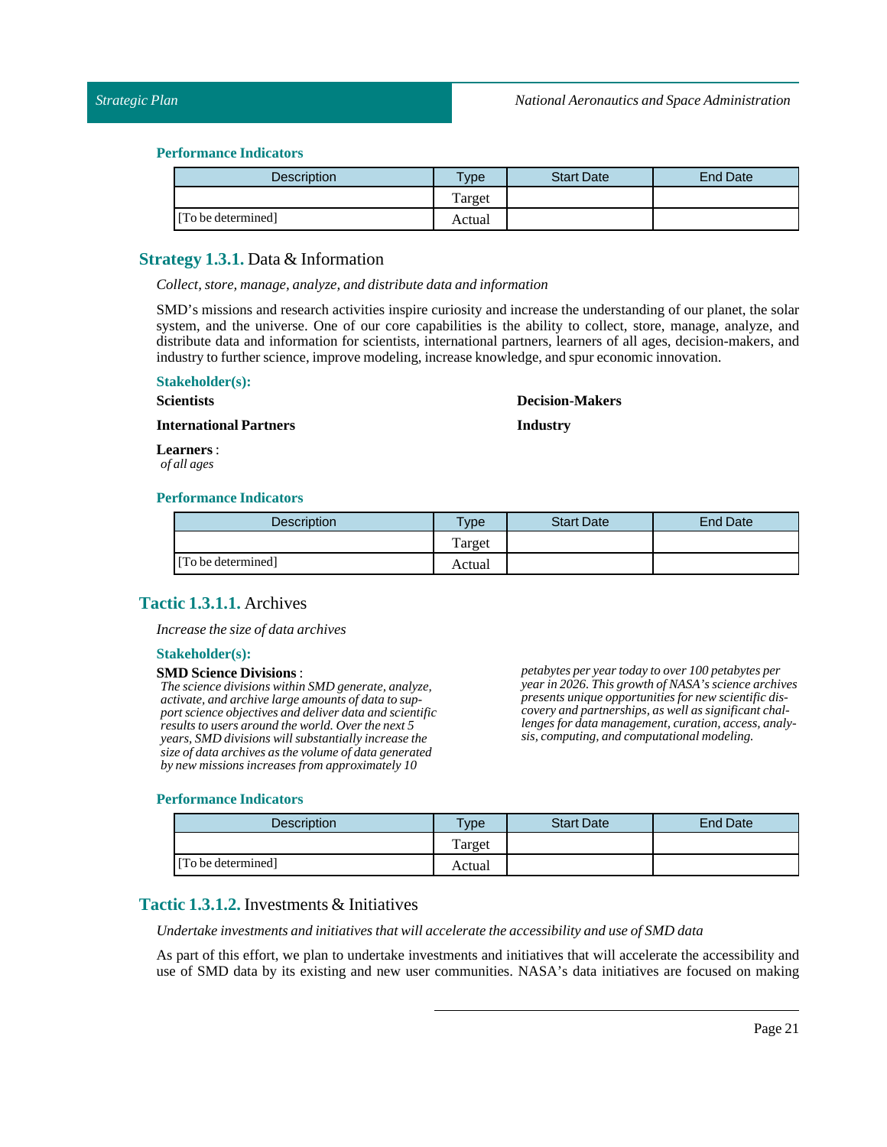### *Strategic Plan*

### **Performance Indicators**

| Description        | Type   | <b>Start Date</b> | <b>End Date</b> |
|--------------------|--------|-------------------|-----------------|
|                    | Target |                   |                 |
| [To be determined] | Actual |                   |                 |

## <span id="page-20-0"></span>**Strategy 1.3.1.** Data & Information

*Collect, store, manage, analyze, and distribute data and information*

SMD's missions and research activities inspire curiosity and increase the understanding of our planet, the solar system, and the universe. One of our core capabilities is the ability to collect, store, manage, analyze, and distribute data and information for scientists, international partners, learners of all ages, decision-makers, and industry to further science, improve modeling, increase knowledge, and spur economic innovation.

## **Stakeholder(s):**

#### **Scientists**

## **Decision-Makers**

**International Partners**

**Industry**

**Learners**: *of all ages*

### **Performance Indicators**

| <b>Description</b> | $T$ <sub>ype</sub> | <b>Start Date</b> | <b>End Date</b> |
|--------------------|--------------------|-------------------|-----------------|
|                    | Target             |                   |                 |
| [To be determined] | Actual             |                   |                 |

## <span id="page-20-1"></span>**Tactic 1.3.1.1.** Archives

*Increase the size of data archives*

#### **Stakeholder(s):**

#### **SMD Science Divisions**:

*The science divisions within SMD generate, analyze, activate, and archive large amounts of data to support science objectives and deliver data and scientific results to users around the world. Over the next 5 years, SMD divisions will substantially increase the size of data archives as the volume of data generated by new missions increases from approximately 10*

#### *petabytes per year today to over 100 petabytes per year in 2026. This growth of NASA's science archives presents unique opportunities for new scientific discovery and partnerships, as well as significant challenges for data management, curation, access, analysis, computing, and computational modeling.*

#### **Performance Indicators**

| <b>Description</b> | Type   | <b>Start Date</b> | End Date |
|--------------------|--------|-------------------|----------|
|                    | Target |                   |          |
| [To be determined] | Actual |                   |          |

## <span id="page-20-2"></span>**Tactic 1.3.1.2.** Investments & Initiatives

*Undertake investments and initiatives that will accelerate the accessibility and use of SMD data*

As part of this effort, we plan to undertake investments and initiatives that will accelerate the accessibility and use of SMD data by its existing and new user communities. NASA's data initiatives are focused on making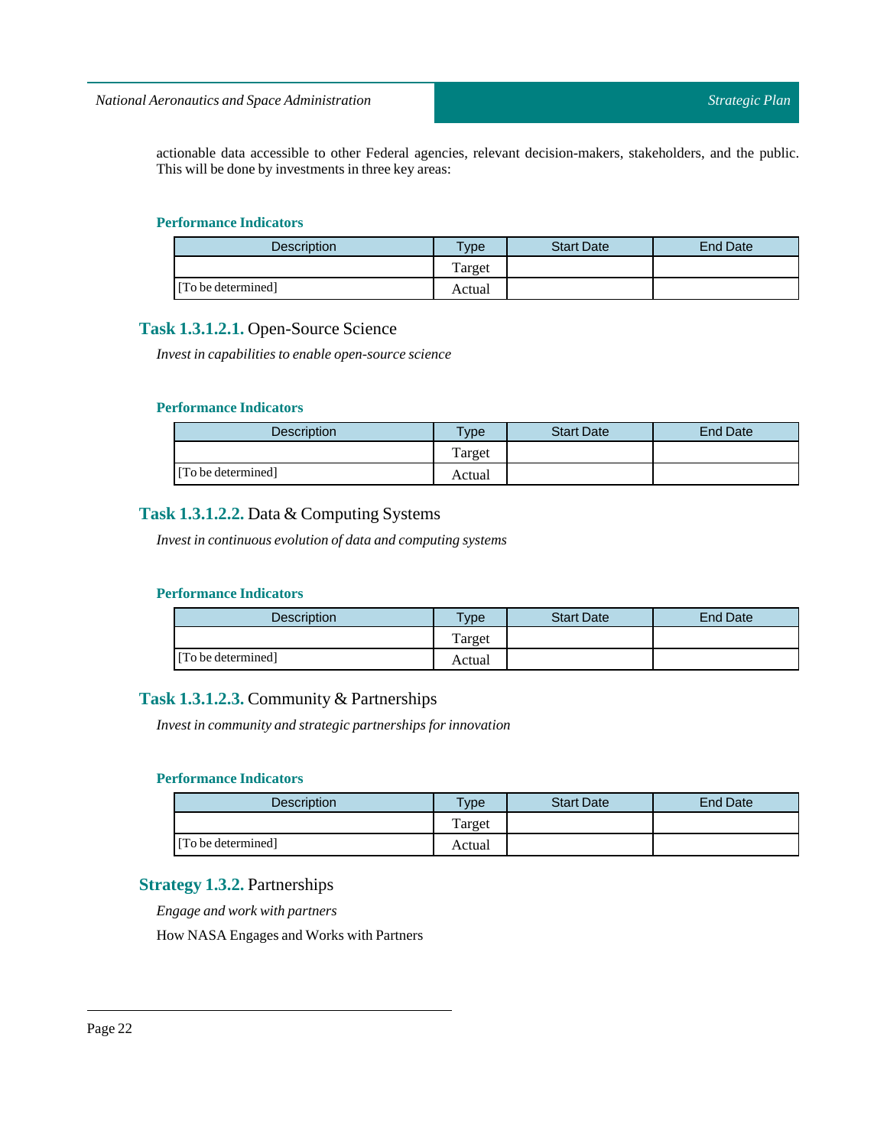actionable data accessible to other Federal agencies, relevant decision-makers, stakeholders, and the public. This will be done by investments in three key areas:

### **Performance Indicators**

| <b>Description</b> | $v_{\rm p}$ | <b>Start Date</b> | <b>End Date</b> |
|--------------------|-------------|-------------------|-----------------|
|                    | Target      |                   |                 |
| [To be determined] | Actual      |                   |                 |

## <span id="page-21-0"></span>**Task 1.3.1.2.1.** Open-Source Science

*Investin capabilities to enable open-source science*

## **Performance Indicators**

| <b>Description</b> | vpe    | <b>Start Date</b> | <b>End Date</b> |
|--------------------|--------|-------------------|-----------------|
|                    | Target |                   |                 |
| [To be determined] | Actual |                   |                 |

## <span id="page-21-1"></span>**Task 1.3.1.2.2.** Data & Computing Systems

*Investin continuous evolution of data and computing systems*

## **Performance Indicators**

| <b>Description</b> | <b>Type</b> | <b>Start Date</b> | <b>End Date</b> |
|--------------------|-------------|-------------------|-----------------|
|                    | l'arget     |                   |                 |
| [To be determined] | Actual      |                   |                 |

## <span id="page-21-2"></span>**Task 1.3.1.2.3.** Community & Partnerships

*Investin community and strategic partnerships for innovation*

## **Performance Indicators**

| <b>Description</b> | $T$ <sub>V</sub> $pe$ | <b>Start Date</b> | End Date |
|--------------------|-----------------------|-------------------|----------|
|                    | Target                |                   |          |
| [To be determined] | Actual                |                   |          |

## <span id="page-21-3"></span>**Strategy 1.3.2.** Partnerships

*Engage and work with partners*

How NASA Engages and Works with Partners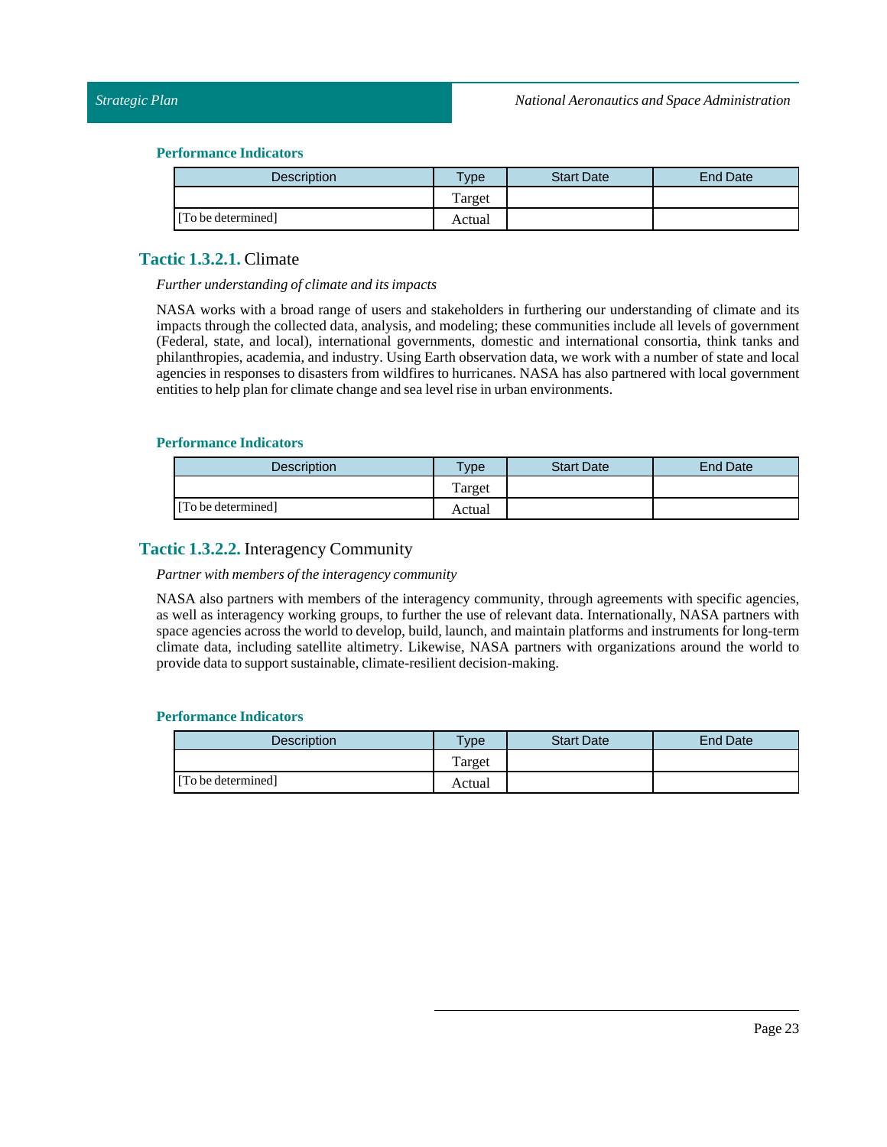| Description        | Type   | <b>Start Date</b> | <b>End Date</b> |
|--------------------|--------|-------------------|-----------------|
|                    | Target |                   |                 |
| [To be determined] | Actual |                   |                 |

## <span id="page-22-0"></span>**Tactic 1.3.2.1.** Climate

### *Further understanding of climate and its impacts*

NASA works with a broad range of users and stakeholders in furthering our understanding of climate and its impacts through the collected data, analysis, and modeling; these communities include all levels of government (Federal, state, and local), international governments, domestic and international consortia, think tanks and philanthropies, academia, and industry. Using Earth observation data, we work with a number of state and local agencies in responses to disasters from wildfires to hurricanes. NASA has also partnered with local government entities to help plan for climate change and sea level rise in urban environments.

### **Performance Indicators**

| <b>Description</b> | <b>Type</b> | <b>Start Date</b> | <b>End Date</b> |
|--------------------|-------------|-------------------|-----------------|
|                    | Target      |                   |                 |
| [To be determined] | Actual      |                   |                 |

## <span id="page-22-1"></span>**Tactic 1.3.2.2.** Interagency Community

### *Partner* with *members* of the *interagency community*

NASA also partners with members of the interagency community, through agreements with specific agencies, as well as interagency working groups, to further the use of relevant data. Internationally, NASA partners with space agencies across the world to develop, build, launch, and maintain platforms and instruments for long-term climate data, including satellite altimetry. Likewise, NASA partners with organizations around the world to provide data to support sustainable, climate-resilient decision-making.

| <b>Description</b> | $T$ <sub>V</sub> pe | <b>Start Date</b> | End Date |
|--------------------|---------------------|-------------------|----------|
|                    | Target              |                   |          |
| [To be determined] | Actual              |                   |          |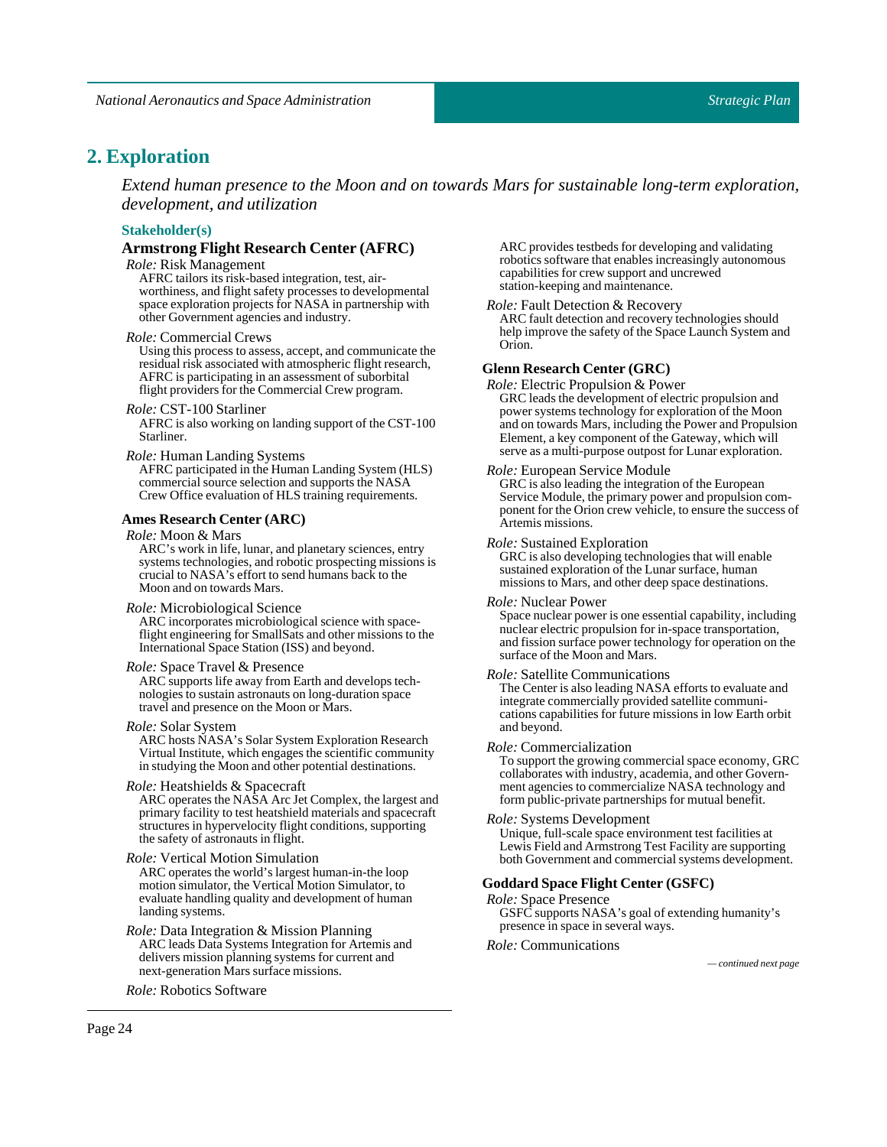## <span id="page-23-0"></span>2. **Exploration**

*Extend human presence to the Moon and on towards Mars for sustainable long-term exploration, development, and utilization*

## **Stakeholder(s)**

### **Armstrong Flight Research Center (AFRC)**

*Role:* Risk Management

AFRC tailors its risk-based integration, test, airworthiness, and flight safety processes to developmental space exploration projects for NASA in partnership with other Government agencies and industry.

#### *Role:* Commercial Crews

Using this process to assess, accept, and communicate the residual risk associated with atmospheric flight research, AFRC is participating in an assessment of suborbital flight providers for the Commercial Crew program.

#### *Role:* CST-100Starliner

AFRC is also working on landing support of the CST-100 Starliner.

#### *Role:* Human Landing Systems

AFRC participated in the Human Landing System (HLS) commercial source selection and supports the NASA Crew Office evaluation of HLS training requirements.

#### **Ames Research Center (ARC)**

### *Role:* Moon & Mars

ARC's work in life, lunar, and planetary sciences, entry systems technologies, and robotic prospecting missions is crucial to NASA's effort to send humans back to the Moon and on towards Mars.

#### *Role:* Microbiological Science

ARC incorporates microbiological science with spaceflight engineering for SmallSats and other missions to the International Space Station (ISS) and beyond.

#### *Role:*Space Travel & Presence

ARC supports life away from Earth and develops technologies to sustain astronauts on long-duration space travel and presence on the Moon or Mars.

#### *Role:*SolarSystem

ARC hosts NASA's Solar System Exploration Research Virtual Institute, which engages the scientific community in studying the Moon and other potential destinations.

#### *Role:* Heatshields & Spacecraft

ARC operates the NASA Arc Jet Complex, the largest and primary facility to test heatshield materials and spacecraft structures in hypervelocity flight conditions, supporting the safety of astronauts in flight.

#### *Role:* Vertical Motion Simulation

ARC operates the world's largest human-in-the loop motion simulator, the Vertical Motion Simulator, to evaluate handling quality and development of human landing systems.

### *Role:* Data Integration & Mission Planning

ARC leads Data Systems Integration for Artemis and delivers mission planning systems for current and next-generation Mars surface missions.

*Role:* Robotics Software

ARC provides testbeds for developing and validating robotics software that enables increasingly autonomous capabilities for crew support and uncrewed station-keeping and maintenance.

#### *Role:*Fault Detection & Recovery

ARC fault detection and recovery technologies should help improve the safety of the Space Launch System and Orion.

#### **Glenn Research Center (GRC)**

*Role:* Electric Propulsion & Power GRC leads the development of electric propulsion and power systems technology for exploration of the Moon and on towards Mars, including the Power and Propulsion Element, a key component of the Gateway, which will serve as a multi-purpose outpost for Lunar exploration.

#### *Role:* European Service Module

GRC is also leading the integration of the European Service Module, the primary power and propulsion component for the Orion crew vehicle, to ensure the success of Artemis missions.

#### *Role:*Sustained Exploration

GRC is also developing technologies that will enable sustained exploration of the Lunar surface, human missions to Mars, and other deep space destinations.

#### *Role:* Nuclear Power

Space nuclear power is one essential capability, including nuclear electric propulsion for in-space transportation, and fission surface power technology for operation on the surface of the Moon and Mars.

#### *Role:*Satellite Communications

The Center is also leading NASA efforts to evaluate and integrate commercially provided satellite communications capabilities for future missions in low Earth orbit and beyond.

#### *Role:* Commercialization

To support the growing commercial space economy, GRC collaborates with industry, academia, and other Government agencies to commercialize NASA technology and form public-private partnerships for mutual benefit.

#### *Role:*Systems Development

Unique, full-scale space environment test facilities at Lewis Field and Armstrong Test Facility are supporting both Government and commercial systems development.

#### **GoddardSpace Flight Center (GSFC)**

#### *Role:* Space Presence

GSFC supports NASA's goal of extending humanity's presence in space in several ways.

#### *Role:* Communications

*— continued next page*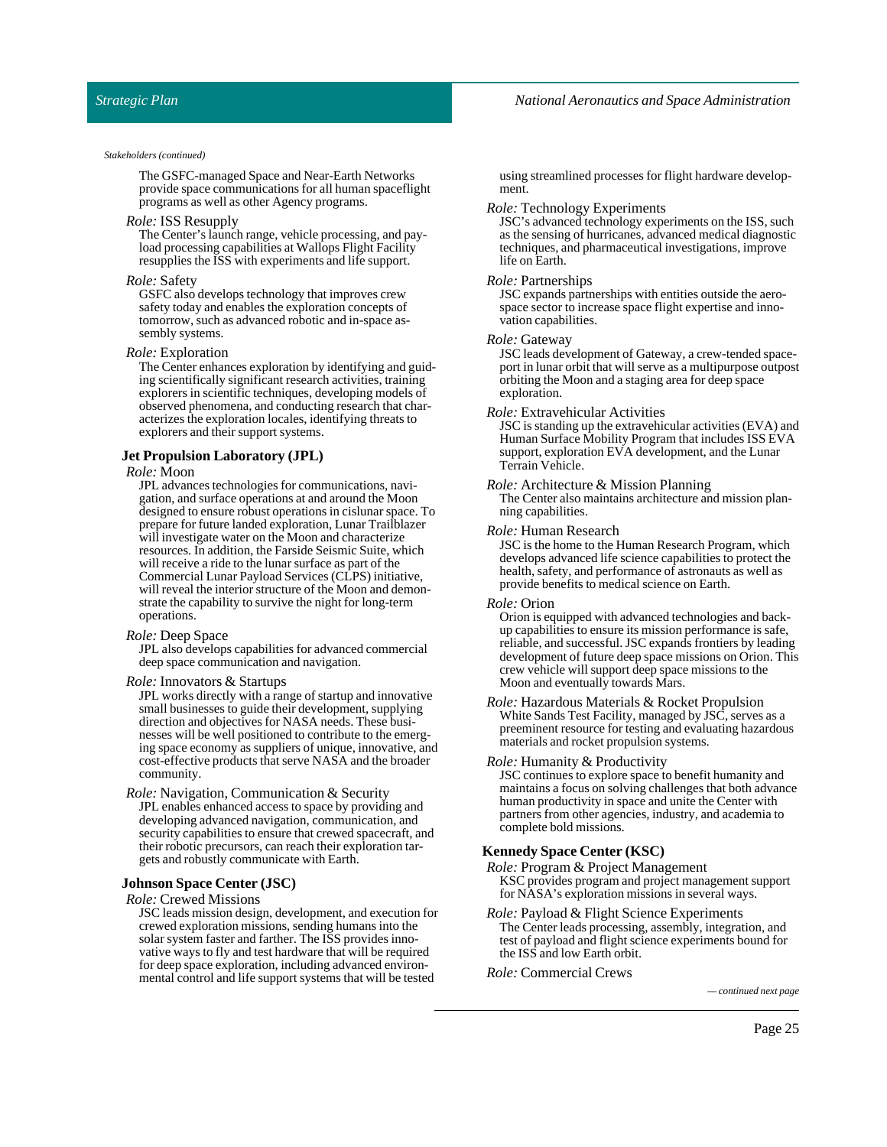The GSFC-managed Space and Near-Earth Networks provide space communications for all human spaceflight programs as well as other Agency programs.

#### *Role:* ISS Resupply

The Center's launch range, vehicle processing, and payload processing capabilities at Wallops Flight Facility resupplies the ISS with experiments and life support.

#### *Role:*Safety

GSFC also develops technology that improves crew safety today and enables the exploration concepts of tomorrow, such as advanced robotic and in-space assembly systems.

#### *Role:* Exploration

The Center enhances exploration by identifying and guiding scientifically significant research activities, training explorers in scientific techniques, developing models of observed phenomena, and conducting research that characterizes the exploration locales, identifying threats to explorers and their support systems.

#### **Jet Propulsion Laboratory (JPL)**

### *Role:* Moon

JPL advances technologies for communications, navigation, and surface operations at and around the Moon designed to ensure robust operations in cislunar space. To prepare for future landed exploration, Lunar Trailblazer will investigate water on the Moon and characterize resources. In addition, the Farside Seismic Suite, which will receive a ride to the lunar surface as part of the Commercial Lunar Payload Services (CLPS) initiative, will reveal the interior structure of the Moon and demonstrate the capability to survive the night for long-term operations.

#### *Role:* DeepSpace

JPL also develops capabilities for advanced commercial deep space communication and navigation.

#### *Role:* Innovators & Startups

JPL works directly with a range of startup and innovative small businesses to guide their development, supplying direction and objectives for NASA needs. These businesses will be well positioned to contribute to the emerging space economy as suppliers of unique, innovative, and cost-effective products that serve NASA and the broader community.

*Role:* Navigation, Communication & Security JPL enables enhanced access to space by providing and developing advanced navigation, communication, and security capabilities to ensure that crewed spacecraft, and their robotic precursors, can reach their exploration targets and robustly communicate with Earth.

#### **JohnsonSpace Center (JSC)**

#### *Role:* Crewed Missions

JSC leads mission design, development, and execution for crewed exploration missions, sending humans into the solar system faster and farther. The ISS provides innovative ways to fly and test hardware that will be required for deep space exploration, including advanced environmental control and life support systems that will be tested

using streamlined processes for flight hardware development.

#### *Role:* Technology Experiments

JSC's advanced technology experiments on the ISS, such as the sensing of hurricanes, advanced medical diagnostic techniques, and pharmaceutical investigations, improve life on Earth.

#### *Role:* Partnerships

JSC expands partnerships with entities outside the aerospace sector to increase space flight expertise and innovation capabilities.

#### *Role:* Gateway

JSC leads development of Gateway, a crew-tended spaceport in lunar orbit that will serve as a multipurpose outpost orbiting the Moon and a staging area for deep space exploration.

#### *Role:* Extravehicular Activities

JSC is standing up the extravehicular activities (EVA) and Human Surface Mobility Program that includes ISS EVA support, exploration EVA development, and the Lunar Terrain Vehicle.

#### *Role:* Architecture & Mission Planning

The Center also maintains architecture and mission planning capabilities.

#### *Role:* Human Research

JSC is the home to the Human Research Program, which develops advanced life science capabilities to protect the health, safety, and performance of astronauts as well as provide benefits to medical science on Earth.

#### *Role:* Orion

Orion is equipped with advanced technologies and backup capabilities to ensure its mission performance is safe, reliable, and successful. JSC expands frontiers by leading development of future deep space missions on Orion. This crew vehicle will support deep space missions to the Moon and eventually towards Mars.

*Role:* Hazardous Materials & Rocket Propulsion White Sands Test Facility, managed by JSC, serves as a preeminent resource for testing and evaluating hazardous materials and rocket propulsion systems.

#### *Role:* Humanity & Productivity

JSC continues to explore space to benefit humanity and maintains a focus on solving challenges that both advance human productivity in space and unite the Center with partners from other agencies, industry, and academia to complete bold missions.

#### **KennedySpace Center (KSC)**

*Role:*Program & Project Management KSC provides program and project management support for NASA's exploration missions in several ways.

*Role:* Payload & Flight Science Experiments The Center leads processing, assembly, integration, and test of payload and flight science experiments bound for the ISS and low Earth orbit.

*Role:* Commercial Crews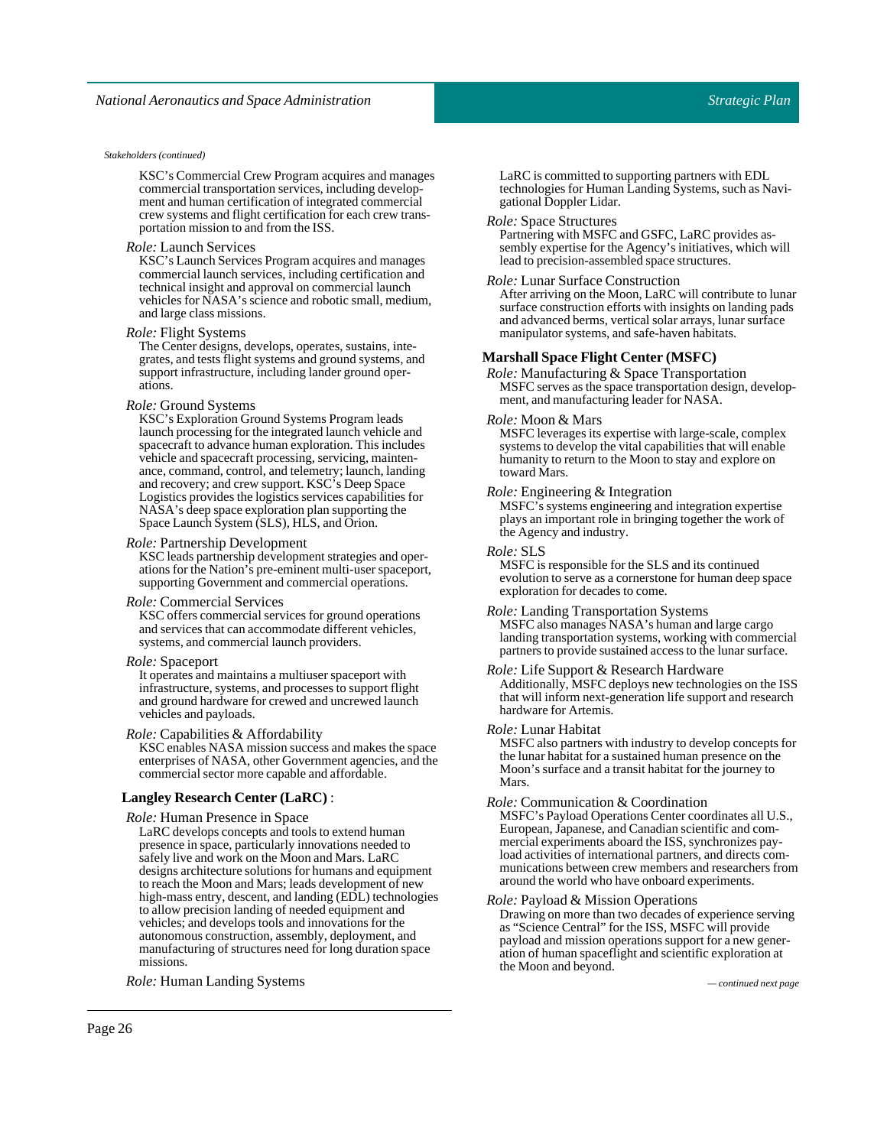KSC's Commercial Crew Program acquires and manages commercial transportation services, including development and human certification of integrated commercial crew systems and flight certification for each crew transportation mission to and from the ISS.

#### *Role:* Launch Services

KSC's Launch Services Program acquires and manages commercial launch services, including certification and technical insight and approval on commercial launch vehicles for NASA's science and robotic small, medium, and large class missions.

#### *Role:* Flight Systems

The Center designs, develops, operates, sustains, integrates, and tests flight systems and ground systems, and support infrastructure, including lander ground operations.

#### *Role:* Ground Systems

KSC's Exploration Ground Systems Program leads launch processing for the integrated launch vehicle and spacecraft to advance human exploration. This includes vehicle and spacecraft processing, servicing, maintenance, command, control, and telemetry; launch, landing and recovery; and crew support. KSC's Deep Space Logistics provides the logistics services capabilities for NASA's deep space exploration plan supporting the Space Launch System (SLS), HLS, and Orion.

#### *Role:*Partnership Development

KSC leads partnership development strategies and operations for the Nation's pre-eminent multi-user spaceport, supporting Government and commercial operations.

#### *Role:* Commercial Services

KSC offers commercial services for ground operations and services that can accommodate different vehicles, systems, and commercial launch providers.

#### *Role:*Spaceport

It operates and maintains a multiuser spaceport with infrastructure, systems, and processes to support flight and ground hardware for crewed and uncrewed launch vehicles and payloads.

*Role:* Capabilities & Affordability

KSC enables NASA mission success and makes the space enterprises of NASA, other Government agencies, and the commercial sector more capable and affordable.

#### **Langley Research Center (LaRC)** :

*Role:* Human Presence in Space

LaRC develops concepts and tools to extend human presence in space, particularly innovations needed to safely live and work on the Moon and Mars. LaRC designs architecture solutions for humans and equipment to reach the Moon and Mars; leads development of new high-mass entry, descent, and landing (EDL) technologies to allow precision landing of needed equipment and vehicles; and develops tools and innovations for the autonomous construction, assembly, deployment, and manufacturing of structures need for long duration space missions.

*Role:* Human LandingSystems *— continued next page*

LaRC is committed to supporting partners with EDL technologies for Human Landing Systems, such as Navigational Doppler Lidar.

#### *Role:*SpaceStructures

Partnering with MSFC and GSFC, LaRC provides assembly expertise for the Agency's initiatives, which will lead to precision-assembled space structures.

#### *Role:* Lunar Surface Construction

After arriving on the Moon, LaRC will contribute to lunar surface construction efforts with insights on landing pads and advanced berms, vertical solar arrays, lunar surface manipulator systems, and safe-haven habitats.

#### **MarshallSpace Flight Center (MSFC)**

*Role:* Manufacturing & Space Transportation MSFC serves as the space transportation design, development, and manufacturing leader for NASA.

#### *Role:* Moon & Mars

MSFC leverages its expertise with large-scale, complex systems to develop the vital capabilities that will enable humanity to return to the Moon to stay and explore on toward Mars.

#### *Role:* Engineering & Integration

MSFC's systems engineering and integration expertise plays an important role in bringing together the work of the Agency and industry.

#### *Role:*SLS

MSFC is responsible for the SLS and its continued evolution to serve as a cornerstone for human deep space exploration for decades to come.

*Role:* Landing Transportation Systems MSFC also manages NASA's human and large cargo landing transportation systems, working with commercial partners to provide sustained access to the lunar surface.

#### *Role:* Life Support & Research Hardware Additionally, MSFC deploys new technologies on the ISS that will inform next-generation life support and research hardware for Artemis.

#### *Role:* Lunar Habitat

MSFC also partners with industry to develop concepts for the lunar habitat for a sustained human presence on the Moon's surface and a transit habitat for the journey to Mars.

#### *Role:* Communication & Coordination

MSFC's Payload Operations Center coordinates all U.S., European, Japanese, and Canadian scientific and commercial experiments aboard the ISS, synchronizes payload activities of international partners, and directs communications between crew members and researchers from around the world who have onboard experiments.

#### *Role:*Payload & Mission Operations

Drawing on more than two decades of experience serving as "Science Central" for the ISS, MSFC will provide payload and mission operations support for a new generation of human spaceflight and scientific exploration at the Moon and beyond.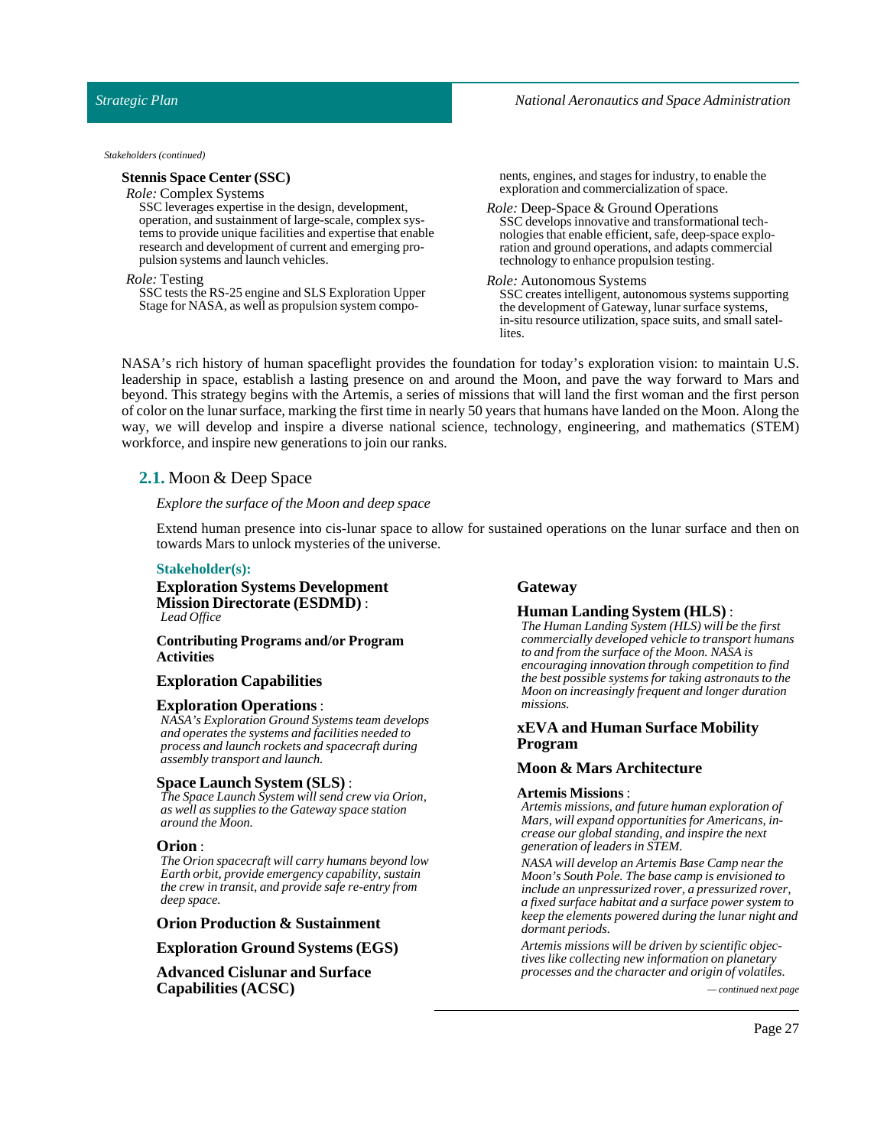#### **StennisSpace Center (SSC)**

#### *Role:* Complex Systems

SSC leverages expertise in the design, development, operation, and sustainment of large-scale, complex systems to provide unique facilities and expertise that enable research and development of current and emerging propulsion systems and launch vehicles.

#### *Role:* Testing

SSC tests the RS-25 engine and SLS Exploration Upper Stage for NASA, as well as propulsion system components, engines, and stages for industry, to enable the exploration and commercialization of space.

*Role:* Deep-Space & Ground Operations SSC develops innovative and transformational technologies that enable efficient, safe, deep-space exploration and ground operations, and adapts commercial technology to enhance propulsion testing.

#### *Role:* Autonomous Systems

SSC creates intelligent, autonomous systems supporting the development of Gateway, lunar surface systems, in-situ resource utilization, space suits, and small satellites.

NASA's rich history of human spaceflight provides the foundation for today's exploration vision: to maintain U.S. leadership in space, establish a lasting presence on and around the Moon, and pave the way forward to Mars and beyond. This strategy begins with the Artemis, a series of missions that will land the first woman and the first person of color on the lunar surface, marking the firsttime in nearly 50 years that humans have landed on the Moon. Along the way, we will develop and inspire a diverse national science, technology, engineering, and mathematics (STEM) workforce, and inspire new generations to join our ranks.

## <span id="page-26-0"></span>**2.1.** Moon & Deep Space

### *Explore the surface ofthe Moon and deep space*

Extend human presence into cis-lunar space to allow for sustained operations on the lunar surface and then on towards Mars to unlock mysteries of the universe.

### **Stakeholder(s):**

**Exploration Systems Development Mission Directorate (ESDMD)** : *Lead Office*

#### **Contributing Programs and/or Program Activities**

### **Exploration Capabilities**

#### **Exploration Operations**:

*NASA's Exploration Ground Systems team develops and operates the systems and facilities needed to process and launch rockets and spacecraft during assembly transport and launch.*

#### **Space Launch System (SLS)** :

*The Space Launch System will send crew via Orion, as well as supplies to the Gateway space station around the Moon.*

#### **Orion** :

*The Orion spacecraft will carry humans beyond low Earth orbit, provide emergency capability, sustain the crew in transit, and provide safe re-entry from deep space.*

### **Orion Production & Sustainment**

**Exploration Ground Systems (EGS)**

**Advanced Cislunar and Surface Capabilities(ACSC)** *— continued next page*

#### **Gateway**

## **Human Landing System (HLS)** :

*The Human Landing System (HLS) will be the first commercially developed vehicle to transport humans to and from the surface of the Moon. NASA is encouraging innovation through competition to find the best possible systems for taking astronauts to the Moon on increasingly frequent and longer duration missions.*

### **xEVA and Human Surface Mobility Program**

### **Moon & Mars Architecture**

#### **Artemis Missions**:

*Artemis missions, and future human exploration of Mars, will expand opportunities for Americans, increase our global standing, and inspire the next generation of leaders in STEM.*

*NASA will develop an Artemis Base Camp near the Moon's South Pole. The base camp is envisioned to include an unpressurized rover, a pressurized rover, a fixed surface habitat and a surface power system to keep the elements powered during the lunar night and dormant periods.*

*Artemis missions will be driven by scientific objectives like collecting new information on planetary processes and the character and origin of volatiles.*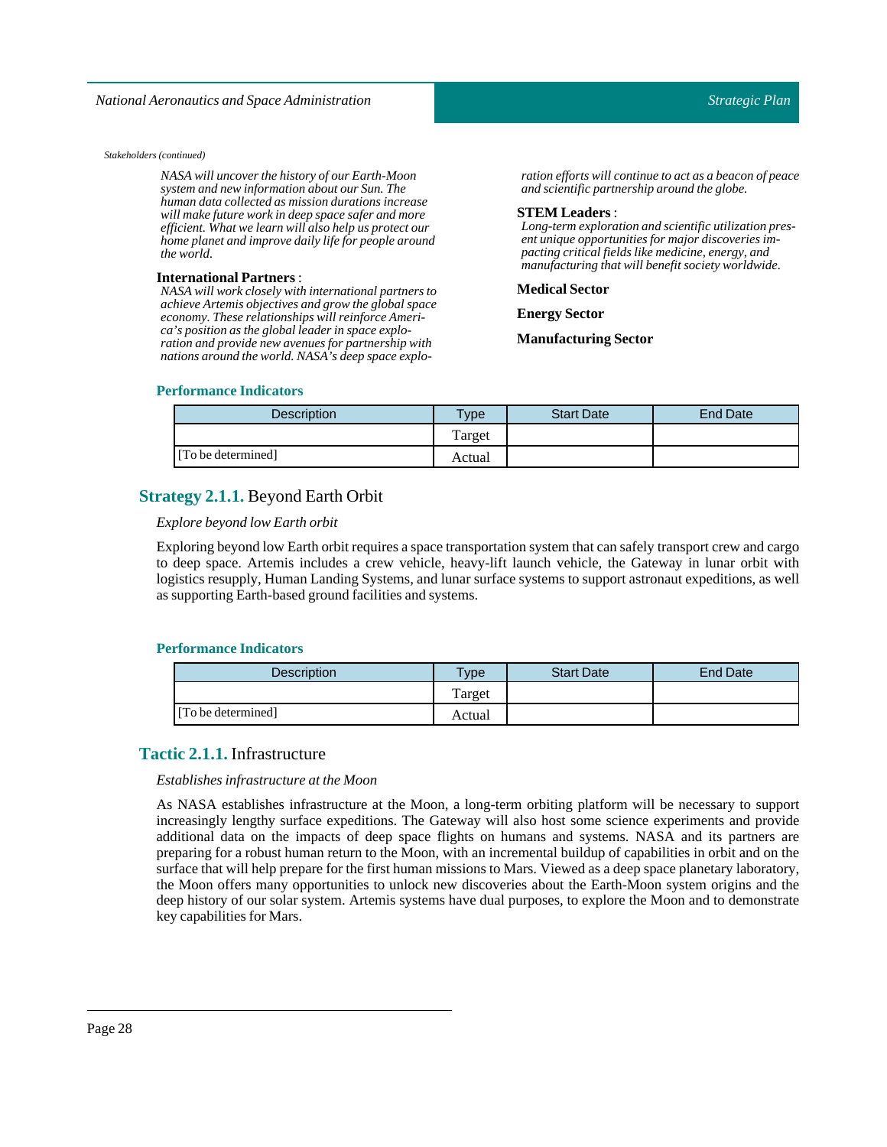*NASA will uncover the history of our Earth-Moon system and new information about our Sun. The human data collected as mission durations increase will make future work in deep space safer and more efficient. What we learn will also help us protect our home planet and improve daily life for people around the world.*

#### **International Partners**:

*NASA will work closely with international partners to achieve Artemis objectives and grow the global space economy. These relationships will reinforce America's position as the global leader in space exploration and provide new avenues for partnership with nations around the world. NASA's deep space explo-* *ration efforts will continue to act as a beacon of peace and scientific partnership around the globe.*

#### **STEM Leaders**:

*Long-term exploration and scientific utilization present unique opportunities for major discoveries impacting critical fields like medicine, energy, and manufacturing that will benefit society worldwide.*

#### **Medical Sector**

**Energy Sector** 

**ManufacturingSector**

### **Performance Indicators**

| <b>Description</b> | Type   | <b>Start Date</b> | End Date |
|--------------------|--------|-------------------|----------|
|                    | Target |                   |          |
| [To be determined] | Actual |                   |          |

## <span id="page-27-0"></span>**Strategy 2.1.1.** Beyond Earth Orbit

#### *Explore beyond low Earth orbit*

Exploring beyond low Earth orbit requires a space transportation system that can safely transport crew and cargo to deep space. Artemis includes a crew vehicle, heavy-lift launch vehicle, the Gateway in lunar orbit with logistics resupply, Human Landing Systems, and lunar surface systems to support astronaut expeditions, as well as supporting Earth-based ground facilities and systems.

### **Performance Indicators**

| <b>Description</b> | <b>Type</b> | <b>Start Date</b> | End Date |
|--------------------|-------------|-------------------|----------|
|                    | Target      |                   |          |
| [To be determined] | Actual      |                   |          |

## <span id="page-27-1"></span>**Tactic 2.1.1.** Infrastructure

#### $Establishes$  *infrastructure at the Moon*

As NASA establishes infrastructure at the Moon, a long-term orbiting platform will be necessary to support increasingly lengthy surface expeditions. The Gateway will also host some science experiments and provide additional data on the impacts of deep space flights on humans and systems. NASA and its partners are preparing for a robust human return to the Moon, with an incremental buildup of capabilities in orbit and on the surface that will help prepare for the first human missions to Mars. Viewed as a deep space planetary laboratory, the Moon offers many opportunities to unlock new discoveries about the Earth-Moon system origins and the deep history of our solar system. Artemis systems have dual purposes, to explore the Moon and to demonstrate key capabilities for Mars.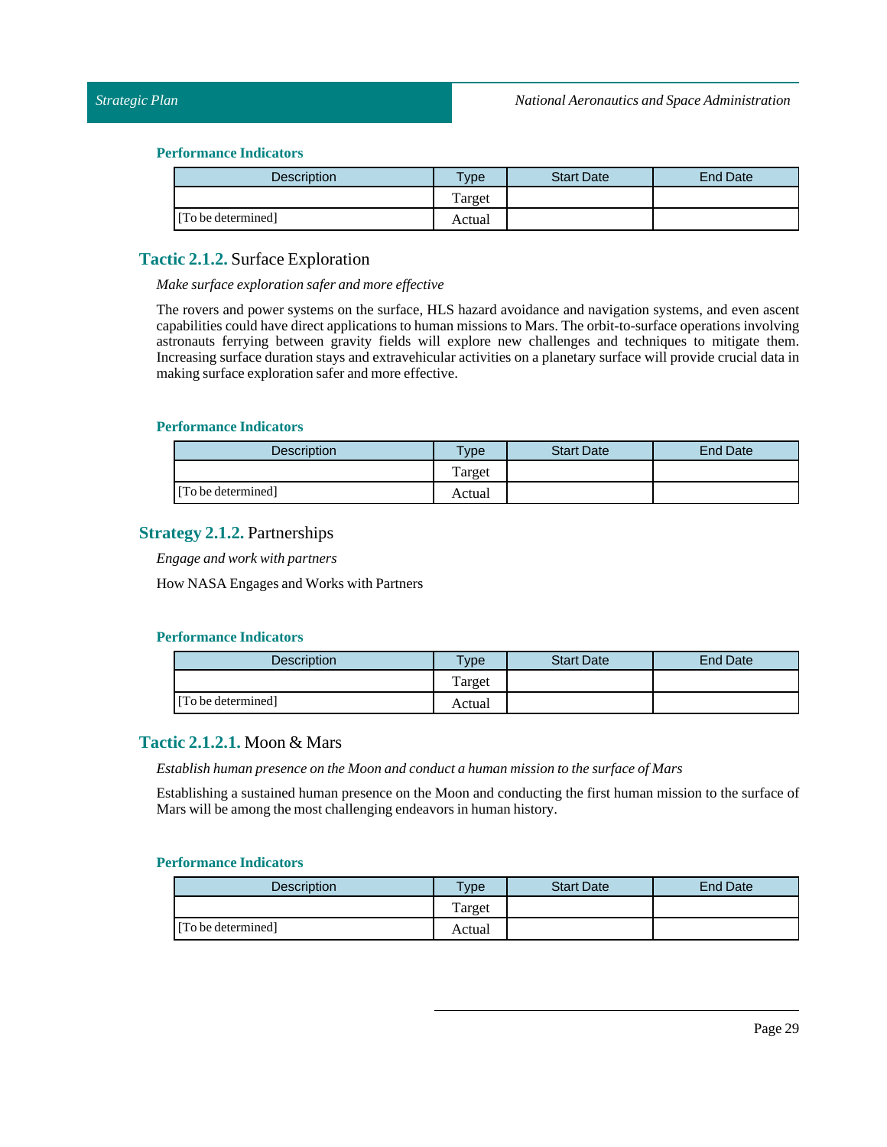| Description        | Type   | <b>Start Date</b> | <b>End Date</b> |
|--------------------|--------|-------------------|-----------------|
|                    | Target |                   |                 |
| [To be determined] | Actual |                   |                 |

## <span id="page-28-0"></span>**Tactic 2.1.2.** Surface Exploration

#### *Make surface exploration safer and more effective*

The rovers and power systems on the surface, HLS hazard avoidance and navigation systems, and even ascent capabilities could have direct applications to human missions to Mars. The orbit-to-surface operations involving astronauts ferrying between gravity fields will explore new challenges and techniques to mitigate them. Increasing surface duration stays and extravehicular activities on a planetary surface will provide crucial data in making surface exploration safer and more effective.

#### **Performance Indicators**

| Description        | $T$ ype | <b>Start Date</b> | End Date |
|--------------------|---------|-------------------|----------|
|                    | Target  |                   |          |
| [To be determined] | Actual  |                   |          |

## <span id="page-28-1"></span>**Strategy 2.1.2.** Partnerships

*Engage and work with partners*

How NASA Engages and Works with Partners

## **Performance Indicators**

| <b>Description</b> | $T$ vpe | <b>Start Date</b> | End Date |
|--------------------|---------|-------------------|----------|
|                    | Target  |                   |          |
| [To be determined] | Actual  |                   |          |

## <span id="page-28-2"></span>**Tactic 2.1.2.1.** Moon & Mars

*Establish human presence on the Moon and conduct a human mission to the surface of Mars*

Establishing a sustained human presence on the Moon and conducting the first human mission to the surface of Mars will be among the most challenging endeavors in human history.

| <b>Description</b> | <b>Type</b> | <b>Start Date</b> | End Date |
|--------------------|-------------|-------------------|----------|
|                    | Target      |                   |          |
| [To be determined] | Actual      |                   |          |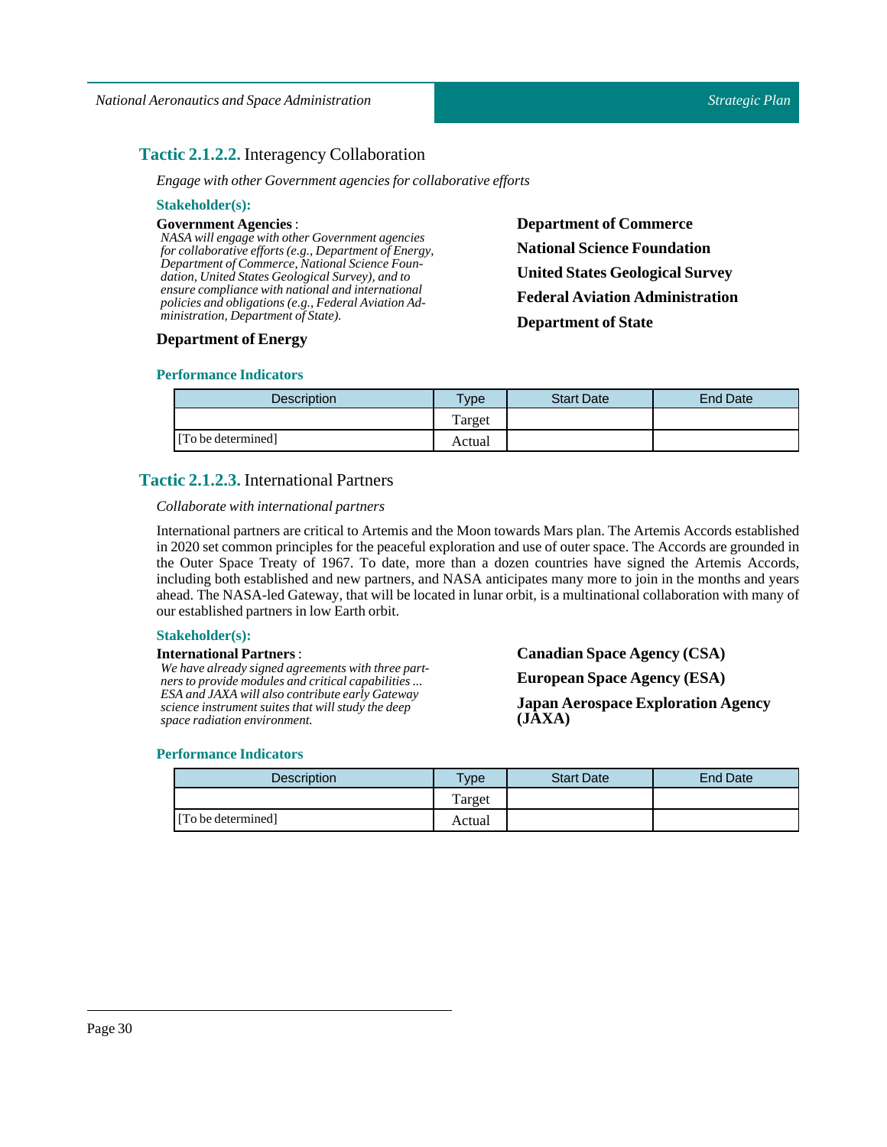## <span id="page-29-0"></span>**Tactic 2.1.2.2.** Interagency Collaboration

*Engage with other Government agencies for collaborative efforts*

| <b>Stakeholder(s):</b>                                                                                    |                                        |
|-----------------------------------------------------------------------------------------------------------|----------------------------------------|
| <b>Government Agencies :</b>                                                                              | <b>Department of Commerce</b>          |
| NASA will engage with other Government agencies<br>for collaborative efforts (e.g., Department of Energy, | <b>National Science Foundation</b>     |
| Department of Commerce, National Science Foun-<br>dation, United States Geological Survey), and to        | <b>United States Geological Survey</b> |
| ensure compliance with national and international<br>policies and obligations (e.g., Federal Aviation Ad- | <b>Federal Aviation Administration</b> |
| ministration, Department of State).                                                                       | <b>Department of State</b>             |
|                                                                                                           |                                        |

## **Department of Energy**

## **Performance Indicators**

| Description        | <b>Type</b> | <b>Start Date</b> | <b>End Date</b> |
|--------------------|-------------|-------------------|-----------------|
|                    | Target      |                   |                 |
| [To be determined] | Actual      |                   |                 |

## <span id="page-29-1"></span>**Tactic 2.1.2.3.** International Partners

## *Collaborate with international partners*

International partners are critical to Artemis and the Moon towards Mars plan. The Artemis Accords established in 2020 set common principles for the peaceful exploration and use of outer space. The Accords are grounded in the Outer Space Treaty of 1967. To date, more than a dozen countries have signed the Artemis Accords, including both established and new partners, and NASA anticipates many more to join in the months and years ahead. The NASA-led Gateway, that will be located in lunar orbit, is a multinational collaboration with many of our established partners in low Earth orbit.

## **Stakeholder(s):**

## **International Partners**:

*We have already signed agreements with three partners to provide modules and critical capabilities ... ESA and JAXA will also contribute early Gateway science instrument suites that will study the deep space radiation environment.*

**Canadian Space Agency (CSA) European Space Agency (ESA)**

**Japan Aerospace Exploration Agency (JAXA)**

| <b>Description</b> | Type <sub>o</sub> | <b>Start Date</b> | End Date |
|--------------------|-------------------|-------------------|----------|
|                    | Target            |                   |          |
| [To be determined] | Actual            |                   |          |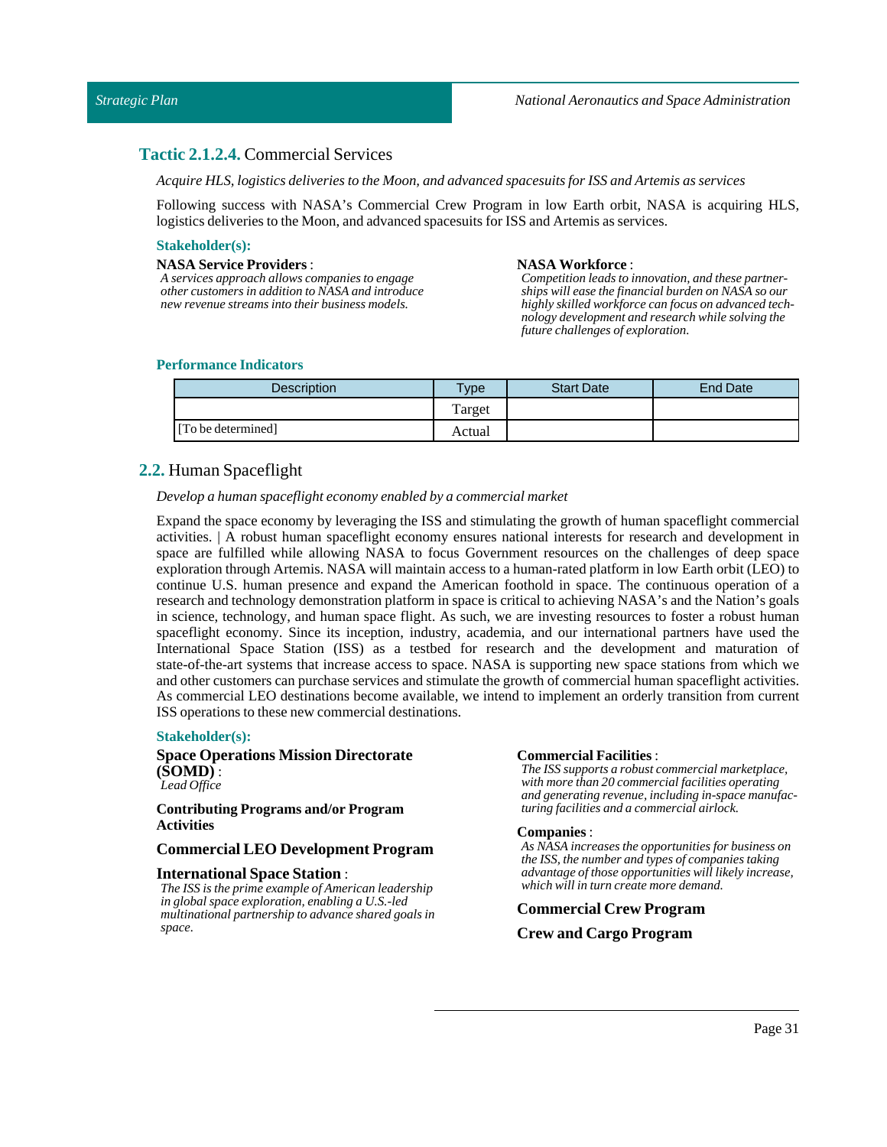## <span id="page-30-0"></span>**Tactic 2.1.2.4.** Commercial Services

*Acquire HLS,logistics deliveries to the Moon, and advanced spacesuits for ISS and Artemis as services*

Following success with NASA's Commercial Crew Program in low Earth orbit, NASA is acquiring HLS, logistics deliveries to the Moon, and advanced spacesuits for ISS and Artemis as services.

#### **Stakeholder(s):**

#### **NASA Service Providers**:

*A services approach allows companies to engage other customers in addition to NASA and introduce new revenue streams into their business models.*

#### **NASA Workforce** :

*Competition leads to innovation, and these partnerships will ease the financial burden on NASA so our highly skilled workforce can focus on advanced technology development and research while solving the future challenges of exploration.*

### **Performance Indicators**

| Description        | $T$ <sub>V</sub> pe | <b>Start Date</b> | End Date |
|--------------------|---------------------|-------------------|----------|
|                    | Target              |                   |          |
| [To be determined] | Actual              |                   |          |

## <span id="page-30-1"></span>**2.2.** Human Spaceflight

#### *Develop a human spaceflight economy enabled by a commercial market*

Expand the space economy by leveraging the ISS and stimulating the growth of human spaceflight commercial activities. | A robust human spaceflight economy ensures national interests for research and development in space are fulfilled while allowing NASA to focus Government resources on the challenges of deep space exploration through Artemis. NASA will maintain access to a human-rated platform in low Earth orbit (LEO) to continue U.S. human presence and expand the American foothold in space. The continuous operation of a research and technology demonstration platform in space is critical to achieving NASA's and the Nation's goals in science, technology, and human space flight. As such, we are investing resources to foster a robust human spaceflight economy. Since its inception, industry, academia, and our international partners have used the International Space Station (ISS) as a testbed for research and the development and maturation of state-of-the-art systems that increase access to space. NASA is supporting new space stations from which we and other customers can purchase services and stimulate the growth of commercial human spaceflight activities. As commercial LEO destinations become available, we intend to implement an orderly transition from current ISS operations to these new commercial destinations.

#### **Stakeholder(s):**

### **Space Operations Mission Directorate (SOMD)** : *Lead Office*

**Contributing Programs and/or Program Activities**

#### **Commercial LEO Development Program**

### **International Space Station** :

*The ISS is the prime example of American leadership in global space exploration, enabling a U.S.-led multinational partnership to advance shared goals in space.*

#### **Commercial Facilities**:

*The ISS supports a robust commercial marketplace, with more than 20 commercial facilities operating and generating revenue, including in-space manufacturing facilities and a commercial airlock.*

#### **Companies**:

*As NASA increases the opportunities for business on the ISS, the number and types of companies taking advantage of those opportunities will likely increase, which will in turn create more demand.*

### **Commercial Crew Program**

#### **Crew and Cargo Program**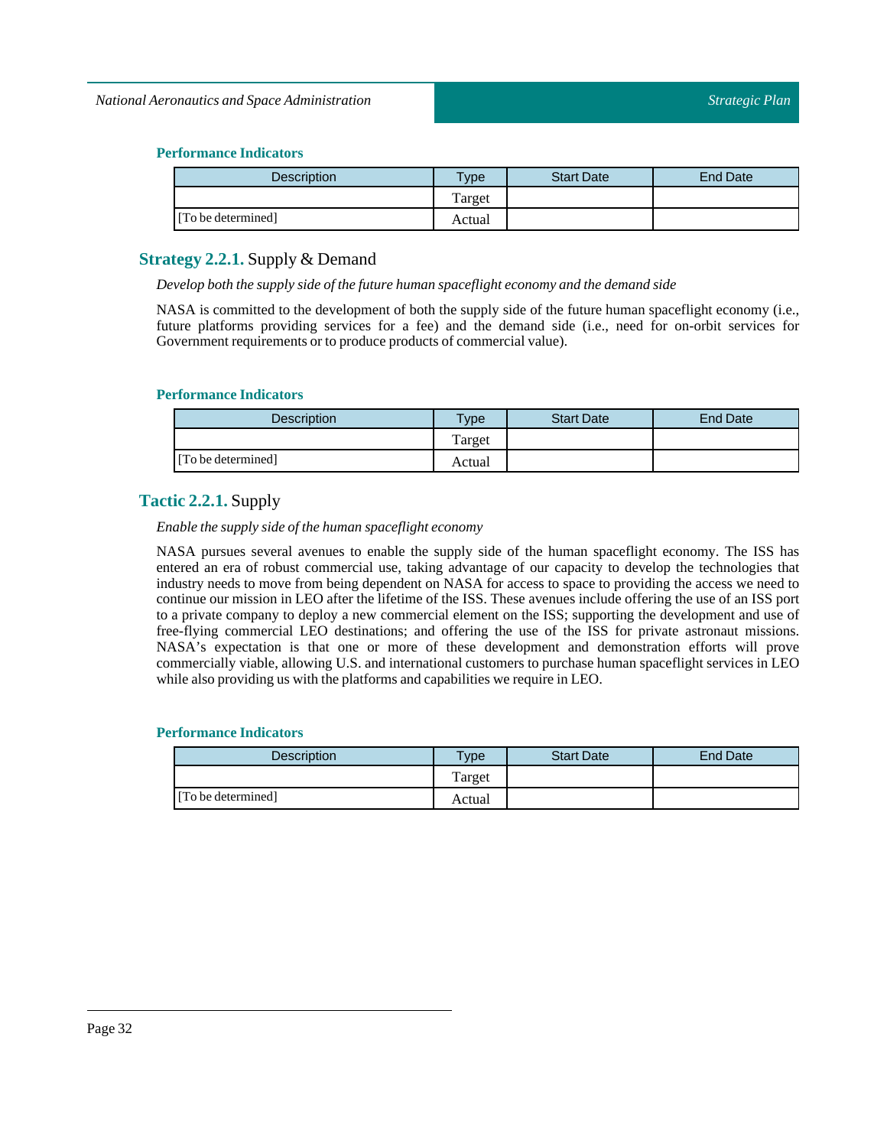| <b>Description</b> | $TV$ pe | <b>Start Date</b> | End Date |
|--------------------|---------|-------------------|----------|
|                    | Target  |                   |          |
| [To be determined] | Actual  |                   |          |

## <span id="page-31-0"></span>**Strategy 2.2.1.** Supply & Demand

*Develop both the supply side ofthe future human spaceflight economy and the demand side*

NASA is committed to the development of both the supply side of the future human spaceflight economy (i.e., future platforms providing services for a fee) and the demand side (i.e., need for on-orbit services for Government requirements or to produce products of commercial value).

## **Performance Indicators**

| <b>Description</b> | $T$ <sub>V</sub> pe | <b>Start Date</b> | End Date |
|--------------------|---------------------|-------------------|----------|
|                    | Target              |                   |          |
| [To be determined] | Actual              |                   |          |

## <span id="page-31-1"></span>**Tactic 2.2.1.** Supply

*Enable the supply side ofthe human spaceflight economy*

NASA pursues several avenues to enable the supply side of the human spaceflight economy. The ISS has entered an era of robust commercial use, taking advantage of our capacity to develop the technologies that industry needs to move from being dependent on NASA for access to space to providing the access we need to continue our mission in LEO after the lifetime of the ISS. These avenues include offering the use of an ISS port to a private company to deploy a new commercial element on the ISS; supporting the development and use of free-flying commercial LEO destinations; and offering the use of the ISS for private astronaut missions. NASA's expectation is that one or more of these development and demonstration efforts will prove commercially viable, allowing U.S. and international customers to purchase human spaceflight services in LEO while also providing us with the platforms and capabilities we require in LEO.

| Description        | <b>Type</b> | <b>Start Date</b> | <b>End Date</b> |
|--------------------|-------------|-------------------|-----------------|
|                    | Target      |                   |                 |
| [To be determined] | Actual      |                   |                 |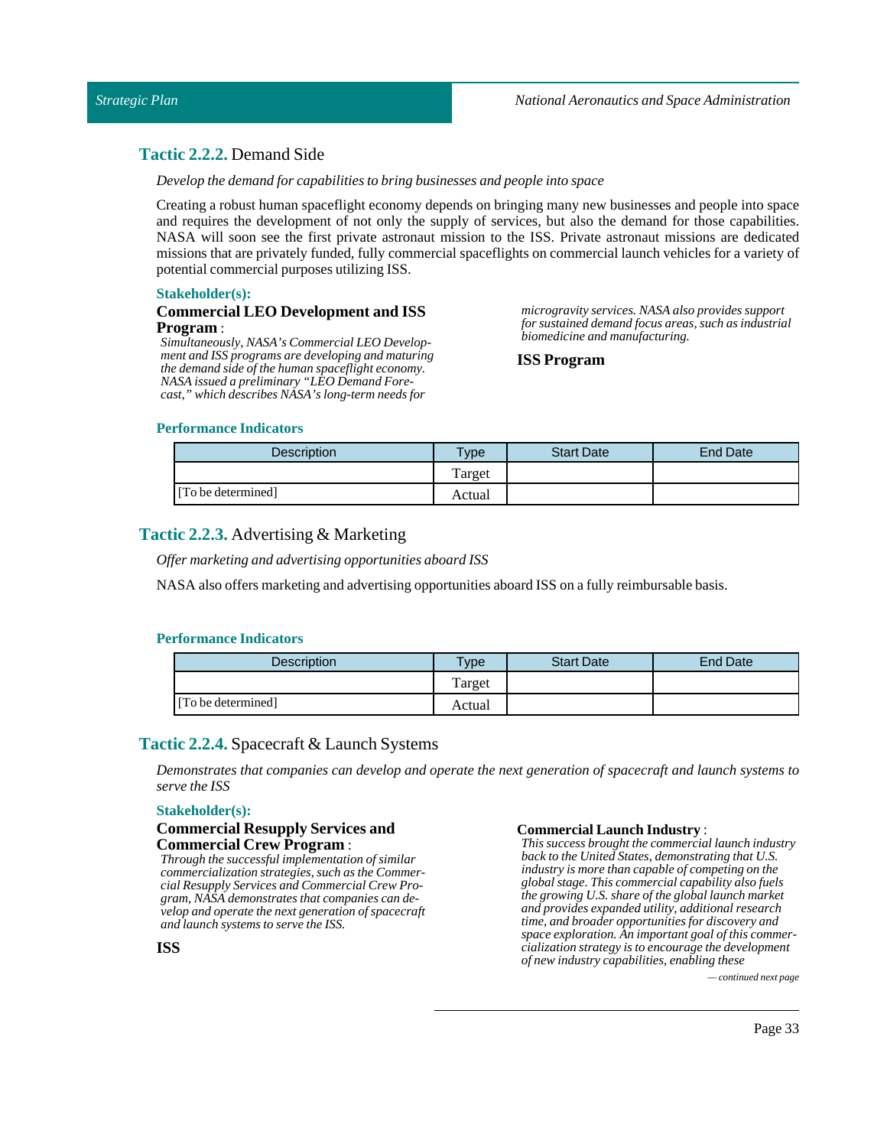## <span id="page-32-0"></span>**Tactic 2.2.2.** Demand Side

*Develop the demand for capabilities to bring businesses and people into space*

Creating a robust human spaceflight economy depends on bringing many new businesses and people into space and requires the development of not only the supply of services, but also the demand for those capabilities. NASA will soon see the first private astronaut mission to the ISS. Private astronaut missions are dedicated missions that are privately funded, fully commercial spaceflights on commercial launch vehicles for a variety of potential commercial purposes utilizing ISS.

### **Stakeholder(s):**

### **Commercial LEO Development and ISS Program** :

*Simultaneously, NASA's Commercial LEO Development and ISS programs are developing and maturing the demand side of the human spaceflight economy. NASA issued a preliminary "LEO Demand Forecast," which describes NASA's long-term needs for*

*microgravity services. NASA also provides support for sustained demand focus areas, such as industrial biomedicine and manufacturing.*

### **ISS Program**

### **Performance Indicators**

| <b>Description</b> | vpe    | <b>Start Date</b> | <b>End Date</b> |
|--------------------|--------|-------------------|-----------------|
|                    | Target |                   |                 |
| [To be determined] | Actual |                   |                 |

## <span id="page-32-1"></span>**Tactic 2.2.3.** Advertising & Marketing

*Offer marketing and advertising opportunities aboard ISS*

NASA also offers marketing and advertising opportunities aboard ISS on a fully reimbursable basis.

## **Performance Indicators**

| <b>Description</b> | <b>Type</b> | <b>Start Date</b> | <b>End Date</b> |
|--------------------|-------------|-------------------|-----------------|
|                    | Target      |                   |                 |
| [To be determined] | Actual      |                   |                 |

## <span id="page-32-2"></span>**Tactic 2.2.4.** Spacecraft & Launch Systems

*Demonstrates that companies can develop and operate the next generation of spacecraft and launch systems to serve the ISS*

### **Stakeholder(s):**

### **Commercial Resupply Services and Commercial Crew Program** :

*Through the successful implementation of similar commercialization strategies, such as the Commercial Resupply Services and Commercial Crew Program, NASA demonstrates that companies can develop and operate the next generation of spacecraft and launch systems to serve the ISS.*

#### **Commercial Launch Industry:**

*This success brought the commercial launch industry back to the United States, demonstrating that U.S. industry is more than capable of competing on the global stage. This commercial capability also fuels the growing U.S. share of the global launch market and provides expanded utility, additional research time, and broader opportunities for discovery and space exploration. An important goal of this commercialization strategy is to encourage the development of new industry capabilities, enabling these*

*— continued next page*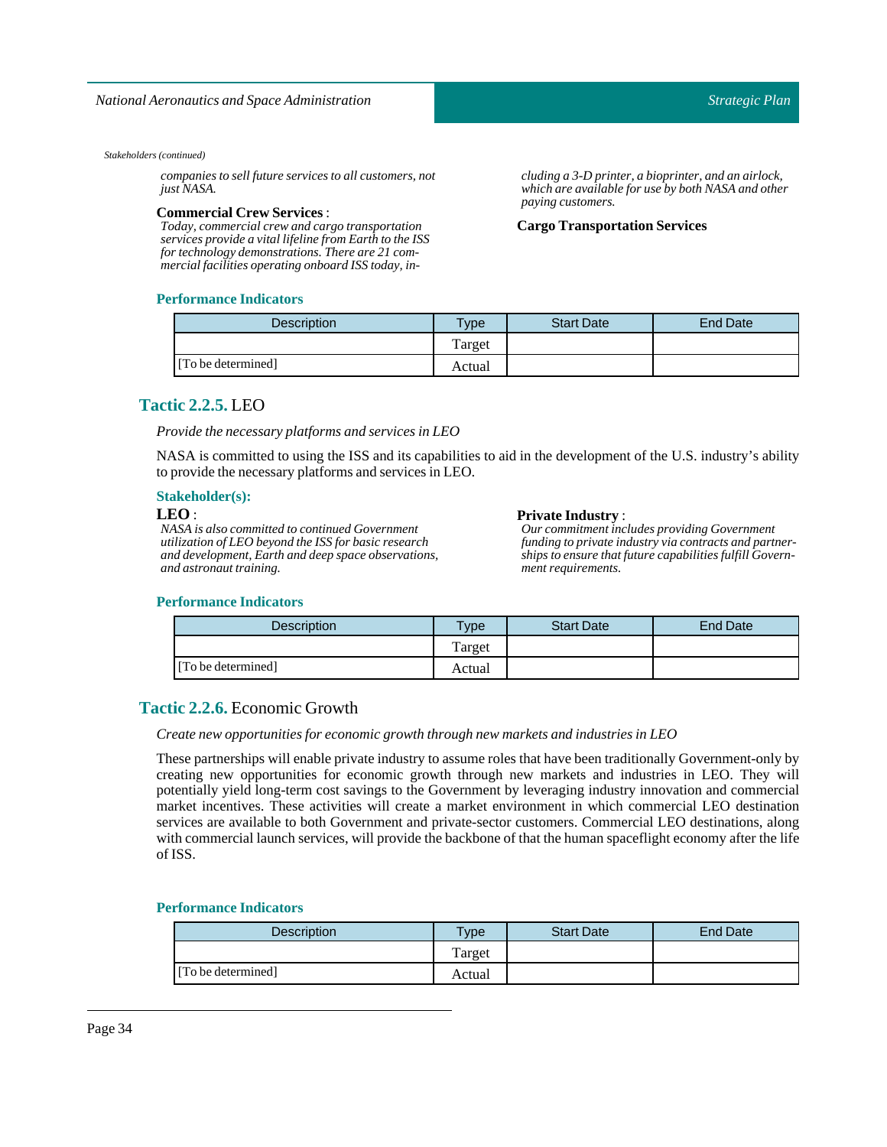*companies to sell future services to all customers, not just NASA.*

#### **Commercial Crew Services**:

*Today, commercial crew and cargo transportation services provide a vital lifeline from Earth to the ISS for technology demonstrations. There are 21 commercial facilities operating onboard ISS today, in-*

### **Performance Indicators**

*Strategic Plan*

*cluding a 3-D printer, a bioprinter, and an airlock, which are available for use by both NASA and other paying customers.*

**Cargo Transportation Services** 

| Description        | <b>Type</b> | <b>Start Date</b> | <b>End Date</b> |
|--------------------|-------------|-------------------|-----------------|
|                    | Target      |                   |                 |
| [To be determined] | Actual      |                   |                 |

## <span id="page-33-0"></span>**Tactic 2.2.5.** LEO

*Provide the necessary platforms and services inLEO*

NASA is committed to using the ISS and its capabilities to aid in the development of the U.S. industry's ability to provide the necessary platforms and services in LEO.

#### **Stakeholder(s):**

### **LEO** :

*NASA is also committed to continued Government utilization of LEO beyond the ISS for basic research and development, Earth and deep space observations, and astronaut training.*

#### **Private Industry** :

*Our commitment includes providing Government funding to private industry via contracts and partnerships to ensure that future capabilities fulfill Government requirements.*

## **Performance Indicators**

| <b>Description</b> | Type   | <b>Start Date</b> | End Date |
|--------------------|--------|-------------------|----------|
|                    | Target |                   |          |
| [To be determined] | Actual |                   |          |

## <span id="page-33-1"></span>**Tactic 2.2.6.** Economic Growth

### *Create new opportunities for economic growth through new markets and industries inLEO*

These partnerships will enable private industry to assume roles that have been traditionally Government-only by creating new opportunities for economic growth through new markets and industries in LEO. They will potentially yield long-term cost savings to the Government by leveraging industry innovation and commercial market incentives. These activities will create a market environment in which commercial LEO destination services are available to both Government and private-sector customers. Commercial LEO destinations, along with commercial launch services, will provide the backbone of that the human spaceflight economy after the life of ISS.

| <b>Description</b> | $T$ <sub>V</sub> $pe$ | <b>Start Date</b> | End Date |
|--------------------|-----------------------|-------------------|----------|
|                    | Target                |                   |          |
| [To be determined] | Actual                |                   |          |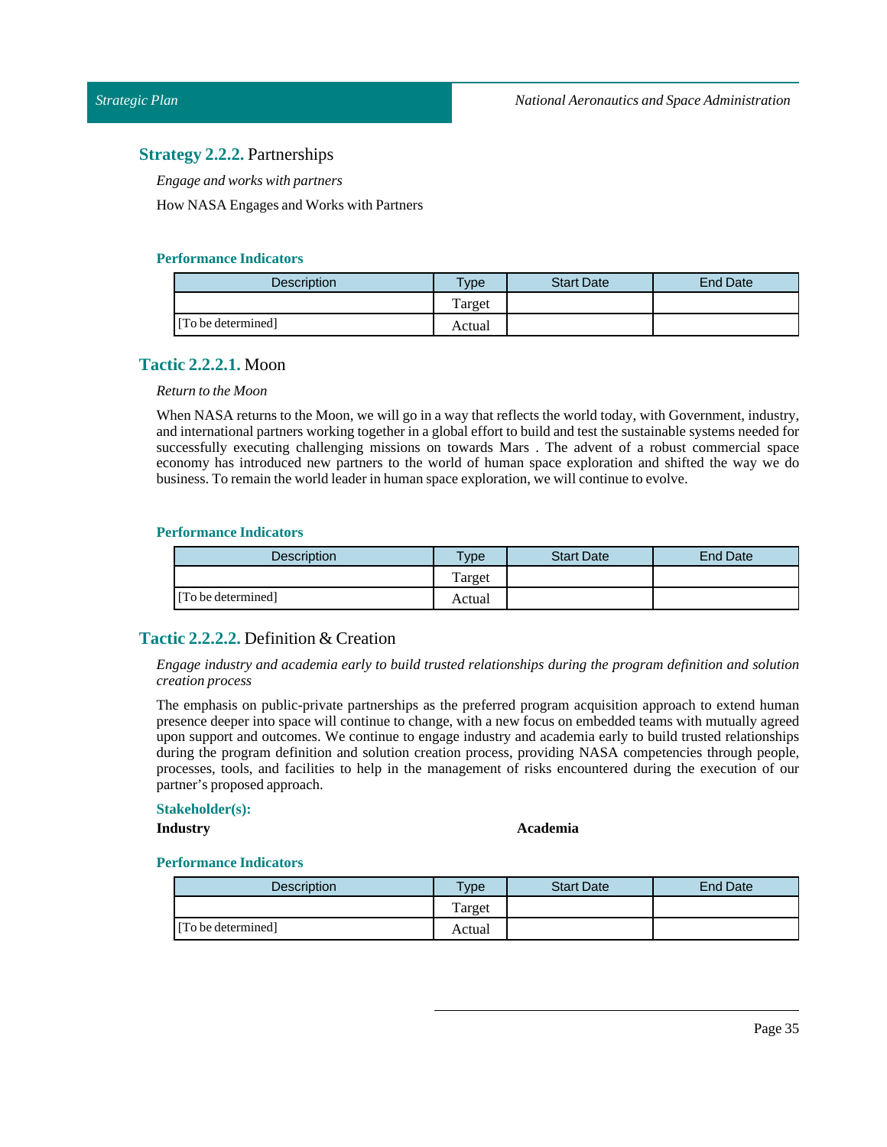## <span id="page-34-0"></span>**Strategy 2.2.2.** Partnerships

*Engage and works with partners*

How NASA Engages and Works with Partners

## **Performance Indicators**

| <b>Description</b> | $T$ ype | <b>Start Date</b> | <b>End Date</b> |
|--------------------|---------|-------------------|-----------------|
|                    | Target  |                   |                 |
| [To be determined] | Actual  |                   |                 |

## <span id="page-34-1"></span>**Tactic 2.2.2.1.** Moon

## *Return to the Moon*

When NASA returns to the Moon, we will go in a way that reflects the world today, with Government, industry, and international partners working together in a global effort to build and test the sustainable systems needed for successfully executing challenging missions on towards Mars . The advent of a robust commercial space economy has introduced new partners to the world of human space exploration and shifted the way we do business. To remain the world leader in human space exploration, we will continue to evolve.

## **Performance Indicators**

| <b>Description</b> | $T$ <sub>V</sub> $pe$ | <b>Start Date</b> | End Date |
|--------------------|-----------------------|-------------------|----------|
|                    | Target                |                   |          |
| [To be determined] | Actual                |                   |          |

## <span id="page-34-2"></span>**Tactic 2.2.2.2.** Definition & Creation

*Engage industry and academia early to build trusted relationships during the program definition and solution creation process*

The emphasis on public-private partnerships as the preferred program acquisition approach to extend human presence deeper into space will continue to change, with a new focus on embedded teams with mutually agreed upon support and outcomes. We continue to engage industry and academia early to build trusted relationships during the program definition and solution creation process, providing NASA competencies through people, processes, tools, and facilities to help in the management of risks encountered during the execution of our partner's proposed approach.

## **Stakeholder(s):**

## **Industry Academia**

| <b>Description</b> | <b>Type</b> | <b>Start Date</b> | <b>End Date</b> |
|--------------------|-------------|-------------------|-----------------|
|                    | Target      |                   |                 |
| [To be determined] | Actual      |                   |                 |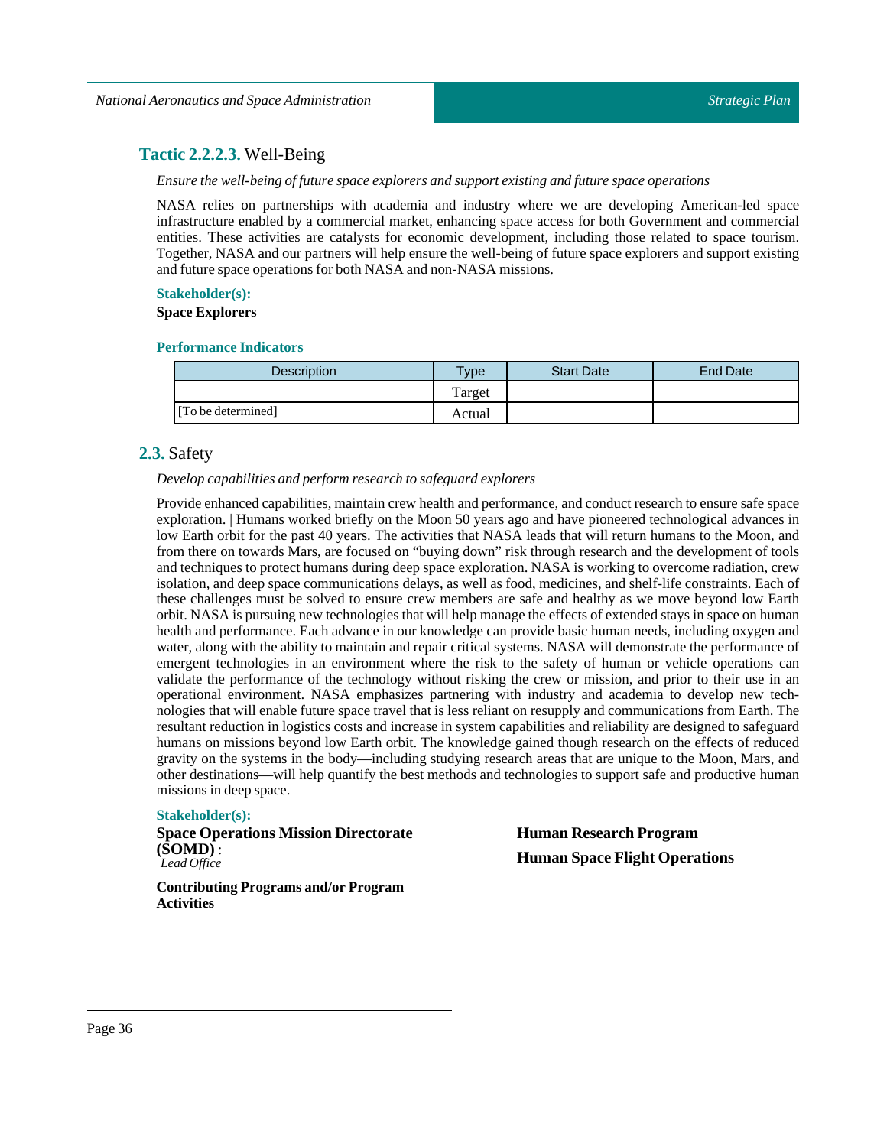## <span id="page-35-0"></span>**Tactic 2.2.2.3.** Well-Being

*Ensure the well-being offuture space explorers and support existing and future space operations*

NASA relies on partnerships with academia and industry where we are developing American-led space infrastructure enabled by a commercial market, enhancing space access for both Government and commercial entities. These activities are catalysts for economic development, including those related to space tourism. Together, NASA and our partners will help ensure the well-being of future space explorers and support existing and future space operations for both NASA and non-NASA missions.

## **Stakeholder(s):**

### **Space Explorers**

## **Performance Indicators**

| Description        | Type   | <b>Start Date</b> | End Date |
|--------------------|--------|-------------------|----------|
|                    | Target |                   |          |
| [To be determined] | Actual |                   |          |

## <span id="page-35-1"></span>**2.3.** Safety

## *Develop capabilities and perform research to safeguard explorers*

Provide enhanced capabilities, maintain crew health and performance, and conduct research to ensure safe space exploration. | Humans worked briefly on the Moon 50 years ago and have pioneered technological advances in low Earth orbit for the past 40 years. The activities that NASA leads that will return humans to the Moon, and from there on towards Mars, are focused on "buying down" risk through research and the development of tools and techniques to protect humans during deep space exploration. NASA is working to overcome radiation, crew isolation, and deep space communications delays, as well as food, medicines, and shelf-life constraints. Each of these challenges must be solved to ensure crew members are safe and healthy as we move beyond low Earth orbit. NASA is pursuing new technologies that will help manage the effects of extended stays in space on human health and performance. Each advance in our knowledge can provide basic human needs, including oxygen and water, along with the ability to maintain and repair critical systems. NASA will demonstrate the performance of emergent technologies in an environment where the risk to the safety of human or vehicle operations can validate the performance of the technology without risking the crew or mission, and prior to their use in an operational environment. NASA emphasizes partnering with industry and academia to develop new technologies that will enable future space travel that is less reliant on resupply and communications from Earth. The resultant reduction in logistics costs and increase in system capabilities and reliability are designed to safeguard humans on missions beyond low Earth orbit. The knowledge gained though research on the effects of reduced gravity on the systems in the body—including studying research areas that are unique to the Moon, Mars, and other destinations—will help quantify the best methods and technologies to support safe and productive human missions in deep space.

## **Stakeholder(s):**

**Space Operations Mission Directorate (SOMD)** : *Lead Office*

**Contributing Programs and/or Program Activities**

**Human Research Program Human Space Flight Operations**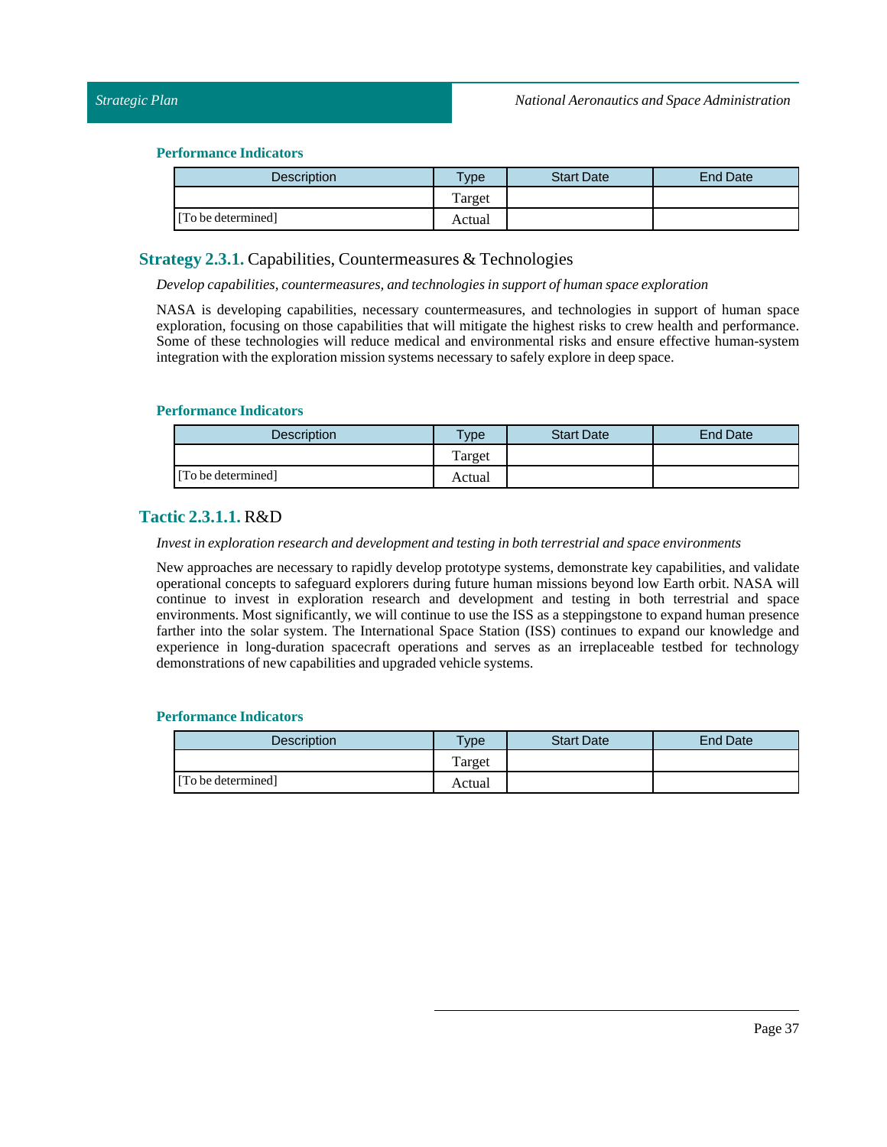#### **Performance Indicators**

| <b>Description</b> | Type   | <b>Start Date</b> | <b>End Date</b> |
|--------------------|--------|-------------------|-----------------|
|                    | Target |                   |                 |
| [To be determined] | Actual |                   |                 |

### **Strategy 2.3.1.** Capabilities, Countermeasures & Technologies

*Develop capabilities, countermeasures, and technologies in support of human space exploration*

NASA is developing capabilities, necessary countermeasures, and technologies in support of human space exploration, focusing on those capabilities that will mitigate the highest risks to crew health and performance. Some of these technologies will reduce medical and environmental risks and ensure effective human-system integration with the exploration mission systems necessary to safely explore in deep space.

#### **Performance Indicators**

| <b>Description</b> | $T$ <sub>ype</sub> | <b>Start Date</b> | End Date |
|--------------------|--------------------|-------------------|----------|
|                    | Target             |                   |          |
| [To be determined] | Actual             |                   |          |

### **Tactic 2.3.1.1.** R&D

#### *Investin exploration research and development and testing in both terrestrial and space environments*

New approaches are necessary to rapidly develop prototype systems, demonstrate key capabilities, and validate operational concepts to safeguard explorers during future human missions beyond low Earth orbit. NASA will continue to invest in exploration research and development and testing in both terrestrial and space environments. Most significantly, we will continue to use the ISS as a steppingstone to expand human presence farther into the solar system. The International Space Station (ISS) continues to expand our knowledge and experience in long-duration spacecraft operations and serves as an irreplaceable testbed for technology demonstrations of new capabilities and upgraded vehicle systems.

| <b>Description</b> | $T$ <sub>V</sub> $pe$ | <b>Start Date</b> | End Date |
|--------------------|-----------------------|-------------------|----------|
|                    | Target                |                   |          |
| [To be determined] | Actual                |                   |          |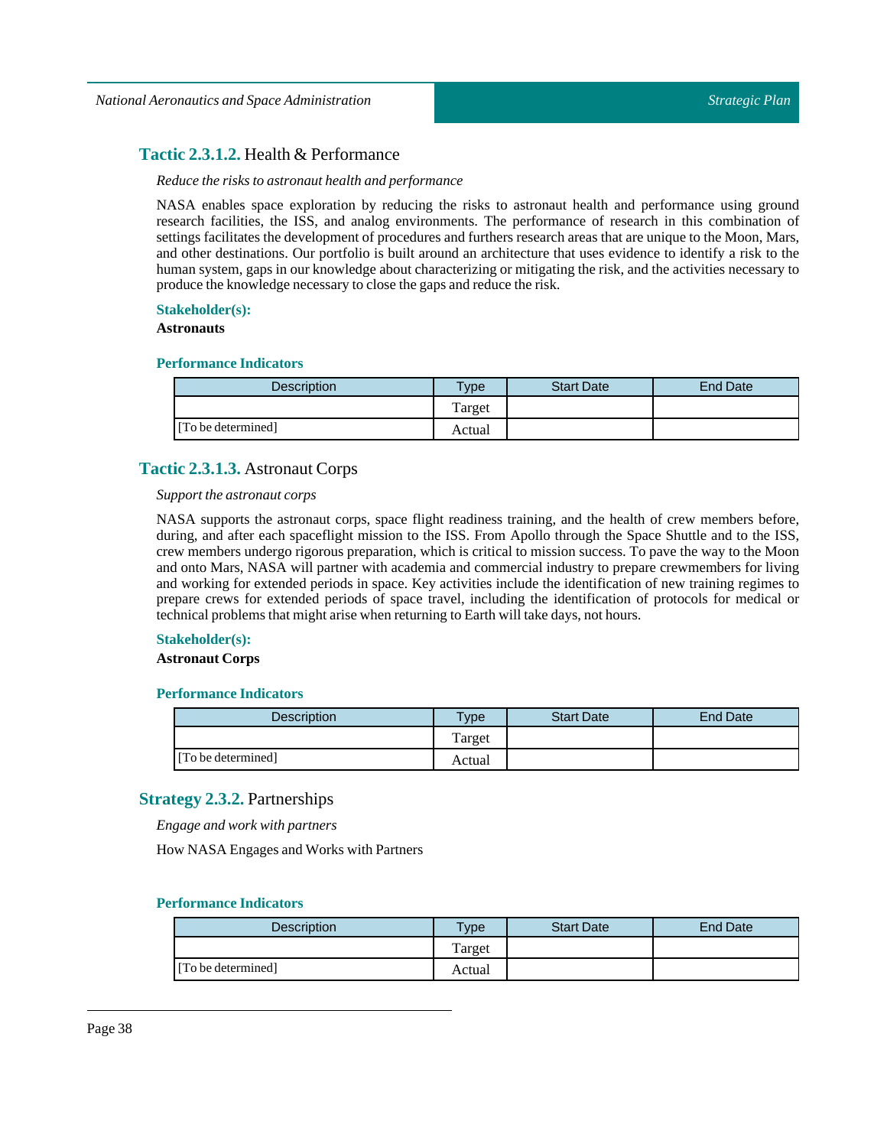### **Tactic 2.3.1.2.** Health & Performance

#### *Reduce the risks to astronaut health and performance*

NASA enables space exploration by reducing the risks to astronaut health and performance using ground research facilities, the ISS, and analog environments. The performance of research in this combination of settings facilitates the development of procedures and furthers research areas that are unique to the Moon, Mars, and other destinations. Our portfolio is built around an architecture that uses evidence to identify a risk to the human system, gaps in our knowledge about characterizing or mitigating the risk, and the activities necessary to produce the knowledge necessary to close the gaps and reduce the risk.

### **Stakeholder(s):**

### **Astronauts**

### **Performance Indicators**

| <b>Description</b> | Type   | <b>Start Date</b> | End Date |
|--------------------|--------|-------------------|----------|
|                    | Target |                   |          |
| [To be determined] | Actual |                   |          |

### **Tactic 2.3.1.3.** Astronaut Corps

### *Support the astronaut corps*

NASA supports the astronaut corps, space flight readiness training, and the health of crew members before, during, and after each spaceflight mission to the ISS. From Apollo through the Space Shuttle and to the ISS, crew members undergo rigorous preparation, which is critical to mission success. To pave the way to the Moon and onto Mars, NASA will partner with academia and commercial industry to prepare crewmembers for living and working for extended periods in space. Key activities include the identification of new training regimes to prepare crews for extended periods of space travel, including the identification of protocols for medical or technical problems that might arise when returning to Earth willtake days, not hours.

### **Stakeholder(s):**

### **Astronaut Corps**

### **Performance Indicators**

| <b>Description</b> | $T$ <sub>V</sub> pe | <b>Start Date</b> | <b>End Date</b> |
|--------------------|---------------------|-------------------|-----------------|
|                    | Target              |                   |                 |
| [To be determined] | Actual              |                   |                 |

### **Strategy 2.3.2.** Partnerships

*Engage and work with partners*

How NASA Engages and Works with Partners

| <b>Description</b> | Type   | <b>Start Date</b> | End Date |
|--------------------|--------|-------------------|----------|
|                    | Target |                   |          |
| [To be determined] | Actual |                   |          |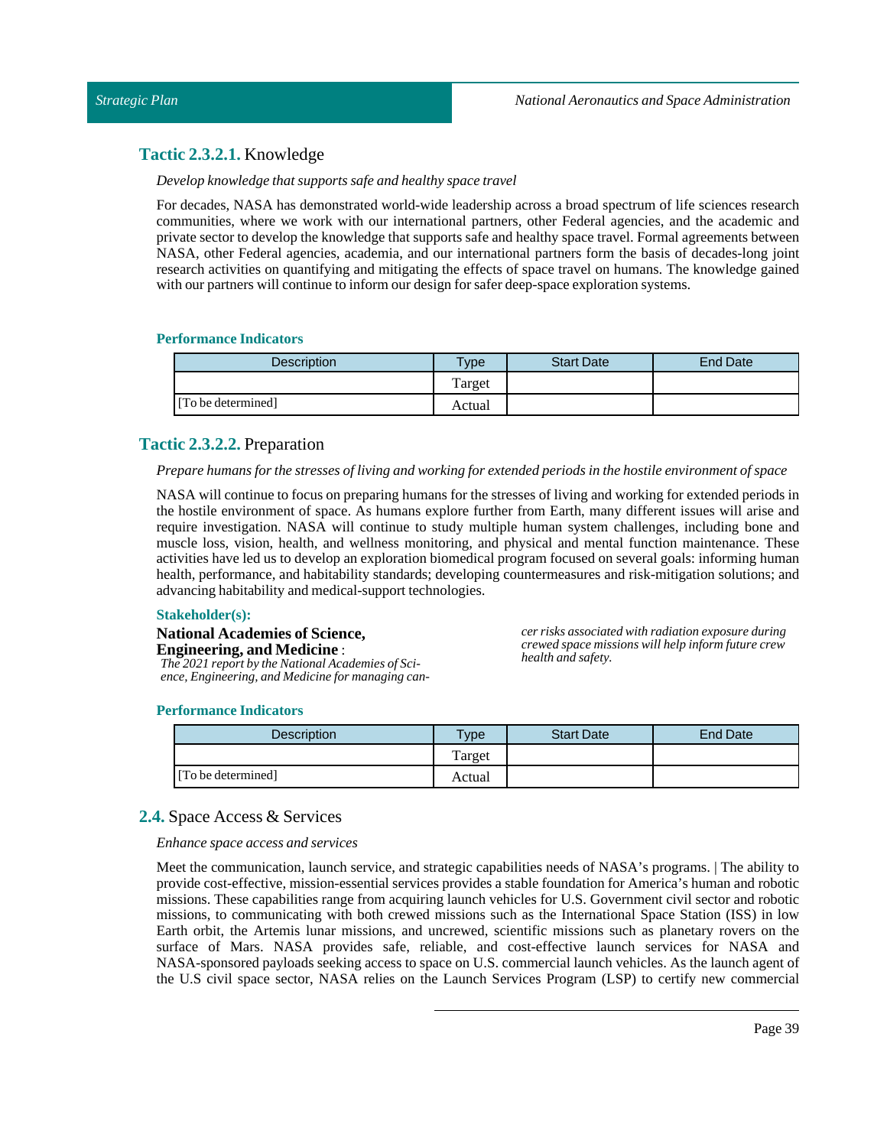### **Tactic 2.3.2.1.** Knowledge

*Develop knowledge that supports safe and healthy space travel*

For decades, NASA has demonstrated world-wide leadership across a broad spectrum of life sciences research communities, where we work with our international partners, other Federal agencies, and the academic and private sector to develop the knowledge that supports safe and healthy space travel. Formal agreements between NASA, other Federal agencies, academia, and our international partners form the basis of decades-long joint research activities on quantifying and mitigating the effects of space travel on humans. The knowledge gained with our partners will continue to inform our design for safer deep-space exploration systems.

#### **Performance Indicators**

| Description        | Type   | <b>Start Date</b> | <b>End Date</b> |
|--------------------|--------|-------------------|-----------------|
|                    | Target |                   |                 |
| [To be determined] | Actual |                   |                 |

### **Tactic 2.3.2.2.** Preparation

#### Prepare humans for the stresses of living and working for extended periods in the hostile environment of space

NASA will continue to focus on preparing humans for the stresses of living and working for extended periods in the hostile environment of space. As humans explore further from Earth, many different issues will arise and require investigation. NASA will continue to study multiple human system challenges, including bone and muscle loss, vision, health, and wellness monitoring, and physical and mental function maintenance. These activities have led us to develop an exploration biomedical program focused on several goals: informing human health, performance, and habitability standards; developing countermeasures and risk-mitigation solutions; and advancing habitability and medical-support technologies.

#### **Stakeholder(s):**

#### **National Academies of Science, Engineering, and Medicine** :

*The 2021 report by the National Academies of Science, Engineering, and Medicine for managing can-* *cer risks associated with radiation exposure during crewed space missions will help inform future crew health and safety.*

#### **Performance Indicators**

| Description        | <b>Type</b> | <b>Start Date</b> | <b>End Date</b> |
|--------------------|-------------|-------------------|-----------------|
|                    | Target      |                   |                 |
| [To be determined] | Actual      |                   |                 |

### **2.4.** Space Access & Services

#### *Enhance space access and services*

Meet the communication, launch service, and strategic capabilities needs of NASA's programs. | The ability to provide cost-effective, mission-essential services provides a stable foundation for America's human and robotic missions. These capabilities range from acquiring launch vehicles for U.S. Government civil sector and robotic missions, to communicating with both crewed missions such as the International Space Station (ISS) in low Earth orbit, the Artemis lunar missions, and uncrewed, scientific missions such as planetary rovers on the surface of Mars. NASA provides safe, reliable, and cost-effective launch services for NASA and NASA-sponsored payloads seeking access to space on U.S. commercial launch vehicles. As the launch agent of the U.S civil space sector, NASA relies on the Launch Services Program (LSP) to certify new commercial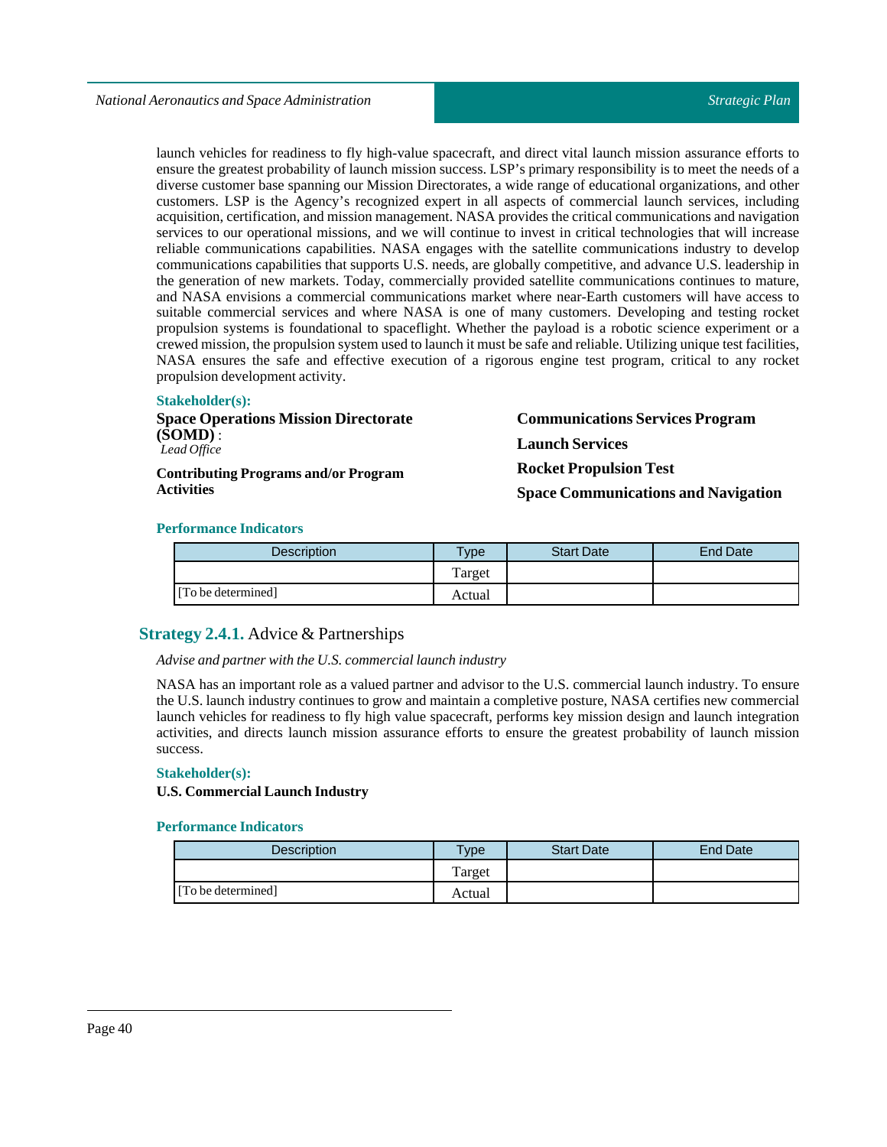launch vehicles for readiness to fly high-value spacecraft, and direct vital launch mission assurance efforts to ensure the greatest probability of launch mission success. LSP's primary responsibility is to meet the needs of a diverse customer base spanning our Mission Directorates, a wide range of educational organizations, and other customers. LSP is the Agency's recognized expert in all aspects of commercial launch services, including acquisition, certification, and mission management. NASA provides the critical communications and navigation services to our operational missions, and we will continue to invest in critical technologies that will increase reliable communications capabilities. NASA engages with the satellite communications industry to develop communications capabilities that supports U.S. needs, are globally competitive, and advance U.S. leadership in the generation of new markets. Today, commercially provided satellite communications continues to mature, and NASA envisions a commercial communications market where near-Earth customers will have access to suitable commercial services and where NASA is one of many customers. Developing and testing rocket propulsion systems is foundational to spaceflight. Whether the payload is a robotic science experiment or a crewed mission, the propulsion system used to launch it must be safe and reliable. Utilizing unique test facilities, NASA ensures the safe and effective execution of a rigorous engine test program, critical to any rocket propulsion development activity.

#### **Stakeholder(s):**

| <b>Space Operations Mission Directorate</b>                      |  |
|------------------------------------------------------------------|--|
| $(SOMD)$ :                                                       |  |
| Lead Office                                                      |  |
| <b>Contributing Programs and/or Program</b><br><b>Activities</b> |  |

**Communications Services Program Launch Services Rocket Propulsion Test Space Communications and Navigation**

### **Performance Indicators**

| <b>Description</b> | $T$ <sub>V</sub> $pe$ | <b>Start Date</b> | End Date |
|--------------------|-----------------------|-------------------|----------|
|                    | Target                |                   |          |
| [To be determined] | Actual                |                   |          |

### **Strategy 2.4.1.** Advice & Partnerships

#### *Advise and partner with the U.S. commerciallaunch industry*

NASA has an important role as a valued partner and advisor to the U.S. commercial launch industry. To ensure the U.S. launch industry continues to grow and maintain a completive posture, NASA certifies new commercial launch vehicles for readiness to fly high value spacecraft, performs key mission design and launch integration activities, and directs launch mission assurance efforts to ensure the greatest probability of launch mission success.

#### **Stakeholder(s):**

#### **U.S. Commercial Launch Industry**

| <b>Description</b> | vpe    | <b>Start Date</b> | <b>End Date</b> |
|--------------------|--------|-------------------|-----------------|
|                    | Target |                   |                 |
| [To be determined] | Actual |                   |                 |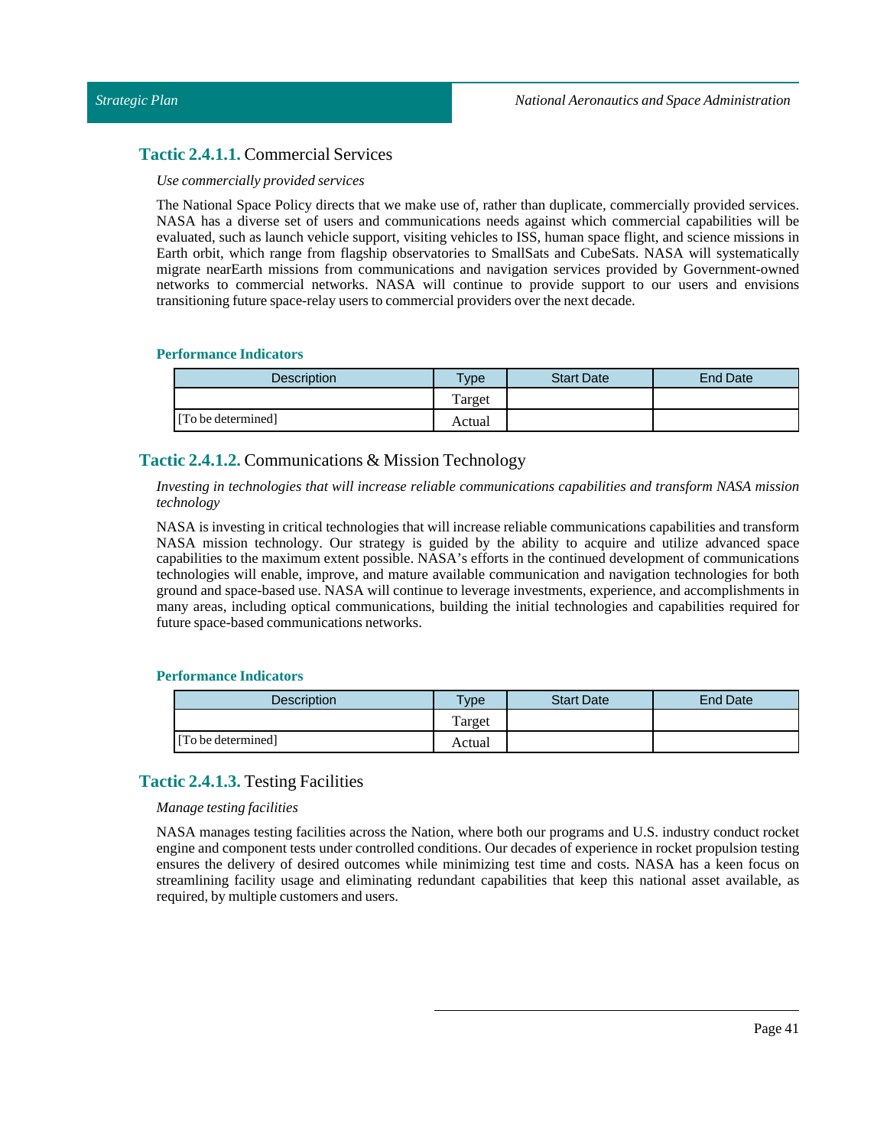### **Tactic 2.4.1.1.** Commercial Services

#### *Use commercially provided services*

The National Space Policy directs that we make use of, rather than duplicate, commercially provided services. NASA has a diverse set of users and communications needs against which commercial capabilities will be evaluated, such as launch vehicle support, visiting vehicles to ISS, human space flight, and science missions in Earth orbit, which range from flagship observatories to SmallSats and CubeSats. NASA will systematically migrate nearEarth missions from communications and navigation services provided by Government-owned networks to commercial networks. NASA will continue to provide support to our users and envisions transitioning future space-relay users to commercial providers over the next decade.

#### **Performance Indicators**

| <b>Description</b> | $T$ <sub>ype</sub> | <b>Start Date</b> | <b>End Date</b> |
|--------------------|--------------------|-------------------|-----------------|
|                    | Target             |                   |                 |
| [To be determined] | Actual             |                   |                 |

### **Tactic 2.4.1.2.** Communications & Mission Technology

*Investing in technologies that will increase reliable communications capabilities and transform NASA mission technology*

NASA is investing in critical technologies that will increase reliable communications capabilities and transform NASA mission technology. Our strategy is guided by the ability to acquire and utilize advanced space capabilities to the maximum extent possible. NASA's efforts in the continued development of communications technologies will enable, improve, and mature available communication and navigation technologies for both ground and space-based use. NASA will continue to leverage investments, experience, and accomplishments in many areas, including optical communications, building the initial technologies and capabilities required for future space-based communications networks.

#### **Performance Indicators**

| <b>Description</b> | $T$ ype | <b>Start Date</b> | End Date |
|--------------------|---------|-------------------|----------|
|                    | Target  |                   |          |
| [To be determined] | Actual  |                   |          |

### **Tactic 2.4.1.3.** Testing Facilities

#### *Manage testing facilities*

NASA manages testing facilities across the Nation, where both our programs and U.S. industry conduct rocket engine and component tests under controlled conditions. Our decades of experience in rocket propulsion testing ensures the delivery of desired outcomes while minimizing test time and costs. NASA has a keen focus on streamlining facility usage and eliminating redundant capabilities that keep this national asset available, as required, by multiple customers and users.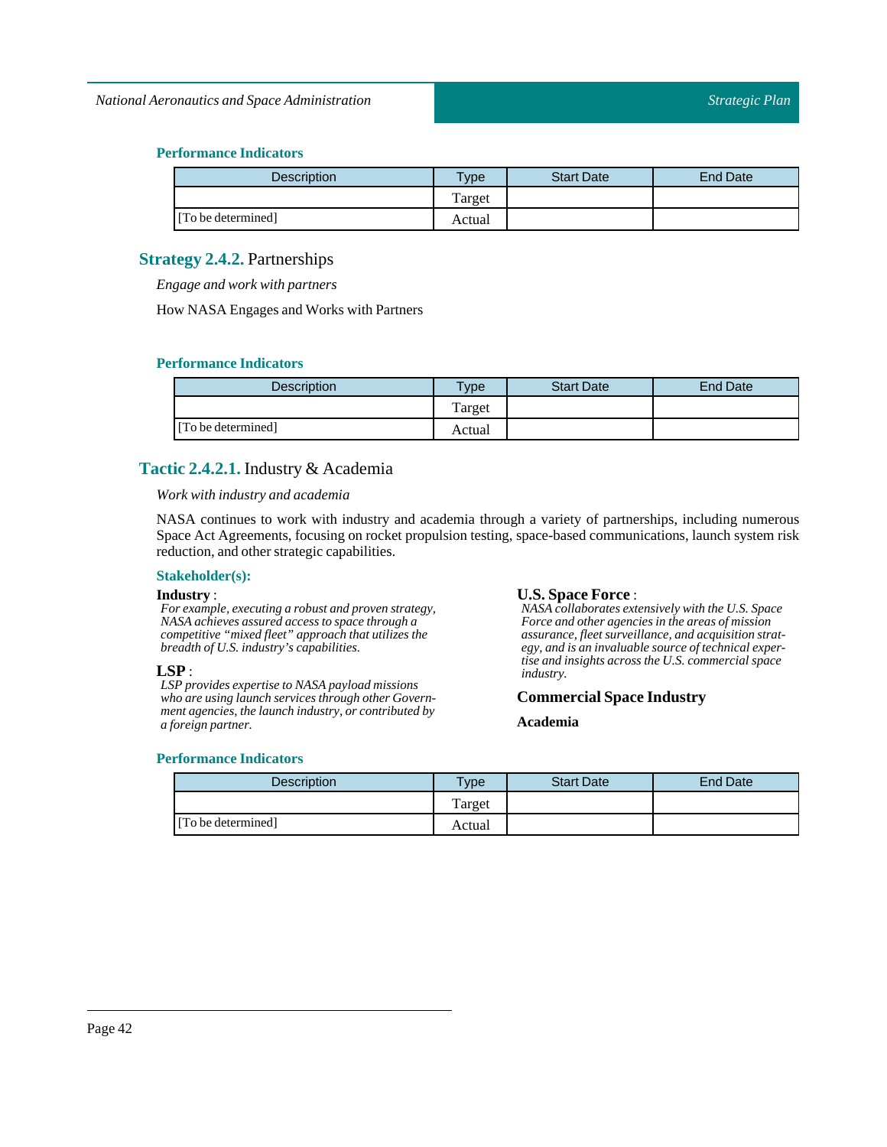### **Performance Indicators**

| Description        | $T$ ype | <b>Start Date</b> | <b>End Date</b> |
|--------------------|---------|-------------------|-----------------|
|                    | Target  |                   |                 |
| [To be determined] | Actual  |                   |                 |

### **Strategy 2.4.2.** Partnerships

*Engage and work with partners*

How NASA Engages and Works with Partners

#### **Performance Indicators**

| Description        | <b>Type</b> | <b>Start Date</b> | <b>End Date</b> |
|--------------------|-------------|-------------------|-----------------|
|                    | Target      |                   |                 |
| [To be determined] | Actual      |                   |                 |

### **Tactic 2.4.2.1.** Industry & Academia

*Work with industry and academia*

NASA continues to work with industry and academia through a variety of partnerships, including numerous Space Act Agreements, focusing on rocket propulsion testing, space-based communications, launch system risk reduction, and other strategic capabilities.

#### **Stakeholder(s):**

#### **Industry** :

*For example, executing a robust and proven strategy, NASA achieves assured access to space through a competitive "mixed fleet" approach that utilizes the breadth of U.S. industry's capabilities.*

#### **LSP** :

*LSP provides expertise to NASA payload missions who are using launch services through other Government agencies, the launch industry, or contributed by a foreign partner.*

### *NASA collaborates extensively with the U.S. Space*

**U.S. Space Force** :

*Force and other agencies in the areas of mission assurance, fleet surveillance, and acquisition strategy, and is an invaluable source of technical expertise and insights across the U.S. commercial space industry.*

#### **Commercial Space Industry**

**Academia**

#### **Performance Indicators**

### Description Type Start Date End Date Target [To be determined] Actual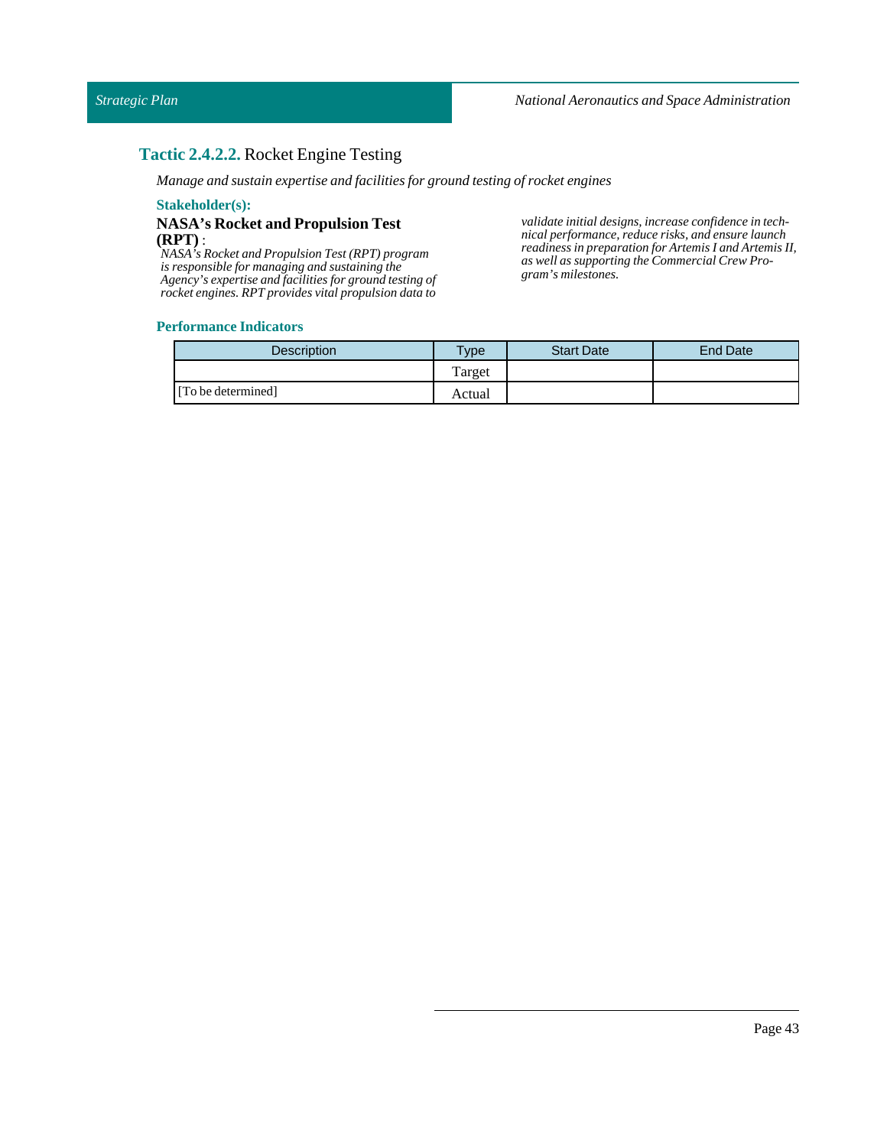### **Tactic 2.4.2.2.** Rocket Engine Testing

*Manage and sustain expertise and facilities for ground testing of rocket engines*

#### **Stakeholder(s):**

### **NASA's Rocket and Propulsion Test (RPT)** :

*NASA's Rocket and Propulsion Test (RPT) program is responsible for managing and sustaining the Agency's expertise and facilities for ground testing of rocket engines. RPT provides vital propulsion data to*

*validate initial designs, increase confidence in technical performance, reduce risks, and ensure launch readiness in preparation for Artemis I and Artemis II, as well as supporting the Commercial Crew Program's milestones.*

| <b>Description</b> | $T$ <sub>V</sub> $pe$ | <b>Start Date</b> | End Date |
|--------------------|-----------------------|-------------------|----------|
|                    | Target                |                   |          |
| [To be determined] | Actual                |                   |          |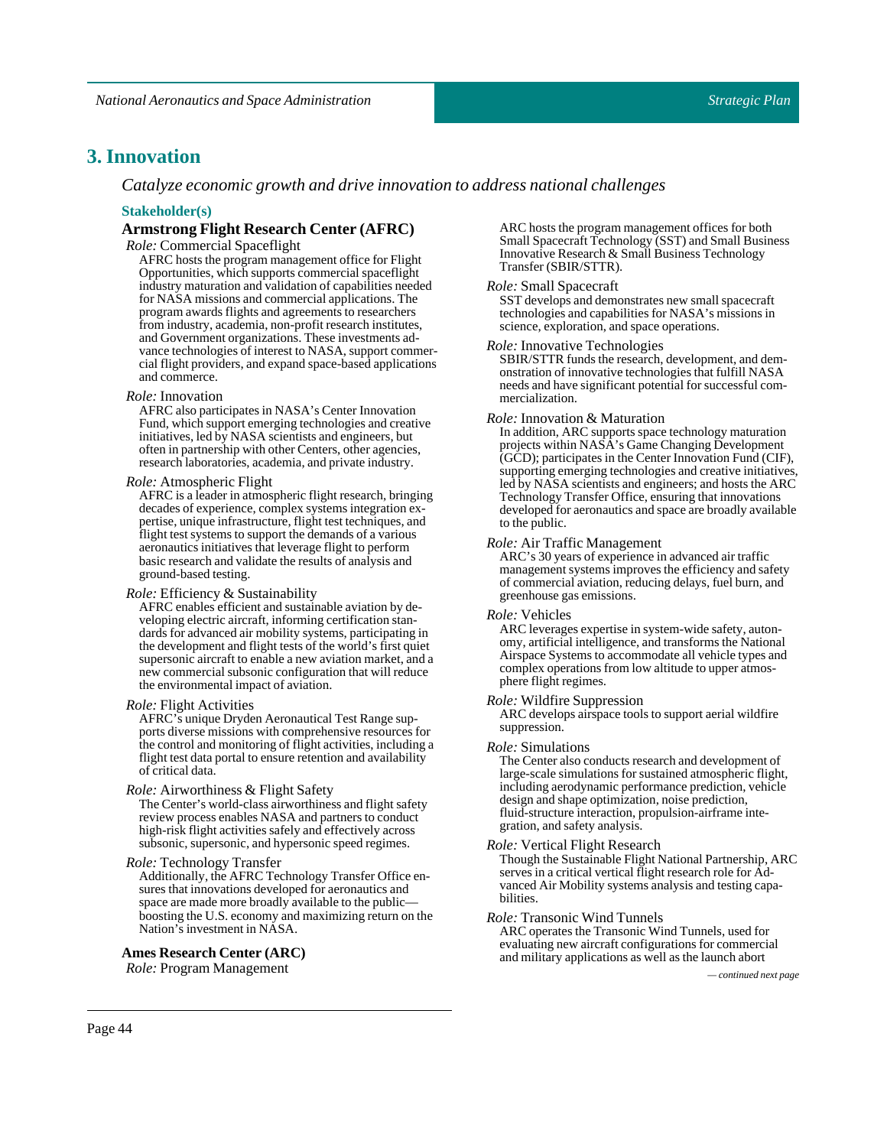### **3. Innovation**

*Catalyze economic growth and drive innovation to address national challenges*

#### **Stakeholder(s)**

### **Armstrong Flight Research Center (AFRC)**

**Role:** Commercial Spaceflight

AFRC hosts the program management office for Flight Opportunities, which supports commercial spaceflight industry maturation and validation of capabilities needed for NASA missions and commercial applications. The program awards flights and agreements to researchers from industry, academia, non-profit research institutes, and Government organizations. These investments advance technologies of interest to NASA, support commercial flight providers, and expand space-based applications and commerce.

#### *Role:* Innovation

AFRC also participates in NASA's Center Innovation Fund, which support emerging technologies and creative initiatives, led by NASA scientists and engineers, but often in partnership with other Centers, other agencies, research laboratories, academia, and private industry.

#### *Role:* Atmospheric Flight

AFRC is a leader in atmospheric flight research, bringing decades of experience, complex systems integration expertise, unique infrastructure, flight test techniques, and flight test systems to support the demands of a various aeronautics initiatives that leverage flight to perform basic research and validate the results of analysis and ground-based testing.

#### *Role:* Efficiency & Sustainability

AFRC enables efficient and sustainable aviation by developing electric aircraft, informing certification standards for advanced air mobility systems, participating in the development and flight tests of the world's first quiet supersonic aircraft to enable a new aviation market, and a new commercial subsonic configuration that will reduce the environmental impact of aviation.

#### *Role:* Flight Activities

AFRC's unique Dryden Aeronautical Test Range supports diverse missions with comprehensive resources for the control and monitoring of flight activities, including a flight test data portal to ensure retention and availability of critical data.

#### *Role:* Airworthiness & Flight Safety

The Center's world-class airworthiness and flight safety review process enables NASA and partners to conduct high-risk flight activities safely and effectively across subsonic, supersonic, and hypersonic speed regimes.

#### *Role:* Technology Transfer

Additionally, the AFRC Technology Transfer Office ensures that innovations developed for aeronautics and space are made more broadly available to the public boosting the U.S. economy and maximizing return on the Nation's investment in NASA.

#### **Ames Research Center (ARC)**

*Role:*Program Management *— continued next page*

ARC hosts the program management offices for both Small Spacecraft Technology (SST) and Small Business Innovative Research & Small Business Technology Transfer (SBIR/STTR).

#### *Role:*SmallSpacecraft

SST develops and demonstrates new small spacecraft technologies and capabilities for NASA's missions in science, exploration, and space operations.

#### *Role:* Innovative Technologies

SBIR/STTR funds the research, development, and demonstration of innovative technologies that fulfill NASA needs and have significant potential for successful commercialization.

#### *Role:* Innovation & Maturation

In addition, ARC supports space technology maturation projects within NASA's Game Changing Development (GCD); participates in the Center Innovation Fund (CIF), supporting emerging technologies and creative initiatives, led by NASA scientists and engineers; and hosts the ARC Technology Transfer Office, ensuring that innovations developed for aeronautics and space are broadly available to the public.

#### *Role:* Air Traffic Management

ARC's 30 years of experience in advanced air traffic management systems improves the efficiency and safety of commercial aviation, reducing delays, fuel burn, and greenhouse gas emissions.

#### *Role:* Vehicles

ARC leverages expertise in system-wide safety, autonomy, artificial intelligence, and transforms the National Airspace Systems to accommodate all vehicle types and complex operations from low altitude to upper atmosphere flight regimes.

#### *Role:* Wildfire Suppression

ARC develops airspace tools to support aerial wildfire suppression.

#### *Role:*Simulations

The Center also conducts research and development of large-scale simulations for sustained atmospheric flight, including aerodynamic performance prediction, vehicle design and shape optimization, noise prediction, fluid-structure interaction, propulsion-airframe integration, and safety analysis.

#### *Role:* Vertical Flight Research

Though the Sustainable Flight National Partnership, ARC serves in a critical vertical flight research role for Advanced Air Mobility systems analysis and testing capabilities.

#### *Role:* Transonic Wind Tunnels

ARC operates the Transonic Wind Tunnels, used for evaluating new aircraft configurations for commercial and military applications as well as the launch abort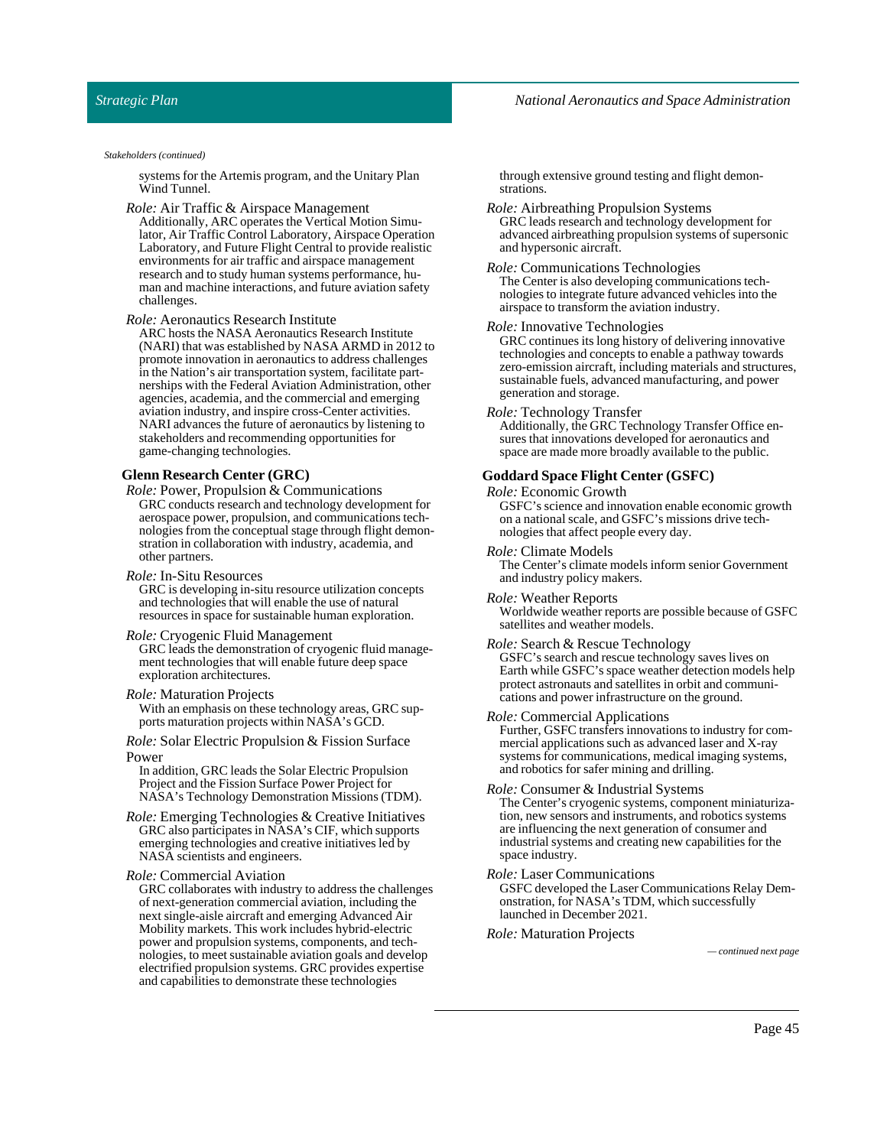#### *National Aeronautics and Space Administration*

#### *Strategic Plan*

*Stakeholders (continued)*

systems for the Artemis program, and the Unitary Plan Wind Tunnel.

*Role:* Air Traffic & Airspace Management

Additionally, ARC operates the Vertical Motion Simulator, Air Traffic Control Laboratory, Airspace Operation Laboratory, and Future Flight Central to provide realistic environments for air traffic and airspace management research and to study human systems performance, human and machine interactions, and future aviation safety challenges.

*Role:* Aeronautics Research Institute

ARC hosts the NASA Aeronautics Research Institute (NARI) that was established by NASA ARMD in 2012 to promote innovation in aeronautics to address challenges in the Nation's air transportation system, facilitate partnerships with the Federal Aviation Administration, other agencies, academia, and the commercial and emerging aviation industry, and inspire cross-Center activities. NARI advances the future of aeronautics by listening to stakeholders and recommending opportunities for game-changing technologies.

#### **Glenn Research Center (GRC)**

- *Role:* Power, Propulsion & Communications GRC conducts research and technology development for aerospace power, propulsion, and communications technologies from the conceptual stage through flight demonstration in collaboration with industry, academia, and other partners.
- *Role:* In-Situ Resources

GRC is developing in-situ resource utilization concepts and technologies that will enable the use of natural resources in space for sustainable human exploration.

#### *Role:* Cryogenic Fluid Management

GRC leads the demonstration of cryogenic fluid management technologies that will enable future deep space exploration architectures.

#### *Role:* Maturation Projects

With an emphasis on these technology areas, GRC supports maturation projects within NASA's GCD.

*Role:* Solar Electric Propulsion & Fission Surface Power

In addition, GRC leads the Solar Electric Propulsion Project and the Fission Surface Power Project for NASA's Technology Demonstration Missions (TDM).

*Role:* Emerging Technologies & Creative Initiatives GRC also participates in NASA's CIF, which supports emerging technologies and creative initiatives led by NASA scientists and engineers.

#### *Role:* Commercial Aviation

GRC collaborates with industry to address the challenges of next-generation commercial aviation, including the next single-aisle aircraft and emerging Advanced Air Mobility markets. This work includes hybrid-electric power and propulsion systems, components, and technologies, to meet sustainable aviation goals and develop electrified propulsion systems. GRC provides expertise and capabilities to demonstrate these technologies

through extensive ground testing and flight demonstrations.

*Role:* Airbreathing Propulsion Systems GRC leads research and technology development for advanced airbreathing propulsion systems of supersonic and hypersonic aircraft.

*Role:* Communications Technologies The Center is also developing communications technologies to integrate future advanced vehicles into the airspace to transform the aviation industry.

#### *Role:* Innovative Technologies

GRC continues its long history of delivering innovative technologies and concepts to enable a pathway towards zero-emission aircraft, including materials and structures, sustainable fuels, advanced manufacturing, and power generation and storage.

#### *Role:* Technology Transfer

Additionally, the GRC Technology Transfer Office ensures that innovations developed for aeronautics and space are made more broadly available to the public.

#### **GoddardSpace Flight Center (GSFC)**

#### *Role:* Economic Growth

GSFC's science and innovation enable economic growth on a national scale, and GSFC's missions drive technologies that affect people every day.

*Role:* Climate Models The Center's climate models inform senior Government and industry policy makers.

*Role:* Weather Reports Worldwide weather reports are possible because of GSFC satellites and weather models.

#### *Role:*Search & Rescue Technology

GSFC's search and rescue technology saves lives on Earth while GSFC's space weather detection models help protect astronauts and satellites in orbit and communications and power infrastructure on the ground.

#### *Role:* Commercial Applications

Further, GSFC transfers innovations to industry for commercial applications such as advanced laser and X-ray systems for communications, medical imaging systems, and robotics for safer mining and drilling.

#### *Role:* Consumer & Industrial Systems

The Center's cryogenic systems, component miniaturization, new sensors and instruments, and robotics systems are influencing the next generation of consumer and industrial systems and creating new capabilities for the space industry.

#### *Role:* Laser Communications

GSFC developed the Laser Communications Relay Demonstration, for NASA's TDM, which successfully launched in December 2021.

*Role:* Maturation Projects

*— continued next page*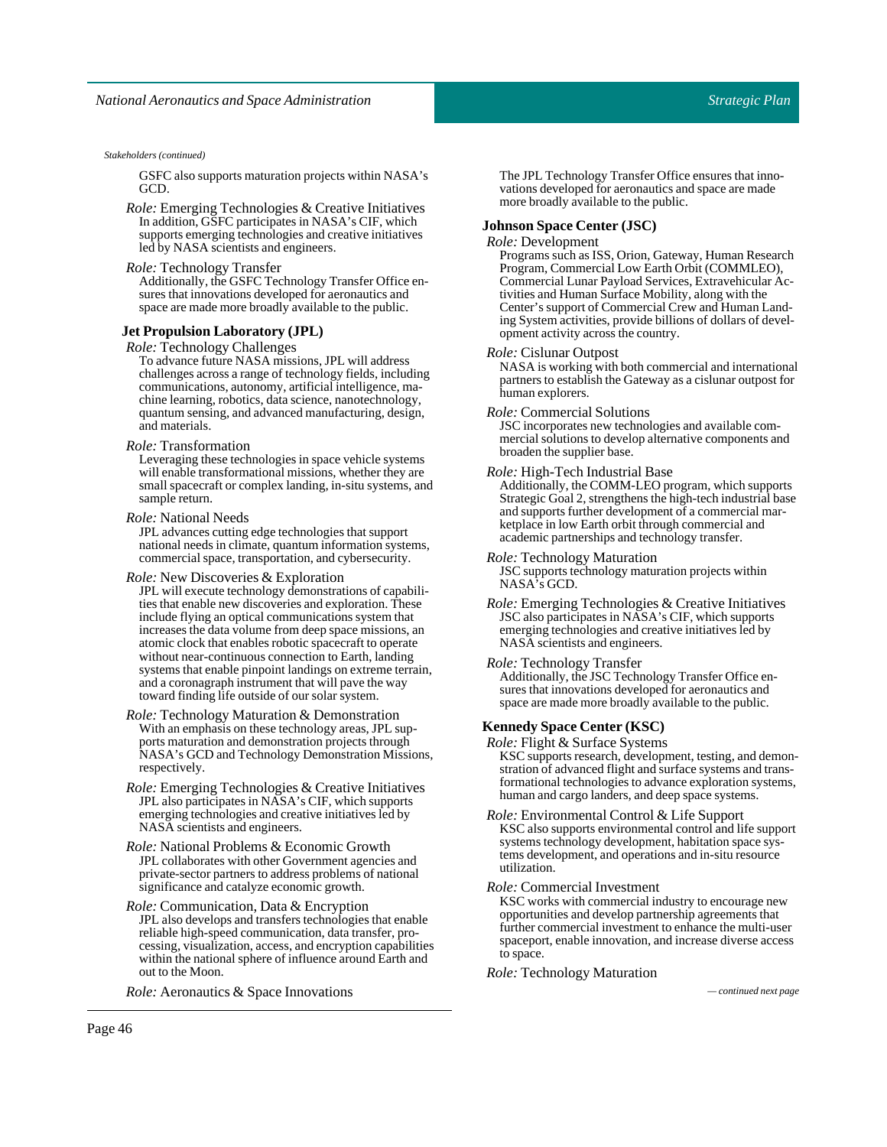#### *Stakeholders (continued)*

GSFC also supports maturation projects within NASA's GCD.

*Role:* Emerging Technologies & Creative Initiatives In addition, GSFC participates in NASA's CIF, which supports emerging technologies and creative initiatives led by NASA scientists and engineers.

### *Role:* Technology Transfer

Additionally, the GSFC Technology Transfer Office ensures that innovations developed for aeronautics and space are made more broadly available to the public.

#### **Jet Propulsion Laboratory (JPL)**

*Role:* Technology Challenges

To advance future NASA missions, JPL will address challenges across a range of technology fields, including communications, autonomy, artificial intelligence, machine learning, robotics, data science, nanotechnology, quantum sensing, and advanced manufacturing, design, and materials.

#### *Role:* Transformation

Leveraging these technologies in space vehicle systems will enable transformational missions, whether they are small spacecraft or complex landing, in-situ systems, and sample return.

#### *Role:* National Needs

JPL advances cutting edge technologies that support national needs in climate, quantum information systems, commercial space, transportation, and cybersecurity.

#### *Role:* New Discoveries & Exploration

JPL will execute technology demonstrations of capabilities that enable new discoveries and exploration. These include flying an optical communications system that increases the data volume from deep space missions, an atomic clock that enables robotic spacecraft to operate without near-continuous connection to Earth, landing systems that enable pinpoint landings on extreme terrain, and a coronagraph instrument that will pave the way toward finding life outside of our solar system.

#### *Role:* Technology Maturation & Demonstration With an emphasis on these technology areas, JPL supports maturation and demonstration projects through NASA's GCD and Technology Demonstration Missions, respectively.

*Role:* Emerging Technologies & Creative Initiatives JPL also participates in NASA's CIF, which supports emerging technologies and creative initiatives led by NASA scientists and engineers.

*Role:* National Problems & Economic Growth JPL collaborates with other Government agencies and private-sector partners to address problems of national significance and catalyze economic growth.

#### *Role:* Communication, Data & Encryption

JPL also develops and transfers technologies that enable reliable high-speed communication, data transfer, processing, visualization, access, and encryption capabilities within the national sphere of influence around Earth and out to the Moon.

*Role:* Aeronautics & Space Innovations *— continued next page*

The JPL Technology Transfer Office ensures that innovations developed for aeronautics and space are made more broadly available to the public.

#### **JohnsonSpace Center (JSC)**

#### *Role:* Development

Programs such as ISS, Orion, Gateway, Human Research Program, Commercial Low Earth Orbit (COMMLEO), Commercial Lunar Payload Services, Extravehicular Activities and Human Surface Mobility, along with the Center's support of Commercial Crew and Human Landing System activities, provide billions of dollars of development activity across the country.

#### *Role:* Cislunar Outpost

NASA is working with both commercial and international partners to establish the Gateway as a cislunar outpost for human explorers.

#### *Role:* Commercial Solutions

JSC incorporates new technologies and available commercial solutions to develop alternative components and broaden the supplier base.

#### *Role:* High-Tech Industrial Base

Additionally, the COMM-LEO program, which supports Strategic Goal 2, strengthens the high-tech industrial base and supports further development of a commercial marketplace in low Earth orbit through commercial and academic partnerships and technology transfer.

#### *Role:* Technology Maturation

JSC supports technology maturation projects within NASA's GCD.

*Role:* Emerging Technologies & Creative Initiatives JSC also participates in NASA's CIF, which supports emerging technologies and creative initiatives led by NASA scientists and engineers.

#### *Role:* Technology Transfer

Additionally, the JSC Technology Transfer Office ensures that innovations developed for aeronautics and space are made more broadly available to the public.

#### **KennedySpace Center (KSC)**

*Role:* Flight & Surface Systems

KSC supports research, development, testing, and demonstration of advanced flight and surface systems and transformational technologies to advance exploration systems, human and cargo landers, and deep space systems.

*Role:* Environmental Control & Life Support KSC also supports environmental control and life support systems technology development, habitation space systems development, and operations and in-situ resource utilization.

#### *Role:* Commercial Investment

KSC works with commercial industry to encourage new opportunities and develop partnership agreements that further commercial investment to enhance the multi-user spaceport, enable innovation, and increase diverse access to space.

#### *Role:* Technology Maturation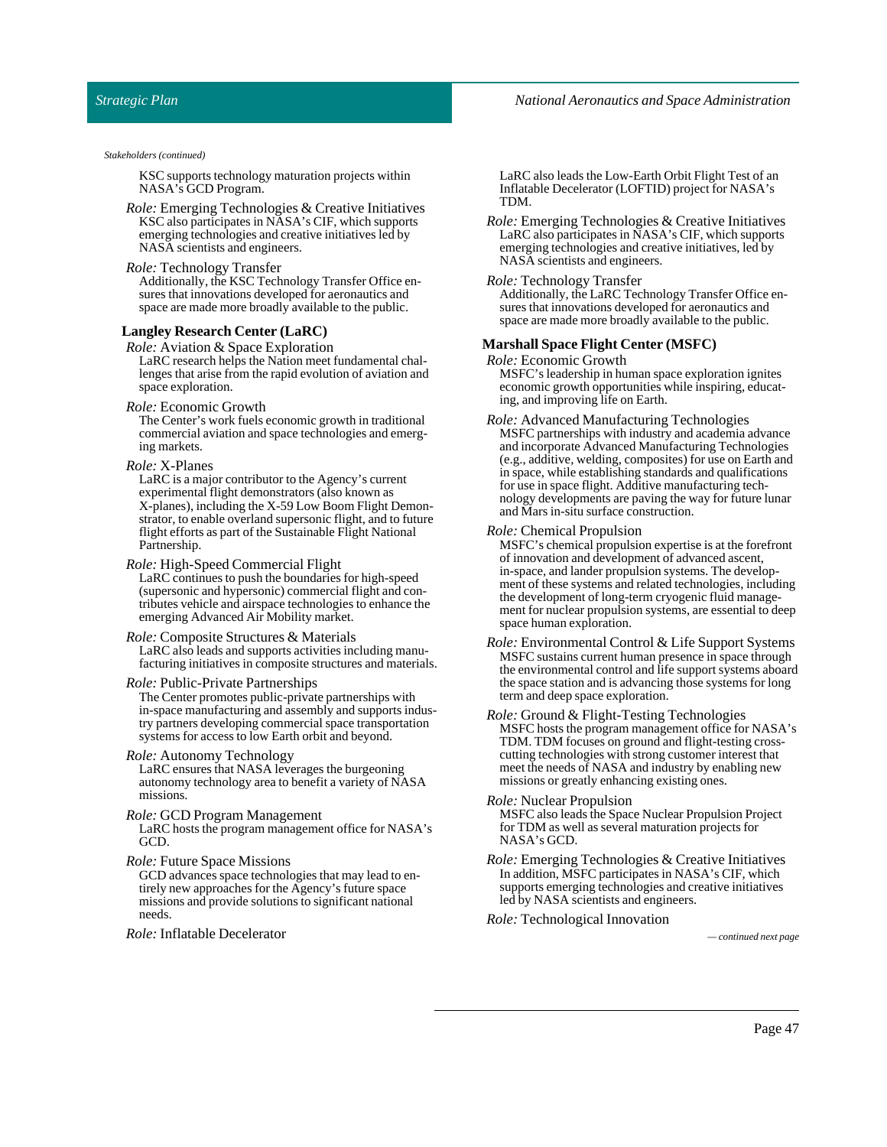#### *National Aeronautics and Space Administration*

#### *Strategic Plan*

#### *Stakeholders (continued)*

KSC supports technology maturation projects within NASA's GCD Program.

*Role:* Emerging Technologies & Creative Initiatives KSC also participates in NASA's CIF, which supports emerging technologies and creative initiatives led by NASA scientists and engineers.

#### *Role:* Technology Transfer

Additionally, the KSC Technology Transfer Office ensures that innovations developed for aeronautics and space are made more broadly available to the public.

#### **Langley Research Center (LaRC)**

*Role:* Aviation & Space Exploration LaRC research helps the Nation meet fundamental challenges that arise from the rapid evolution of aviation and space exploration.

#### *Role:* Economic Growth

The Center's work fuels economic growth in traditional commercial aviation and space technologies and emerging markets.

#### *Role:* X-Planes

LaRC is a major contributor to the Agency's current experimental flight demonstrators (also known as X-planes), including the X-59 Low Boom Flight Demonstrator, to enable overland supersonic flight, and to future flight efforts as part of the Sustainable Flight National Partnership.

#### *Role:* High-Speed Commercial Flight

LaRC continues to push the boundaries for high-speed (supersonic and hypersonic) commercial flight and contributes vehicle and airspace technologies to enhance the emerging Advanced Air Mobility market.

#### *Role:* Composite Structures & Materials

LaRC also leads and supports activities including manufacturing initiatives in composite structures and materials.

#### *Role:* Public-Private Partnerships

The Center promotes public-private partnerships with in-space manufacturing and assembly and supports industry partners developing commercial space transportation systems for access to low Earth orbit and beyond.

#### *Role:* Autonomy Technology

LaRC ensures that NASA leverages the burgeoning autonomy technology area to benefit a variety of NASA missions.

#### *Role:* GCD Program Management

LaRC hosts the program management office for NASA's GCD.

#### *Role:* Future Space Missions

GCD advances space technologies that may lead to entirely new approaches for the Agency's future space missions and provide solutions to significant national needs.

*Role:* Inflatable Decelerator *— continued next page*

LaRC also leads the Low-Earth Orbit Flight Test of an Inflatable Decelerator (LOFTID) project for NASA's TDM.

*Role:* Emerging Technologies & Creative Initiatives LaRC also participates in NASA's CIF, which supports emerging technologies and creative initiatives, led by NASA scientists and engineers.

#### *Role:* Technology Transfer

Additionally, the LaRC Technology Transfer Office ensures that innovations developed for aeronautics and space are made more broadly available to the public.

#### **MarshallSpace Flight Center (MSFC)**

*Role:* Economic Growth

MSFC's leadership in human space exploration ignites economic growth opportunities while inspiring, educating, and improving life on Earth.

*Role:* Advanced Manufacturing Technologies MSFC partnerships with industry and academia advance and incorporate Advanced Manufacturing Technologies (e.g., additive, welding, composites) for use on Earth and in space, while establishing standards and qualifications for use in space flight. Additive manufacturing technology developments are paving the way for future lunar and Mars in-situ surface construction.

#### *Role:* Chemical Propulsion

MSFC's chemical propulsion expertise is at the forefront of innovation and development of advanced ascent, in-space, and lander propulsion systems. The development of these systems and related technologies, including the development of long-term cryogenic fluid management for nuclear propulsion systems, are essential to deep space human exploration.

- *Role:* Environmental Control & Life Support Systems MSFC sustains current human presence in space through the environmental control and life support systems aboard the space station and is advancing those systems for long term and deep space exploration.
- *Role:* Ground & Flight-Testing Technologies MSFC hosts the program management office for NASA's TDM. TDM focuses on ground and flight-testing crosscutting technologies with strong customer interest that meet the needs of NASA and industry by enabling new missions or greatly enhancing existing ones.
- *Role:* Nuclear Propulsion MSFC also leads the Space Nuclear Propulsion Project for TDM as well as several maturation projects for NASA's GCD.
- *Role:* Emerging Technologies & Creative Initiatives In addition, MSFC participates in NASA's CIF, which supports emerging technologies and creative initiatives led by NASA scientists and engineers.

*Role:* Technological Innovation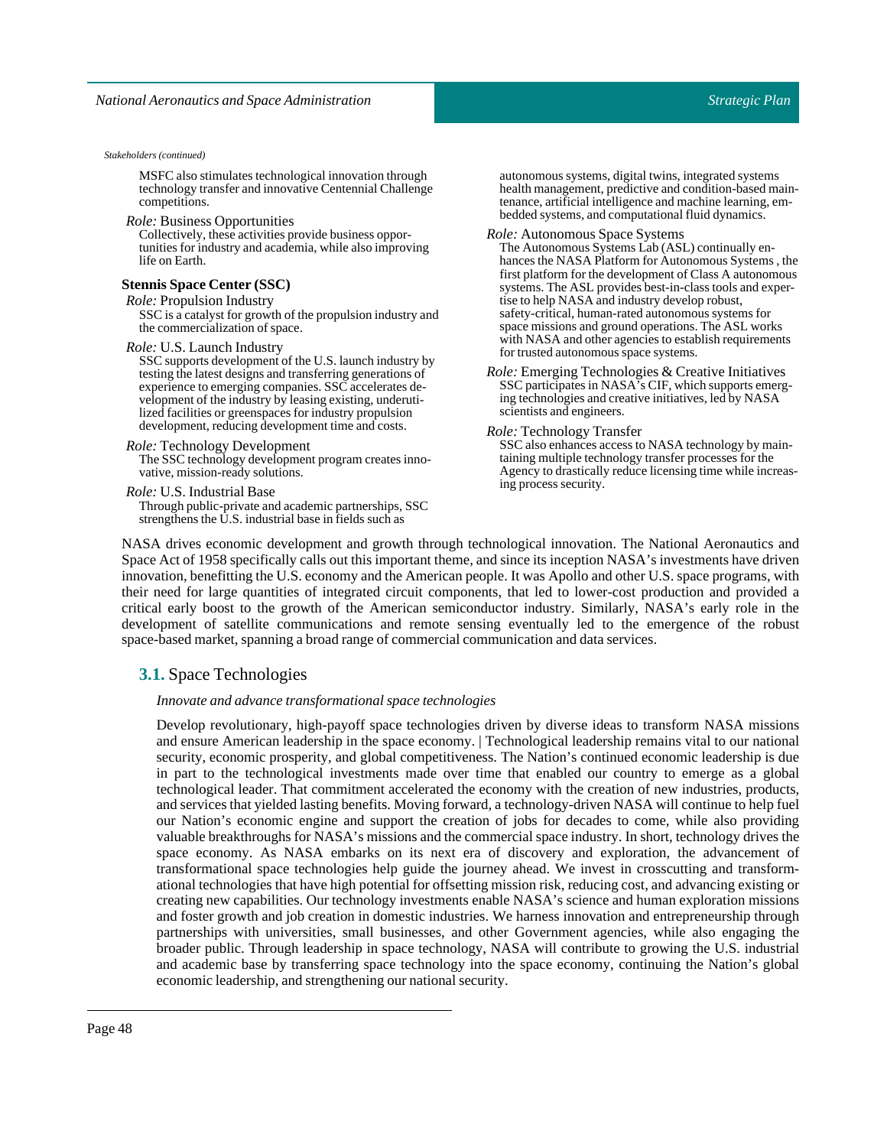MSFC also stimulates technological innovation through technology transfer and innovative Centennial Challenge competitions.

*Role:* Business Opportunities

Collectively, these activities provide business opportunities for industry and academia, while also improving life on Earth.

#### **StennisSpace Center (SSC)**

*Role:* Propulsion Industry

SSC is a catalyst for growth of the propulsion industry and the commercialization of space.

*Role:* U.S. Launch Industry

SSC supports development of the U.S. launch industry by testing the latest designs and transferring generations of experience to emerging companies. SSC accelerates development of the industry by leasing existing, underutilized facilities or greenspaces for industry propulsion development, reducing development time and costs.

#### *Role:* Technology Development

The SSC technology development program creates innovative, mission-ready solutions.

*Role:* U.S. Industrial Base

Through public-private and academic partnerships, SSC strengthens the U.S. industrial base in fields such as

autonomous systems, digital twins, integrated systems health management, predictive and condition-based maintenance, artificial intelligence and machine learning, embedded systems, and computational fluid dynamics.

**Role:** Autonomous Space Systems

The Autonomous Systems Lab (ASL) continually enhances the NASA Platform for Autonomous Systems , the first platform for the development of Class A autonomous systems. The ASL provides best-in-class tools and expertise to help NASA and industry develop robust, safety-critical, human-rated autonomous systems for space missions and ground operations. The ASL works with NASA and other agencies to establish requirements for trusted autonomous space systems.

*Role:* Emerging Technologies & Creative Initiatives SSC participates in NASA's CIF, which supports emerging technologies and creative initiatives, led by NASA scientists and engineers.

#### *Role:* Technology Transfer

SSC also enhances access to NASA technology by maintaining multiple technology transfer processes for the Agency to drastically reduce licensing time while increasing process security.

NASA drives economic development and growth through technological innovation. The National Aeronautics and Space Act of 1958 specifically calls out this important theme, and since its inception NASA's investments have driven innovation, benefitting the U.S. economy and the American people. It was Apollo and other U.S. space programs, with their need for large quantities of integrated circuit components, that led to lower-cost production and provided a critical early boost to the growth of the American semiconductor industry. Similarly, NASA's early role in the development of satellite communications and remote sensing eventually led to the emergence of the robust space-based market, spanning a broad range of commercial communication and data services.

### **3.1.** Space Technologies

#### *Innovate and advance transformational space technologies*

Develop revolutionary, high-payoff space technologies driven by diverse ideas to transform NASA missions and ensure American leadership in the space economy. | Technological leadership remains vital to our national security, economic prosperity, and global competitiveness. The Nation's continued economic leadership is due in part to the technological investments made over time that enabled our country to emerge as a global technological leader. That commitment accelerated the economy with the creation of new industries, products, and services that yielded lasting benefits. Moving forward, a technology-driven NASA will continue to help fuel our Nation's economic engine and support the creation of jobs for decades to come, while also providing valuable breakthroughs for NASA's missions and the commercial space industry. In short, technology drives the space economy. As NASA embarks on its next era of discovery and exploration, the advancement of transformational space technologies help guide the journey ahead. We invest in crosscutting and transformational technologies that have high potential for offsetting mission risk, reducing cost, and advancing existing or creating new capabilities. Our technology investments enable NASA's science and human exploration missions and foster growth and job creation in domestic industries. We harness innovation and entrepreneurship through partnerships with universities, small businesses, and other Government agencies, while also engaging the broader public. Through leadership in space technology, NASA will contribute to growing the U.S. industrial and academic base by transferring space technology into the space economy, continuing the Nation's global economic leadership, and strengthening our national security.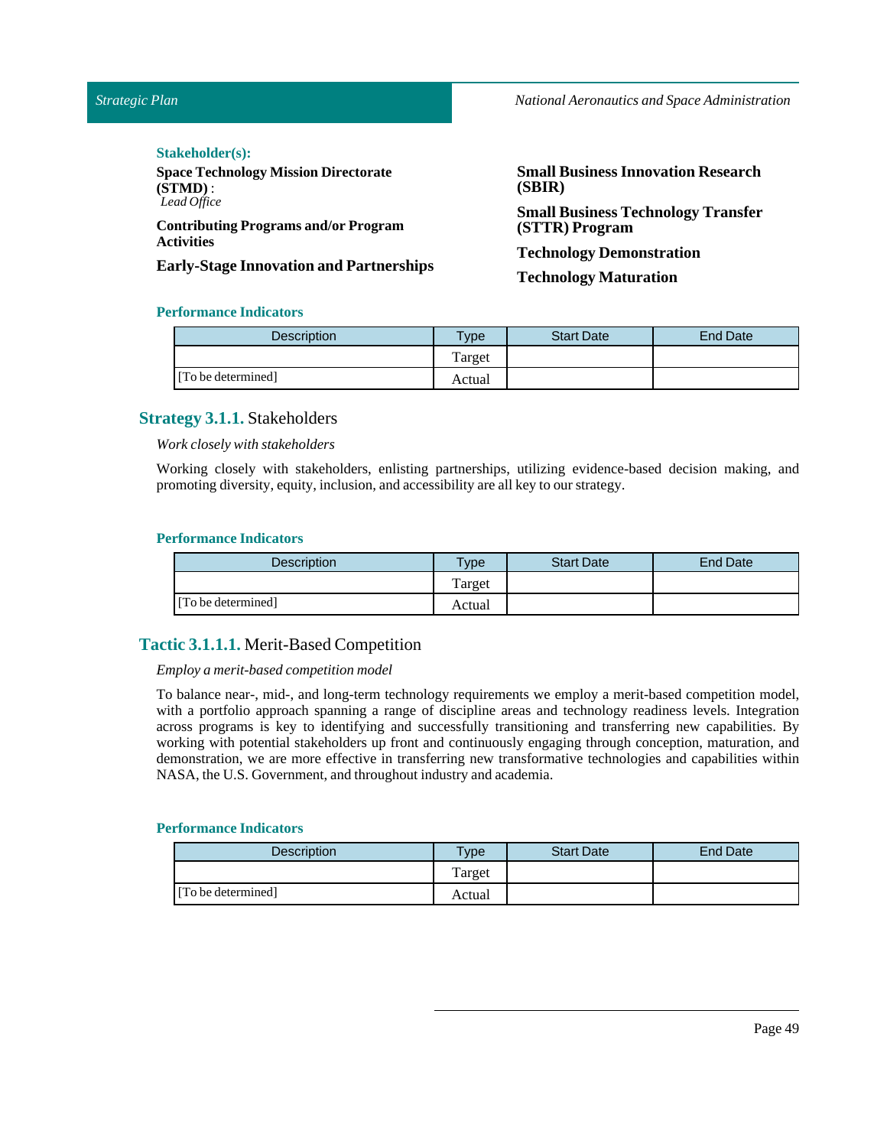*Strategic Plan*

*National Aeronautics and Space Administration*

#### Stakeholder(s):

**Space Technology Mission Directorate (STMD)** : *Lead Office*

**Contributing Programs and/or Program Activities**

**Early-Stage Innovation and Partnerships**

**Small Business Innovation Research (SBIR)**

**Small Business Technology Transfer (STTR) Program**

**Technology Demonstration**

**Technology Maturation**

### **Performance Indicators**

| <b>Description</b> | Type <sub>1</sub> | <b>Start Date</b> | <b>End Date</b> |
|--------------------|-------------------|-------------------|-----------------|
|                    | Target            |                   |                 |
| [To be determined] | Actual            |                   |                 |

### **Strategy 3.1.1.** Stakeholders

*Work closely with stakeholders*

Working closely with stakeholders, enlisting partnerships, utilizing evidence-based decision making, and promoting diversity, equity, inclusion, and accessibility are all key to our strategy.

#### **Performance Indicators**

| Description        | $v$ pe | <b>Start Date</b> | <b>End Date</b> |
|--------------------|--------|-------------------|-----------------|
|                    | Target |                   |                 |
| [To be determined] | Actual |                   |                 |

### **Tactic 3.1.1.1.** Merit-Based Competition

#### *Employ a merit-based competition model*

To balance near-, mid-, and long-term technology requirements we employ a merit-based competition model, with a portfolio approach spanning a range of discipline areas and technology readiness levels. Integration across programs is key to identifying and successfully transitioning and transferring new capabilities. By working with potential stakeholders up front and continuously engaging through conception, maturation, and demonstration, we are more effective in transferring new transformative technologies and capabilities within NASA, the U.S. Government, and throughout industry and academia.

| <b>Description</b> | <b>Type</b> | <b>Start Date</b> | <b>End Date</b> |
|--------------------|-------------|-------------------|-----------------|
|                    | Target      |                   |                 |
| [To be determined] | Actual      |                   |                 |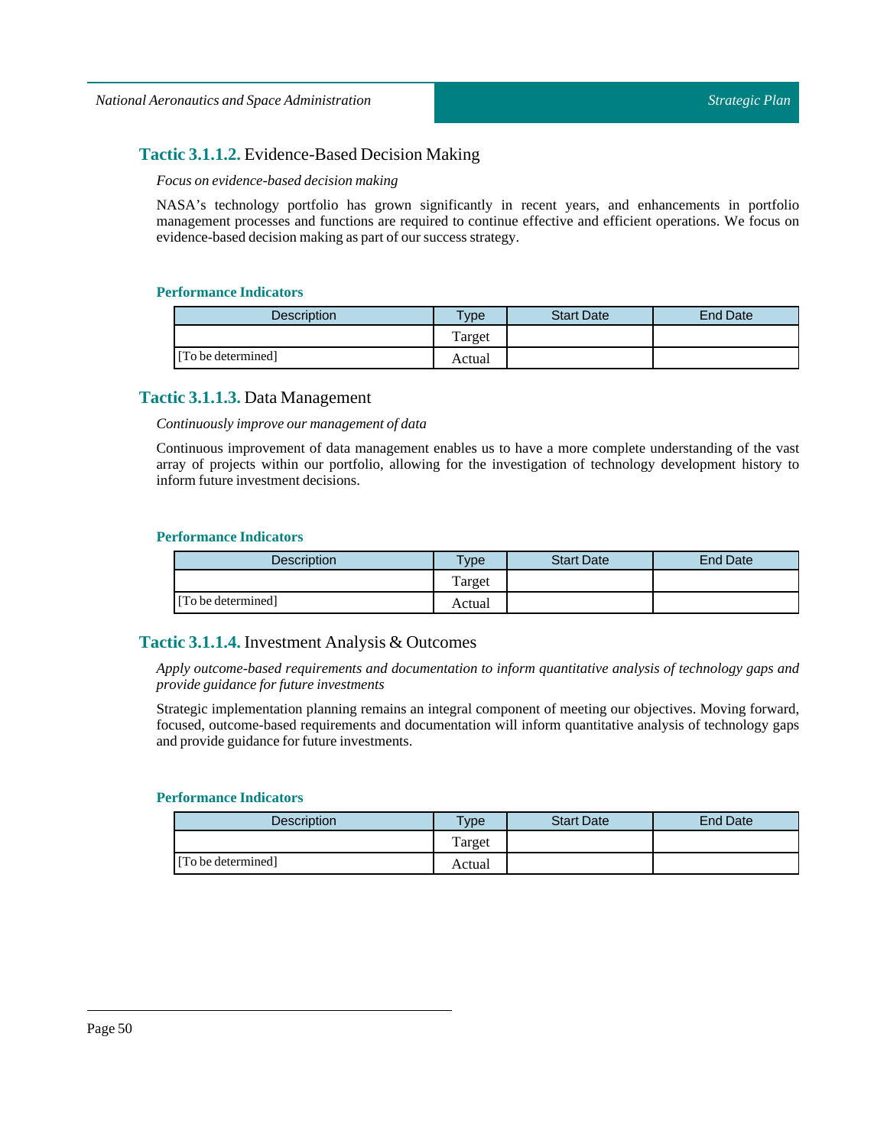### **Tactic 3.1.1.2.** Evidence-Based Decision Making

#### *Focus on evidence-based decision making*

NASA's technology portfolio has grown significantly in recent years, and enhancements in portfolio management processes and functions are required to continue effective and efficient operations. We focus on evidence-based decision making as part of our success strategy.

### **Performance Indicators**

| <b>Description</b> | $v_{\rm p}$ | <b>Start Date</b> | End Date |
|--------------------|-------------|-------------------|----------|
|                    | Target      |                   |          |
| [To be determined] | Actual      |                   |          |

### **Tactic 3.1.1.3.** Data Management

#### *Continuously improve our management of data*

Continuous improvement of data management enables us to have a more complete understanding of the vast array of projects within our portfolio, allowing for the investigation of technology development history to inform future investment decisions.

### **Performance Indicators**

| <b>Description</b> | $v$ pe | <b>Start Date</b> | <b>End Date</b> |
|--------------------|--------|-------------------|-----------------|
|                    | Target |                   |                 |
| [To be determined] | Actual |                   |                 |

### **Tactic 3.1.1.4.** Investment Analysis & Outcomes

*Apply outcome-based requirements and documentation to inform quantitative analysis of technology gaps and provide guidance for future investments*

Strategic implementation planning remains an integral component of meeting our objectives. Moving forward, focused, outcome-based requirements and documentation will inform quantitative analysis of technology gaps and provide guidance for future investments.

| <b>Description</b> | $T$ vpe | <b>Start Date</b> | End Date |
|--------------------|---------|-------------------|----------|
|                    | Target  |                   |          |
| [To be determined] | Actual  |                   |          |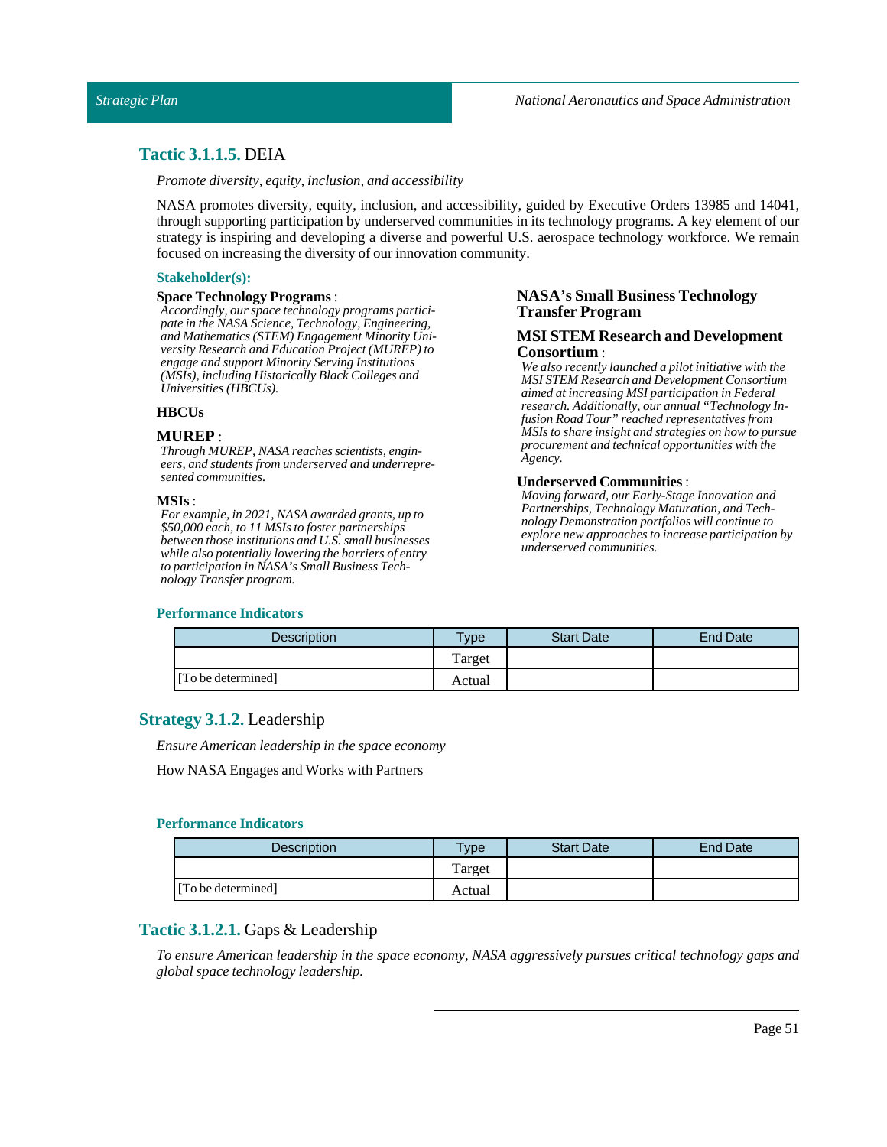### **Tactic 3.1.1.5.** DEIA

*Promote diversity, equity,inclusion, and accessibility*

NASA promotes diversity, equity, inclusion, and accessibility, guided by Executive Orders 13985 and 14041, through supporting participation by underserved communities in its technology programs. A key element of our strategy is inspiring and developing a diverse and powerful U.S. aerospace technology workforce. We remain focused on increasing the diversity of our innovation community.

#### **Stakeholder(s):**

#### **Space Technology Programs**:

*Accordingly, our space technology programs participate in the NASA Science, Technology, Engineering, and Mathematics (STEM) Engagement Minority University Research and Education Project (MUREP) to engage and support Minority Serving Institutions (MSIs), including Historically Black Colleges and Universities (HBCUs).*

#### **HBCUs**

#### **MUREP** :

*Through MUREP, NASA reaches scientists, engineers, and students from underserved and underrepresented communities.*

#### **MSIs**:

*For example, in 2021, NASA awarded grants, up to \$50,000 each, to 11 MSIs to foster partnerships between those institutions and U.S. small businesses while also potentially lowering the barriers of entry to participation in NASA's Small Business Technology Transfer program.*

#### **Performance Indicators**

### **NASA's Small Business Technology Transfer Program**

#### **MSI STEM Research and Development Consortium** :

*We also recently launched a pilot initiative with the MSI STEM Research and Development Consortium aimed at increasing MSI participation in Federal research. Additionally, our annual "Technology Infusion Road Tour" reached representatives from MSIs to share insight and strategies on how to pursue procurement and technical opportunities with the Agency.*

#### **Underserved Communities** :

*Moving forward, our Early-Stage Innovation and Partnerships, Technology Maturation, and Technology Demonstration portfolios will continue to explore new approaches to increase participation by underserved communities.*

| Description        | <b>Type</b> | <b>Start Date</b> | End Date |
|--------------------|-------------|-------------------|----------|
|                    | Target      |                   |          |
| [To be determined] | Actual      |                   |          |

### **Strategy 3.1.2.** Leadership

*Ensure American leadership in the space economy*

How NASA Engages and Works with Partners

#### **Performance Indicators**

| <b>Description</b> | Type   | <b>Start Date</b> | <b>End Date</b> |
|--------------------|--------|-------------------|-----------------|
|                    | Target |                   |                 |
| [To be determined] | Actual |                   |                 |

### **Tactic 3.1.2.1.** Gaps & Leadership

*To ensure American leadership in the space economy, NASA aggressively pursues critical technology gaps and global space technology leadership.*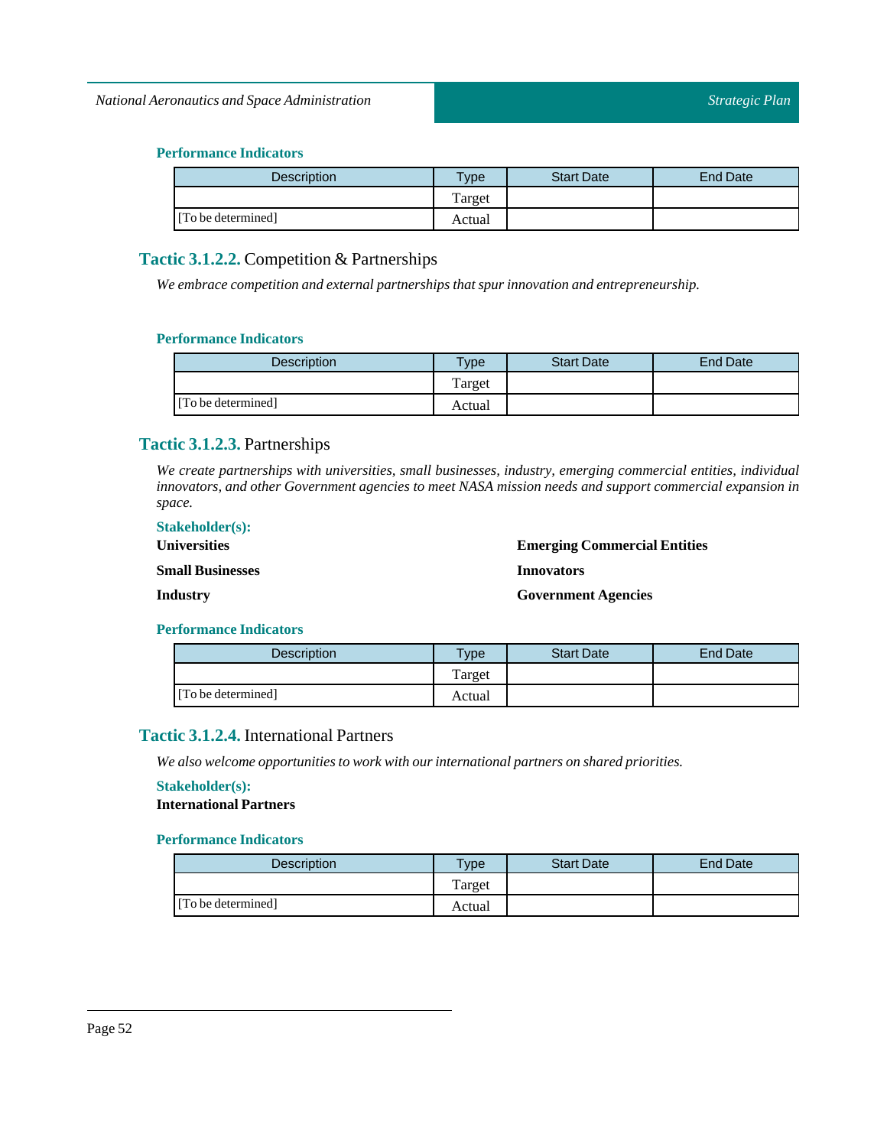### **Performance Indicators**

| <b>Description</b> | $T$ ype | <b>Start Date</b> | <b>End Date</b> |
|--------------------|---------|-------------------|-----------------|
|                    | Target  |                   |                 |
| [To be determined] | Actual  |                   |                 |

### **Tactic 3.1.2.2.** Competition & Partnerships

*We embrace competition and external partnerships that spur innovation and entrepreneurship.*

### **Performance Indicators**

| <b>Description</b> | $T$ ype | <b>Start Date</b> | <b>End Date</b> |
|--------------------|---------|-------------------|-----------------|
|                    | Target  |                   |                 |
| [To be determined] | Actual  |                   |                 |

### **Tactic 3.1.2.3.** Partnerships

*We create partnerships with universities, small businesses, industry, emerging commercial entities, individual innovators, and other Government agencies to meet NASA mission needs and support commercial expansion in space.*

| <b>Stakeholder(s):</b>  |                                     |
|-------------------------|-------------------------------------|
| <b>Universities</b>     | <b>Emerging Commercial Entities</b> |
| <b>Small Businesses</b> | <b>Innovators</b>                   |
| Industry                | <b>Government Agencies</b>          |

### **Performance Indicators**

| <b>Description</b> | $\tau_{\text{ype}}$ | <b>Start Date</b> | End Date |
|--------------------|---------------------|-------------------|----------|
|                    | Target              |                   |          |
| [To be determined] | Actual              |                   |          |

### **Tactic 3.1.2.4.** International Partners

*We also welcome opportunities to work with our international partners on shared priorities.*

### **Stakeholder(s):**

**International Partners**

| <b>Description</b> | <b>Type</b> | <b>Start Date</b> | End Date |
|--------------------|-------------|-------------------|----------|
|                    | Target      |                   |          |
| [To be determined] | Actual      |                   |          |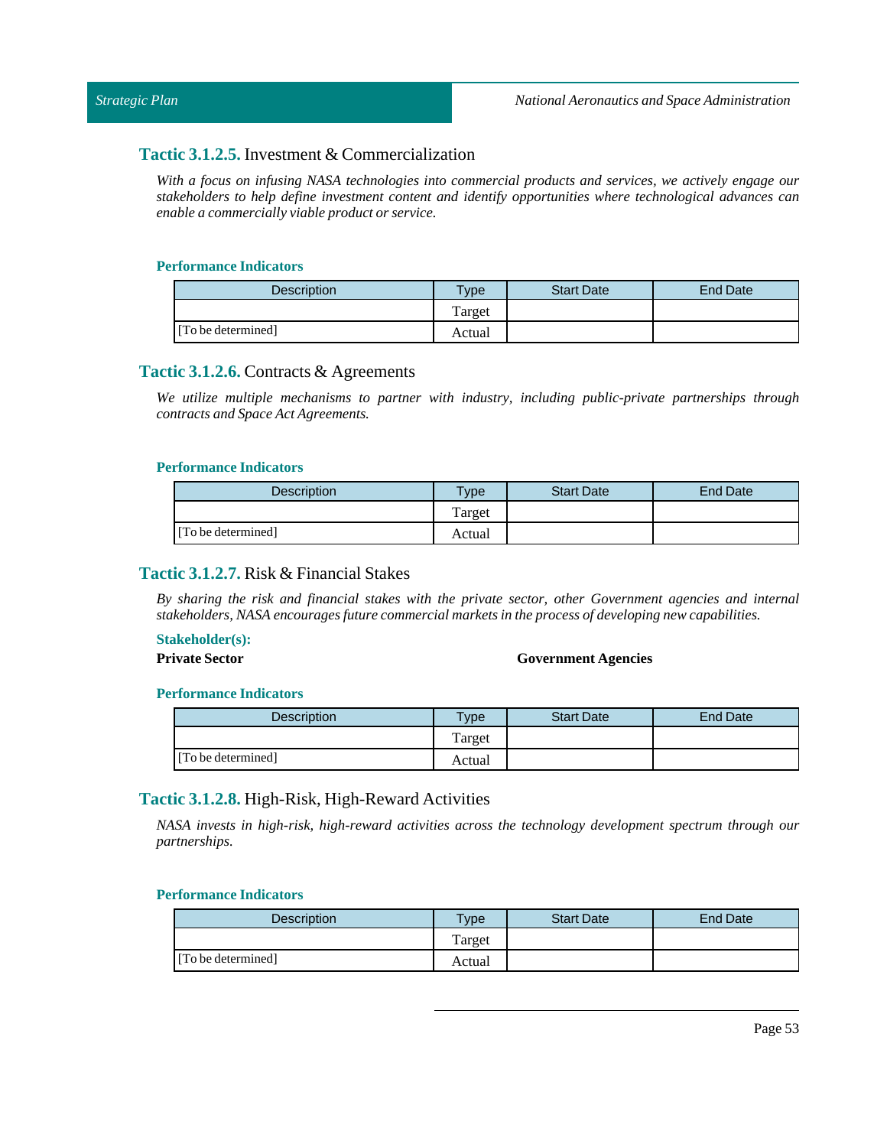### **Tactic 3.1.2.5.** Investment & Commercialization

*With a focus on infusing NASA technologies into commercial products and services, we actively engage our stakeholders to help define investment content and identify opportunities where technological advances can enable a commercially viable product or service.*

### **Performance Indicators**

| <b>Description</b> | <b>Type</b> | <b>Start Date</b> | End Date |
|--------------------|-------------|-------------------|----------|
|                    | Target      |                   |          |
| [To be determined] | Actual      |                   |          |

### **Tactic 3.1.2.6.** Contracts & Agreements

*We utilize multiple mechanisms to partner with industry, including public-private partnerships through contracts and Space Act Agreements.*

#### **Performance Indicators**

| <b>Description</b> | <b>Type</b> | <b>Start Date</b> | <b>End Date</b> |
|--------------------|-------------|-------------------|-----------------|
|                    | Target      |                   |                 |
| [To be determined] | Actual      |                   |                 |

### **Tactic 3.1.2.7.** Risk & Financial Stakes

*By sharing the risk and financial stakes with the private sector, other Government agencies and internal stakeholders, NASA encourages future commercial markets in the process of developing new capabilities.*

### **Stakeholder(s):**

### **Private Sector Government Agencies**

### **Performance Indicators**

| <b>Description</b> | $v$ pe | <b>Start Date</b> | End Date |
|--------------------|--------|-------------------|----------|
|                    | Target |                   |          |
| [To be determined] | Actual |                   |          |

### **Tactic 3.1.2.8.** High-Risk, High-Reward Activities

*NASA invests in high-risk, high-reward activities across the technology development spectrum through our partnerships.*

| <b>Description</b> | $v_{\rm p}$ | <b>Start Date</b> | End Date |
|--------------------|-------------|-------------------|----------|
|                    | Target      |                   |          |
| [To be determined] | Actual      |                   |          |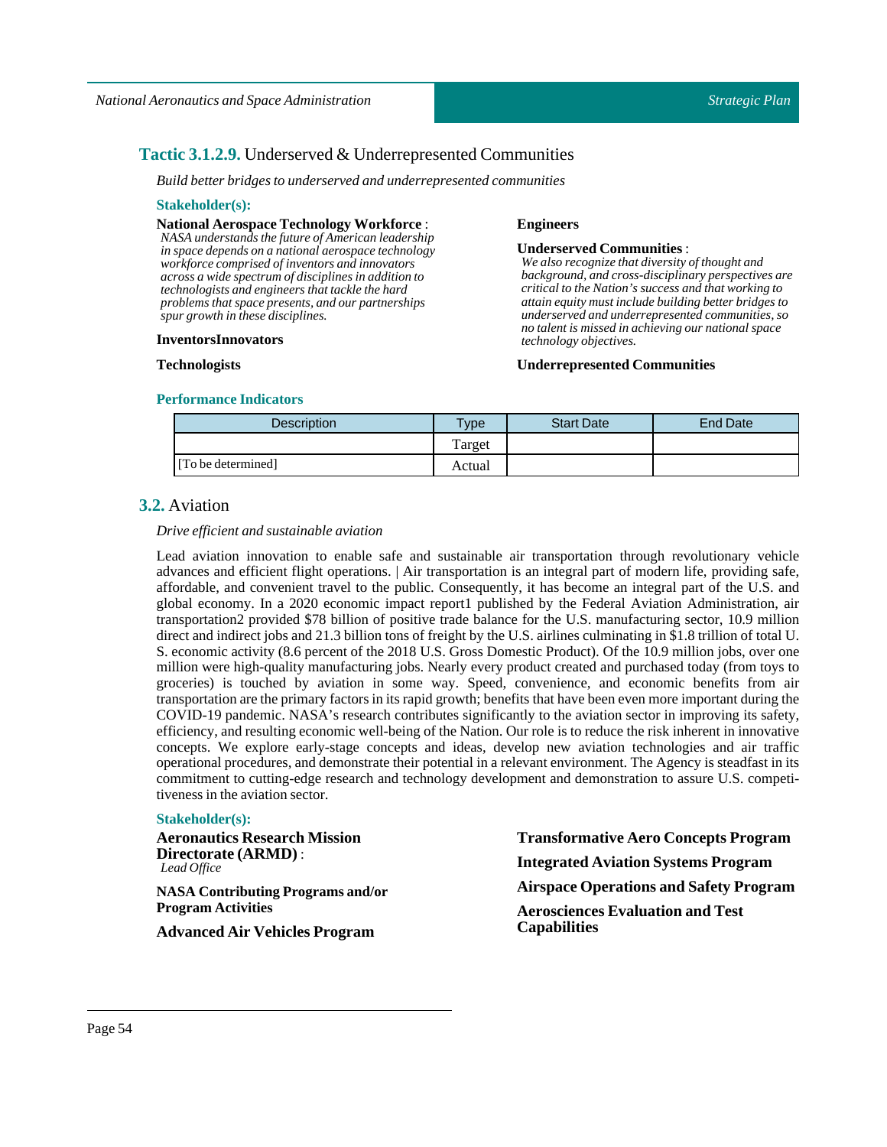### **Tactic 3.1.2.9.** Underserved & Underrepresented Communities

*Build better bridges to underserved and underrepresented communities*

#### **Stakeholder(s):**

**National Aerospace Technology Workforce** :

*NASA understands the future of American leadership in space depends on a national aerospace technology workforce comprised of inventors and innovators across a wide spectrum of disciplines in addition to technologists and engineers that tackle the hard problems that space presents, and our partnerships spur growth in these disciplines.*

#### **InventorsInnovators**

**Technologists**

## **Underserved Communities** :

**Engineers**

*We also recognize that diversity of thought and background, and cross-disciplinary perspectives are critical to the Nation's success and that working to attain equity must include building better bridges to underserved and underrepresented communities, so no talent is missed in achieving our national space technology objectives.*

#### **Underrepresented Communities**

#### **Performance Indicators**

| <b>Description</b> | $T$ ype | <b>Start Date</b> | End Date |
|--------------------|---------|-------------------|----------|
|                    | Target  |                   |          |
| [To be determined] | Actual  |                   |          |

### **3.2.** Aviation

#### *Drive efficient and sustainable aviation*

Lead aviation innovation to enable safe and sustainable air transportation through revolutionary vehicle advances and efficient flight operations. | Air transportation is an integral part of modern life, providing safe, affordable, and convenient travel to the public. Consequently, it has become an integral part of the U.S. and global economy. In a 2020 economic impact report1 published by the Federal Aviation Administration, air transportation2 provided \$78 billion of positive trade balance for the U.S. manufacturing sector, 10.9 million direct and indirect jobs and 21.3 billion tons of freight by the U.S. airlines culminating in \$1.8 trillion of total U. S. economic activity (8.6 percent of the 2018 U.S. Gross Domestic Product). Of the 10.9 million jobs, over one million were high-quality manufacturing jobs. Nearly every product created and purchased today (from toys to groceries) is touched by aviation in some way. Speed, convenience, and economic benefits from air transportation are the primary factors in its rapid growth; benefits that have been even more important during the COVID-19 pandemic. NASA's research contributes significantly to the aviation sector in improving its safety, efficiency, and resulting economic well-being of the Nation. Our role is to reduce the risk inherent in innovative concepts. We explore early-stage concepts and ideas, develop new aviation technologies and air traffic operational procedures, and demonstrate their potential in a relevant environment. The Agency is steadfast in its commitment to cutting-edge research and technology development and demonstration to assure U.S. competitiveness in the aviation sector.

#### **Stakeholder(s):**

**Aeronautics Research Mission Directorate (ARMD)** : *Lead Office*

**NASA Contributing Programs and/or Program Activities**

**Advanced Air Vehicles Program**

**Transformative Aero Concepts Program Integrated Aviation Systems Program Airspace Operations and Safety Program Aerosciences Evaluation and Test Capabilities**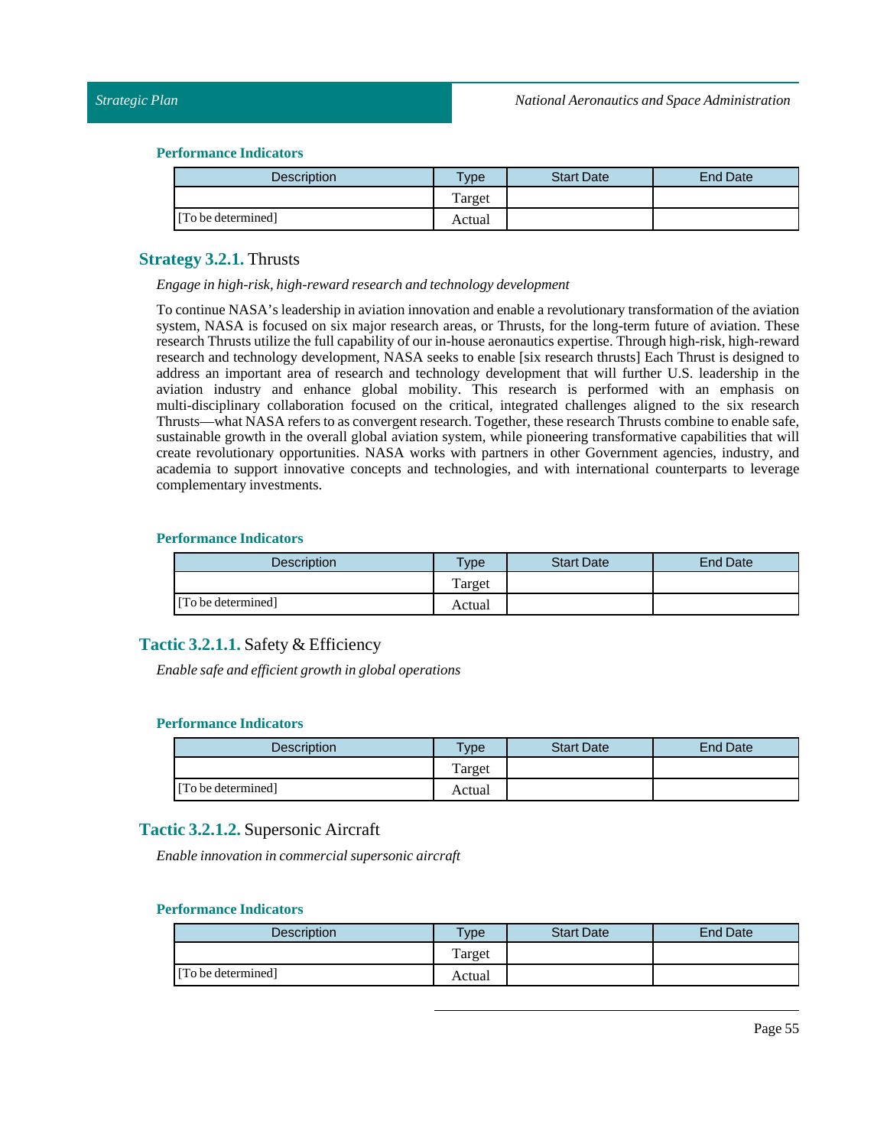#### **Performance Indicators**

| <b>Description</b> | Type <sub>o</sub> | <b>Start Date</b> | <b>End Date</b> |
|--------------------|-------------------|-------------------|-----------------|
|                    | Target            |                   |                 |
| [To be determined] | Actual            |                   |                 |

### **Strategy 3.2.1.** Thrusts

#### *Engage in high-risk, high-reward research and technology development*

To continue NASA's leadership in aviation innovation and enable a revolutionary transformation of the aviation system, NASA is focused on six major research areas, or Thrusts, for the long-term future of aviation. These research Thrusts utilize the full capability of our in-house aeronautics expertise. Through high-risk, high-reward research and technology development, NASA seeks to enable [six research thrusts] Each Thrust is designed to address an important area of research and technology development that will further U.S. leadership in the aviation industry and enhance global mobility. This research is performed with an emphasis on multi-disciplinary collaboration focused on the critical, integrated challenges aligned to the six research Thrusts—what NASA refers to as convergent research. Together, these research Thrusts combine to enable safe, sustainable growth in the overall global aviation system, while pioneering transformative capabilities that will create revolutionary opportunities. NASA works with partners in other Government agencies, industry, and academia to support innovative concepts and technologies, and with international counterparts to leverage complementary investments.

#### **Performance Indicators**

| Description        | $T$ <sub>VDe</sub> | <b>Start Date</b> | End Date |
|--------------------|--------------------|-------------------|----------|
|                    | Target             |                   |          |
| [To be determined] | Actual             |                   |          |

### **Tactic 3.2.1.1.** Safety & Efficiency

*Enable safe and efficient growth in global operations*

#### **Performance Indicators**

| <b>Description</b> | Type   | <b>Start Date</b> | <b>End Date</b> |
|--------------------|--------|-------------------|-----------------|
|                    | Target |                   |                 |
| [To be determined] | Actual |                   |                 |

### **Tactic 3.2.1.2.** Supersonic Aircraft

*Enable innovation in commercial supersonic aircraft*

| <b>Description</b> | Type   | <b>Start Date</b> | <b>End Date</b> |
|--------------------|--------|-------------------|-----------------|
|                    | Target |                   |                 |
| [To be determined] | Actual |                   |                 |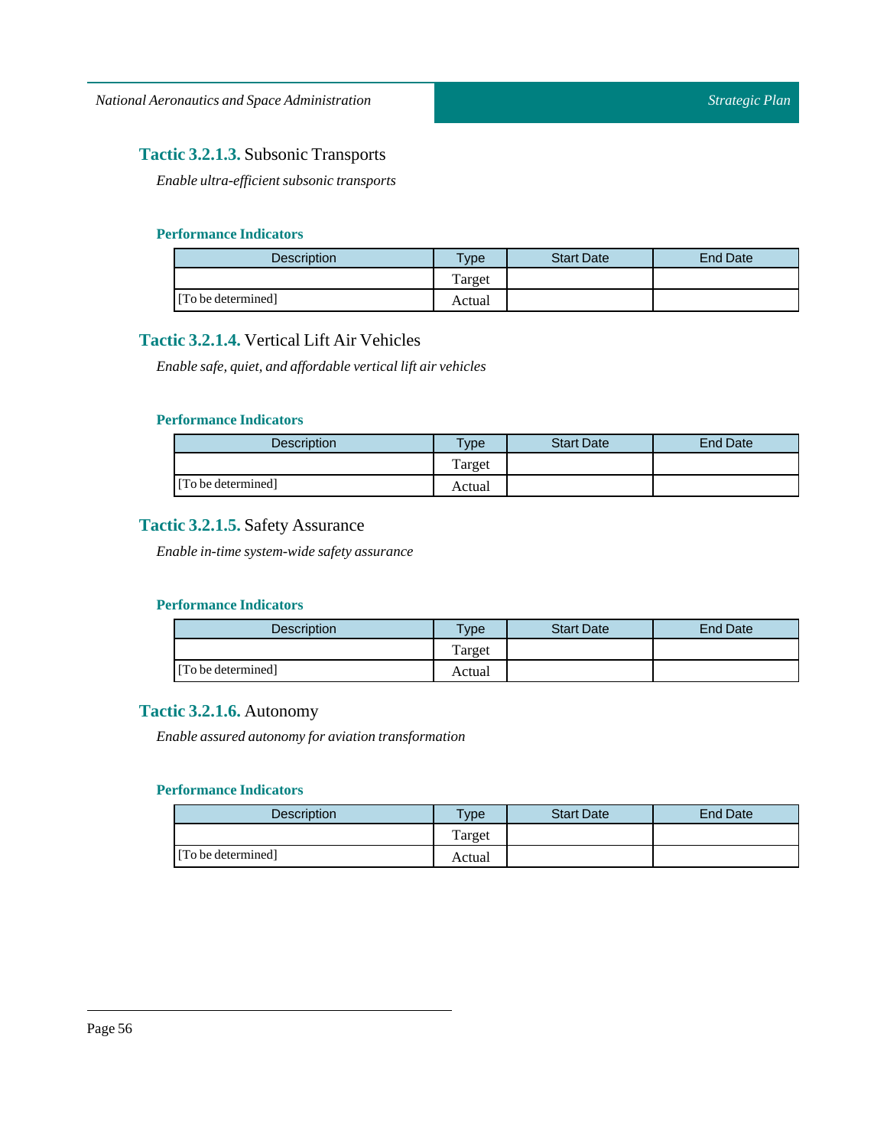### **Tactic 3.2.1.3.** Subsonic Transports

*Enable ultra-efficient subsonic transports*

### **Performance Indicators**

| <b>Description</b> | $T$ <sub>V</sub> $pe$ | <b>Start Date</b> | <b>End Date</b> |
|--------------------|-----------------------|-------------------|-----------------|
|                    | Target                |                   |                 |
| [To be determined] | Actual                |                   |                 |

### **Tactic 3.2.1.4.** Vertical Lift Air Vehicles

*Enable safe, quiet, and affordable verticallift air vehicles*

### **Performance Indicators**

| Description        | $T$ <sub>V</sub> $pe$ | <b>Start Date</b> | End Date |
|--------------------|-----------------------|-------------------|----------|
|                    | Target                |                   |          |
| [To be determined] | Actual                |                   |          |

### **Tactic 3.2.1.5.** Safety Assurance

*Enable in-time system-wide safety assurance*

### **Performance Indicators**

| <b>Description</b> | <b>Type</b> | <b>Start Date</b> | <b>End Date</b> |
|--------------------|-------------|-------------------|-----------------|
|                    | Target      |                   |                 |
| [To be determined] | Actual      |                   |                 |

### **Tactic 3.2.1.6.** Autonomy

*Enable assured autonomy for aviation transformation*

| Description        | $v_{\rm p}$ | <b>Start Date</b> | <b>End Date</b> |
|--------------------|-------------|-------------------|-----------------|
|                    | Target      |                   |                 |
| [To be determined] | Actual      |                   |                 |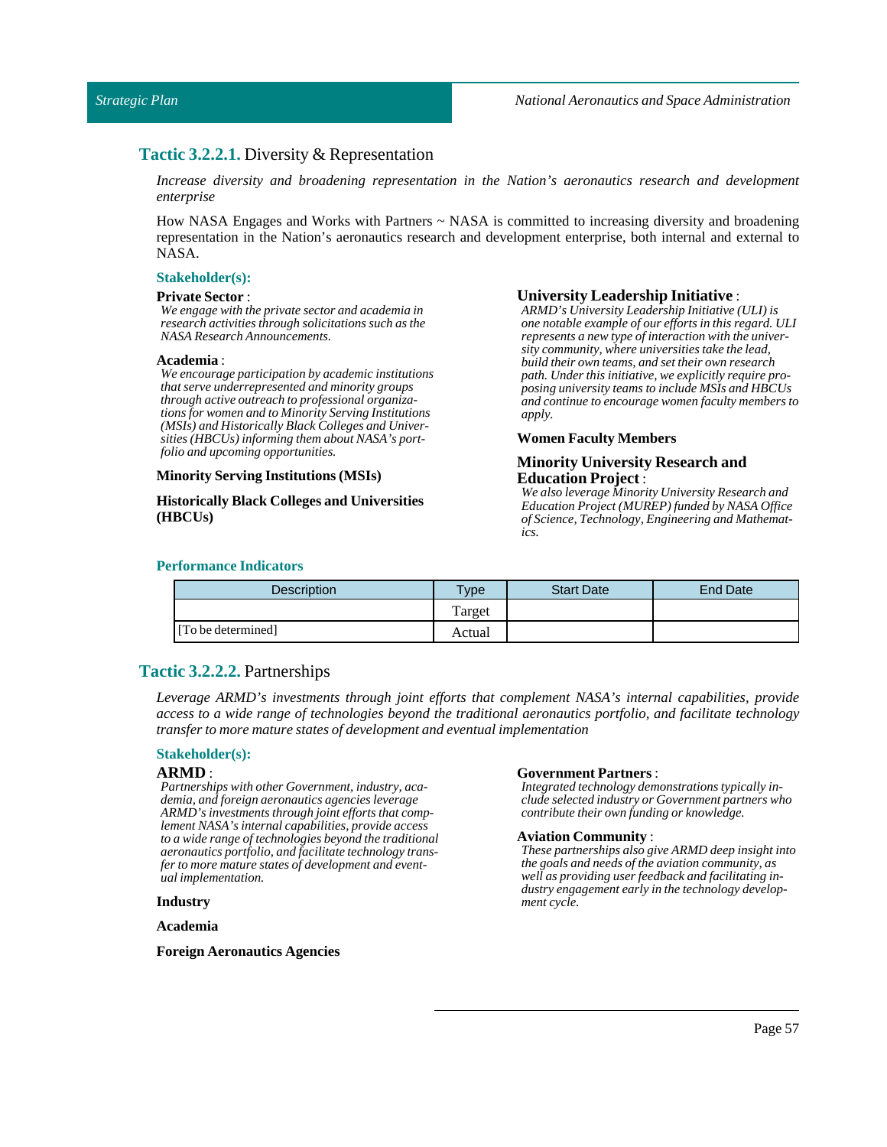### **Tactic 3.2.2.1.** Diversity & Representation

*Increase diversity and broadening representation in the Nation's aeronautics research and development enterprise*

How NASA Engages and Works with Partners  $\sim$  NASA is committed to increasing diversity and broadening representation in the Nation's aeronautics research and development enterprise, both internal and external to NASA.

#### **Stakeholder(s):**

#### **Private Sector**:

*We engage with the private sector and academia in research activities through solicitations such as the NASA Research Announcements.*

#### **Academia** :

*We encourage participation by academic institutions that serve underrepresented and minority groups through active outreach to professional organizations for women and to Minority Serving Institutions (MSIs) and Historically Black Colleges and Universities (HBCUs) informing them about NASA's portfolio and upcoming opportunities.*

#### **MinorityServing Institutions (MSIs)**

**Historically Black Colleges and Universities (HBCUs)**

#### **University Leadership Initiative** :

*ARMD's University Leadership Initiative (ULI) is one notable example of our efforts in this regard. ULI represents a new type of interaction with the university community, where universities take the lead, build their own teams, and set their own research path. Under this initiative, we explicitly require proposing university teams to include MSIs and HBCUs and continue to encourage women faculty members to apply.*

#### **Women Faculty Members**

#### **Minority University Research and Education Project** :

*We also leverage Minority University Research and Education Project (MUREP) funded by NASA Office of Science, Technology, Engineering and Mathematics.*

#### **Performance Indicators**

| <b>Description</b> | <b>Type</b> | <b>Start Date</b> | <b>End Date</b> |
|--------------------|-------------|-------------------|-----------------|
|                    | Target      |                   |                 |
| [To be determined] | Actual      |                   |                 |

### **Tactic 3.2.2.2.** Partnerships

*Leverage ARMD's investments through joint efforts that complement NASA's internal capabilities, provide access to a wide range of technologies beyond the traditional aeronautics portfolio, and facilitate technology transfer to more mature states of development and eventualimplementation*

#### **Stakeholder(s):**

#### **ARMD** :

*Partnerships with other Government, industry, academia, and foreign aeronautics agencies leverage ARMD's investments through joint efforts that complement NASA's internal capabilities, provide access to a wide range of technologies beyond the traditional aeronautics portfolio, and facilitate technology transfer to more mature states of development and eventual implementation.*

#### **Industry**

**Academia**

**Foreign Aeronautics Agencies**

#### **Government Partners**:

*Integrated technology demonstrations typically include selected industry or Government partners who contribute their own funding or knowledge.*

#### **Aviation Community** :

*These partnerships also give ARMD deep insight into the goals and needs of the aviation community, as well as providing user feedback and facilitating industry engagement early in the technology development cycle.*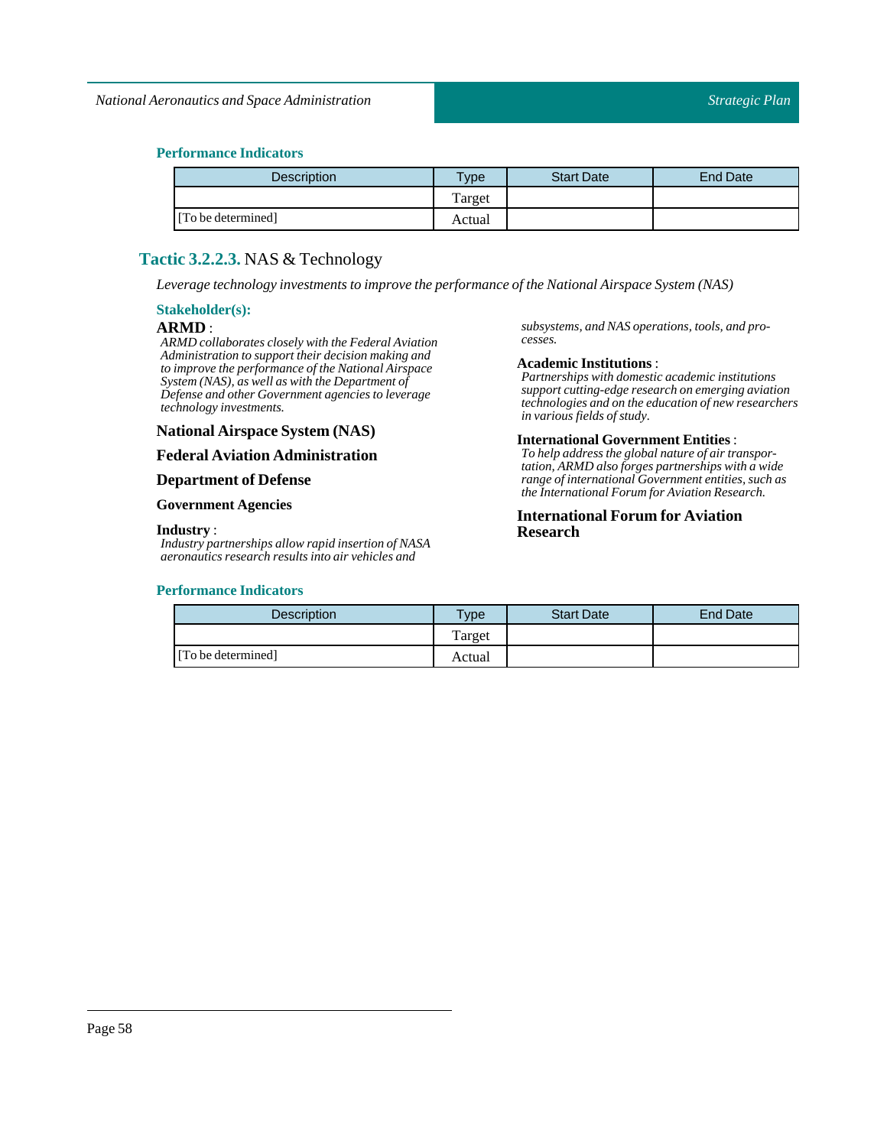### **Performance Indicators**

| Description        | Type   | <b>Start Date</b> | <b>End Date</b> |
|--------------------|--------|-------------------|-----------------|
|                    | Target |                   |                 |
| [To be determined] | Actual |                   |                 |

### **Tactic 3.2.2.3.** NAS & Technology

*Leverage technology investments to improve the performance ofthe National Airspace System (NAS)*

### **Stakeholder(s):**

#### **ARMD** :

*ARMD collaborates closely with the Federal Aviation Administration to support their decision making and to improve the performance of the National Airspace System (NAS), as well as with the Department of Defense and other Government agencies to leverage technology investments.*

### **National Airspace System (NAS)**

#### **Federal Aviation Administration**

#### **Department of Defense**

#### **Government Agencies**

#### **Industry** :

*Industry partnerships allow rapid insertion of NASA aeronautics research results into air vehicles and*

#### **Performance Indicators**

*subsystems, and NAS operations, tools, and processes.*

#### **Academic Institutions** :

*Partnerships with domestic academic institutions support cutting-edge research on emerging aviation technologies and on the education of new researchers in various fields of study.*

#### **International Government Entities** :

*To help address the global nature of air transportation, ARMD also forges partnerships with a wide range of international Government entities, such as the International Forum for Aviation Research.*

### **International Forum for Aviation Research**

| <b>Description</b> | vpe    | <b>Start Date</b> | <b>End Date</b> |
|--------------------|--------|-------------------|-----------------|
|                    | Target |                   |                 |
| [To be determined] | Actual |                   |                 |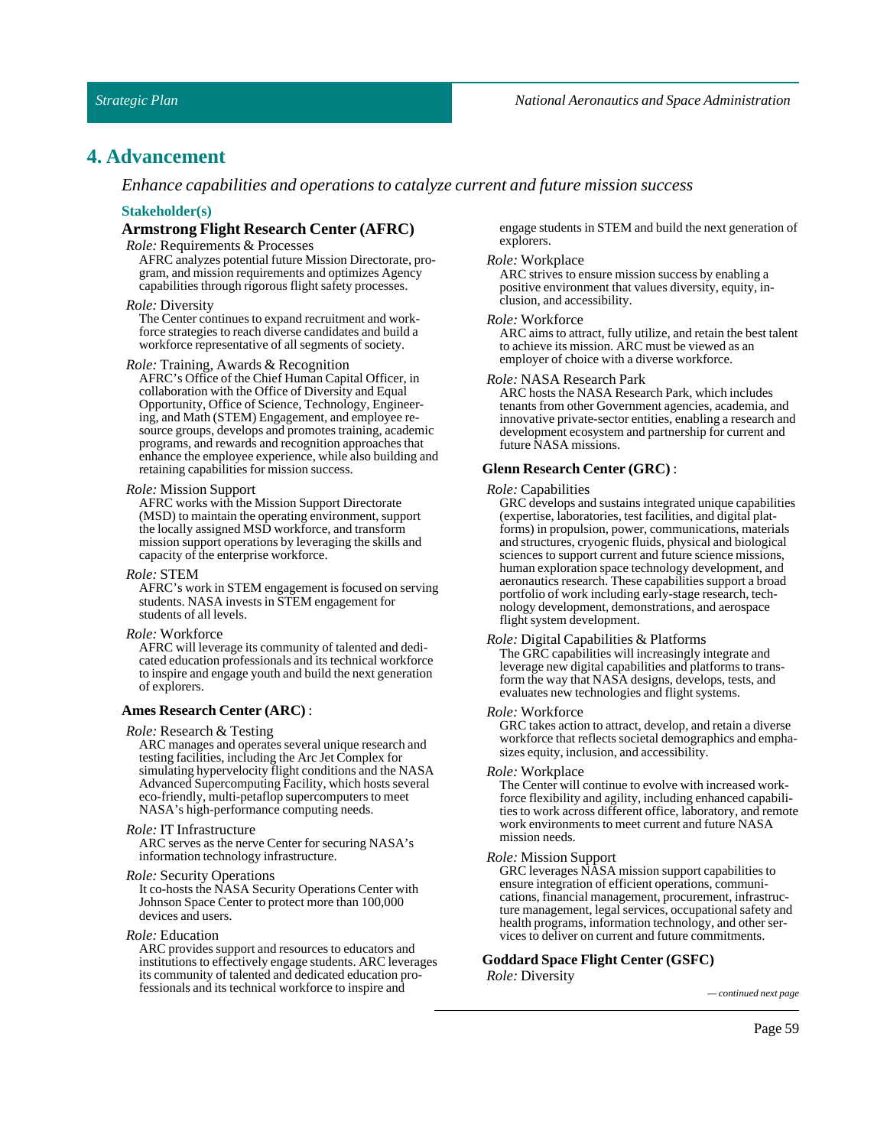### **4. Advancement**

*Enhance capabilities and operations to catalyze current and future mission success*

#### **Stakeholder(s)**

#### **Armstrong Flight Research Center (AFRC)**

#### *Role:* Requirements & Processes

AFRC analyzes potential future Mission Directorate, program, and mission requirements and optimizes Agency capabilities through rigorous flight safety processes.

#### *Role:* Diversity

The Center continues to expand recruitment and workforce strategies to reach diverse candidates and build a workforce representative of all segments of society.

#### *Role:* Training, Awards & Recognition

AFRC's Office of the Chief Human Capital Officer, in collaboration with the Office of Diversity and Equal Opportunity, Office of Science, Technology, Engineering, and Math (STEM) Engagement, and employee resource groups, develops and promotes training, academic programs, and rewards and recognition approaches that enhance the employee experience, while also building and retaining capabilities for mission success.

#### *Role:* Mission Support

AFRC works with the Mission Support Directorate (MSD) to maintain the operating environment, support the locally assigned MSD workforce, and transform mission support operations by leveraging the skills and capacity of the enterprise workforce.

#### *Role:*STEM

AFRC's work in STEM engagement is focused on serving students. NASA invests in STEM engagement for students of all levels.

#### *Role:* Workforce

AFRC will leverage its community of talented and dedicated education professionals and its technical workforce to inspire and engage youth and build the next generation of explorers.

#### **Ames Research Center (ARC)** :

#### *Role:* Research & Testing

ARC manages and operates several unique research and testing facilities, including the Arc Jet Complex for simulating hypervelocity flight conditions and the NASA Advanced Supercomputing Facility, which hosts several eco-friendly, multi-petaflop supercomputers to meet NASA's high-performance computing needs.

#### *Role:* IT Infrastructure

ARC serves as the nerve Center for securing NASA's information technology infrastructure.

#### *Role:* Security Operations

It co-hosts the NASA Security Operations Center with Johnson Space Center to protect more than 100,000 devices and users.

#### *Role:* Education

ARC provides support and resources to educators and institutions to effectively engage students. ARC leverages its community of talented and dedicated education professionals and its technical workforce to inspire and *— continued next page*

engage students in STEM and build the next generation of explorers.

#### *Role:* Workplace

ARC strives to ensure mission success by enabling a positive environment that values diversity, equity, inclusion, and accessibility.

#### *Role:* Workforce

ARC aims to attract, fully utilize, and retain the best talent to achieve its mission. ARC must be viewed as an employer of choice with a diverse workforce.

#### *Role:* NASA Research Park

ARC hosts the NASA Research Park, which includes tenants from other Government agencies, academia, and innovative private-sector entities, enabling a research and development ecosystem and partnership for current and future NASA missions.

#### **Glenn Research Center (GRC)** :

#### *Role:* Capabilities

GRC develops and sustains integrated unique capabilities (expertise, laboratories, test facilities, and digital platforms) in propulsion, power, communications, materials and structures, cryogenic fluids, physical and biological sciences to support current and future science missions, human exploration space technology development, and aeronautics research. These capabilities support a broad portfolio of work including early-stage research, technology development, demonstrations, and aerospace flight system development.

#### *Role:* Digital Capabilities & Platforms

The GRC capabilities will increasingly integrate and leverage new digital capabilities and platforms to transform the way that NASA designs, develops, tests, and evaluates new technologies and flight systems.

#### *Role:* Workforce

GRC takes action to attract, develop, and retain a diverse workforce that reflects societal demographics and emphasizes equity, inclusion, and accessibility.

#### *Role:* Workplace

The Center will continue to evolve with increased workforce flexibility and agility, including enhanced capabilities to work across different office, laboratory, and remote work environments to meet current and future NASA mission needs.

#### *Role:* Mission Support

GRC leverages NASA mission support capabilities to ensure integration of efficient operations, communications, financial management, procurement, infrastructure management, legal services, occupational safety and health programs, information technology, and other services to deliver on current and future commitments.

#### **GoddardSpace Flight Center (GSFC)**

*Role:* Diversity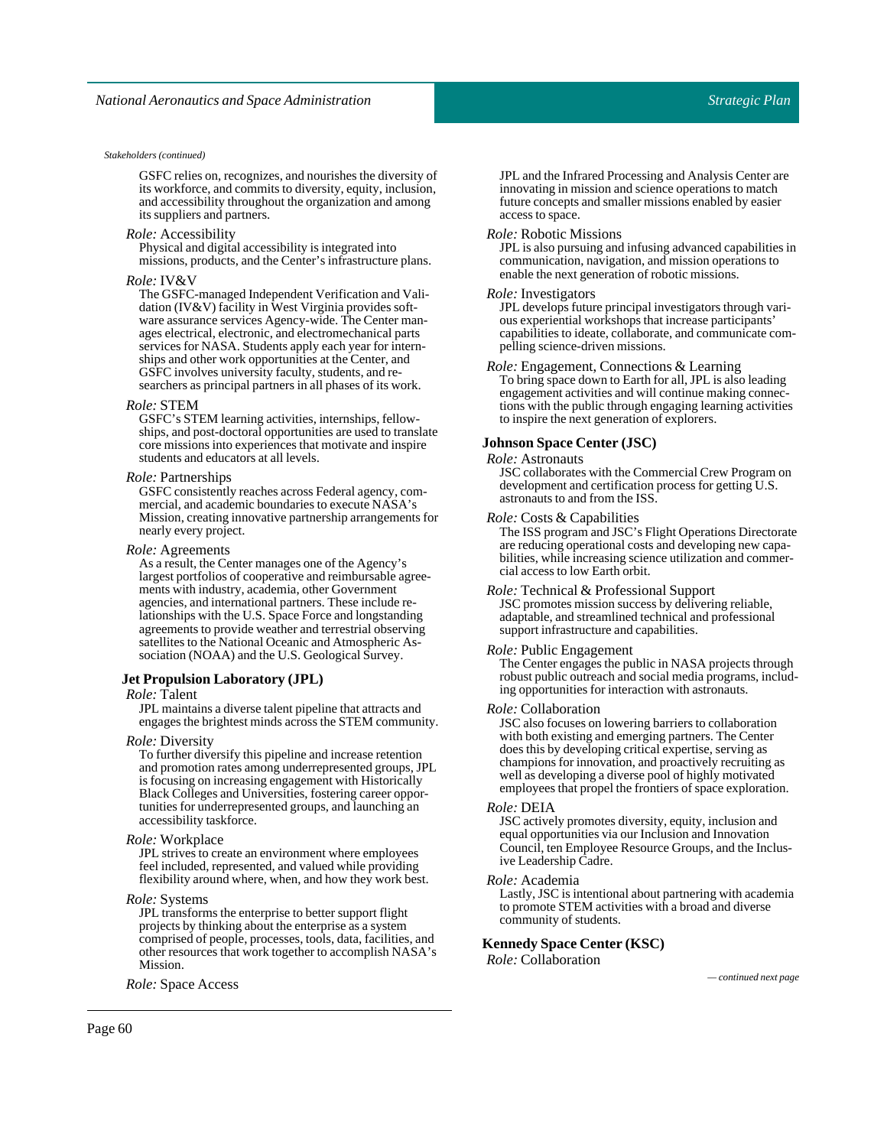#### *Stakeholders (continued)*

GSFC relies on, recognizes, and nourishes the diversity of its workforce, and commits to diversity, equity, inclusion, and accessibility throughout the organization and among its suppliers and partners.

#### *Role:* Accessibility

Physical and digital accessibility is integrated into missions, products, and the Center's infrastructure plans.

#### *Role:* IV&V

The GSFC-managed Independent Verification and Validation (IV&V) facility in West Virginia provides software assurance services Agency-wide. The Center manages electrical, electronic, and electromechanical parts services for NASA. Students apply each year for internships and other work opportunities at the Center, and GSFC involves university faculty, students, and researchers as principal partners in all phases of its work.

#### *Role:*STEM

GSFC's STEM learning activities, internships, fellowships, and post-doctoral opportunities are used to translate core missions into experiences that motivate and inspire students and educators at all levels.

#### *Role:*Partnerships

GSFC consistently reaches across Federal agency, commercial, and academic boundaries to execute NASA's Mission, creating innovative partnership arrangements for nearly every project.

#### *Role:* Agreements

As a result, the Center manages one of the Agency's largest portfolios of cooperative and reimbursable agreements with industry, academia, other Government agencies, and international partners. These include relationships with the U.S. Space Force and longstanding agreements to provide weather and terrestrial observing satellites to the National Oceanic and Atmospheric Association (NOAA) and the U.S. Geological Survey.

#### **Jet Propulsion Laboratory (JPL)**

#### *Role:* Talent

JPL maintains a diverse talent pipeline that attracts and engages the brightest minds across the STEM community.

#### *Role:* Diversity

To further diversify this pipeline and increase retention and promotion rates among underrepresented groups, JPL is focusing on increasing engagement with Historically Black Colleges and Universities, fostering career opportunities for underrepresented groups, and launching an accessibility taskforce.

#### *Role:* Workplace

JPL strives to create an environment where employees feel included, represented, and valued while providing flexibility around where, when, and how they work best.

#### *Role:*Systems

JPL transforms the enterprise to better support flight projects by thinking about the enterprise as a system comprised of people, processes, tools, data, facilities, and other resources that work together to accomplish NASA's Mission.

*Role:*Space Access *— continued next page*

JPL and the Infrared Processing and Analysis Center are innovating in mission and science operations to match future concepts and smaller missions enabled by easier access to space.

#### *Role:* Robotic Missions

JPL is also pursuing and infusing advanced capabilities in communication, navigation, and mission operations to enable the next generation of robotic missions.

#### *Role:* Investigators

JPL develops future principal investigators through various experiential workshops that increase participants' capabilities to ideate, collaborate, and communicate compelling science-driven missions.

*Role:* Engagement, Connections & Learning To bring space down to Earth for all, JPL is also leading engagement activities and will continue making connec-

tions with the public through engaging learning activities to inspire the next generation of explorers.

#### **JohnsonSpace Center (JSC)**

#### *Role:* Astronauts

JSC collaborates with the Commercial Crew Program on development and certification process for getting U.S. astronauts to and from the ISS.

#### *Role:* Costs & Capabilities

The ISS program and JSC's Flight Operations Directorate are reducing operational costs and developing new capabilities, while increasing science utilization and commercial access to low Earth orbit.

*Role:* Technical & Professional Support JSC promotes mission success by delivering reliable, adaptable, and streamlined technical and professional support infrastructure and capabilities.

#### *Role:* Public Engagement

The Center engages the public in NASA projects through robust public outreach and social media programs, including opportunities for interaction with astronauts.

#### *Role:* Collaboration

JSC also focuses on lowering barriers to collaboration with both existing and emerging partners. The Center does this by developing critical expertise, serving as champions for innovation, and proactively recruiting as well as developing a diverse pool of highly motivated employees that propel the frontiers of space exploration.

#### *Role:* DEIA

JSC actively promotes diversity, equity, inclusion and equal opportunities via our Inclusion and Innovation Council, ten Employee Resource Groups, and the Inclusive Leadership Cadre.

#### *Role:* Academia

Lastly, JSC is intentional about partnering with academia to promote STEM activities with a broad and diverse community of students.

#### **KennedySpace Center (KSC)**

*Role:* Collaboration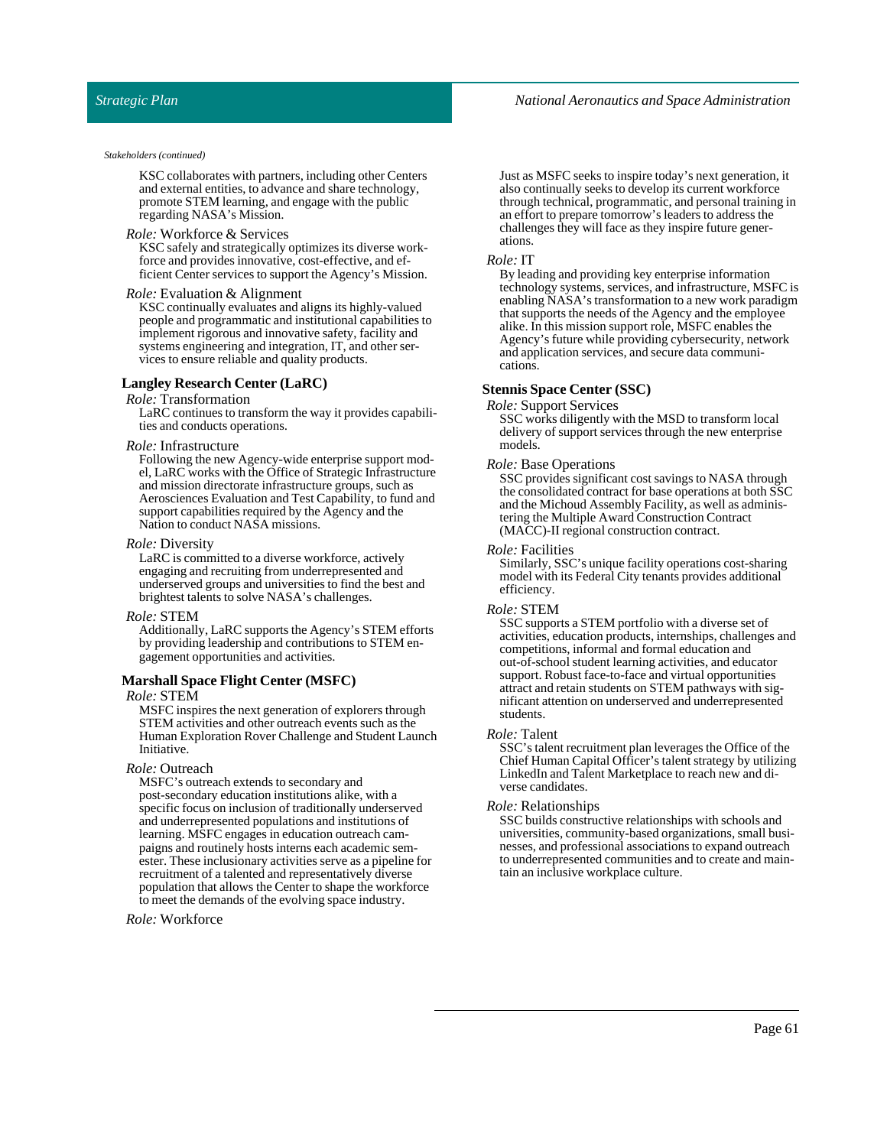#### *Stakeholders (continued)*

KSC collaborates with partners, including other Centers and external entities, to advance and share technology, promote STEM learning, and engage with the public regarding NASA's Mission.

#### *Role:* Workforce & Services

KSC safely and strategically optimizes its diverse workforce and provides innovative, cost-effective, and efficient Center services to support the Agency's Mission.

#### *Role:* Evaluation & Alignment

KSC continually evaluates and aligns its highly-valued people and programmatic and institutional capabilities to implement rigorous and innovative safety, facility and systems engineering and integration, IT, and other services to ensure reliable and quality products.

#### **Langley Research Center (LaRC)**

*Role:* Transformation

LaRC continues to transform the way it provides capabilities and conducts operations.

#### *Role:* Infrastructure

Following the new Agency-wide enterprise support model, LaRC works with the Office of Strategic Infrastructure and mission directorate infrastructure groups, such as Aerosciences Evaluation and Test Capability, to fund and support capabilities required by the Agency and the Nation to conduct NASA missions.

#### *Role:* Diversity

LaRC is committed to a diverse workforce, actively engaging and recruiting from underrepresented and underserved groups and universities to find the best and brightest talents to solve NASA's challenges.

#### *Role:*STEM

Additionally, LaRC supports the Agency's STEM efforts by providing leadership and contributions to STEM engagement opportunities and activities.

#### **MarshallSpace Flight Center (MSFC)**

#### *Role:*STEM

MSFC inspires the next generation of explorers through STEM activities and other outreach events such as the Human Exploration Rover Challenge and Student Launch Initiative.

#### *Role:* Outreach

MSFC's outreach extends to secondary and post-secondary education institutions alike, with a specific focus on inclusion of traditionally underserved and underrepresented populations and institutions of learning. MSFC engages in education outreach campaigns and routinely hosts interns each academic semester. These inclusionary activities serve as a pipeline for recruitment of a talented and representatively diverse population that allows the Center to shape the workforce to meet the demands of the evolving space industry.

*Role:* Workforce

Just as MSFC seeks to inspire today's next generation, it also continually seeks to develop its current workforce through technical, programmatic, and personal training in an effort to prepare tomorrow's leaders to address the challenges they will face as they inspire future generations.

#### *Role:* IT

By leading and providing key enterprise information technology systems, services, and infrastructure, MSFC is enabling NASA's transformation to a new work paradigm that supports the needs of the Agency and the employee alike. In this mission support role, MSFC enables the Agency's future while providing cybersecurity, network and application services, and secure data communications.

#### **StennisSpace Center (SSC)**

*Role:* Support Services

SSC works diligently with the MSD to transform local delivery of support services through the new enterprise models.

#### *Role:* Base Operations

SSC provides significant cost savings to NASA through the consolidated contract for base operations at both SSC and the Michoud Assembly Facility, as well as administering the Multiple Award Construction Contract (MACC)-II regional construction contract.

#### *Role:*Facilities

Similarly, SSC's unique facility operations cost-sharing model with its Federal City tenants provides additional efficiency.

#### *Role:*STEM

SSC supports a STEM portfolio with a diverse set of activities, education products, internships, challenges and competitions, informal and formal education and out-of-school student learning activities, and educator support. Robust face-to-face and virtual opportunities attract and retain students on STEM pathways with significant attention on underserved and underrepresented students.

#### *Role:* Talent

SSC's talent recruitment plan leverages the Office of the Chief Human Capital Officer's talent strategy by utilizing LinkedIn and Talent Marketplace to reach new and diverse candidates.

#### *Role:* Relationships

SSC builds constructive relationships with schools and universities, community-based organizations, small businesses, and professional associations to expand outreach to underrepresented communities and to create and maintain an inclusive workplace culture.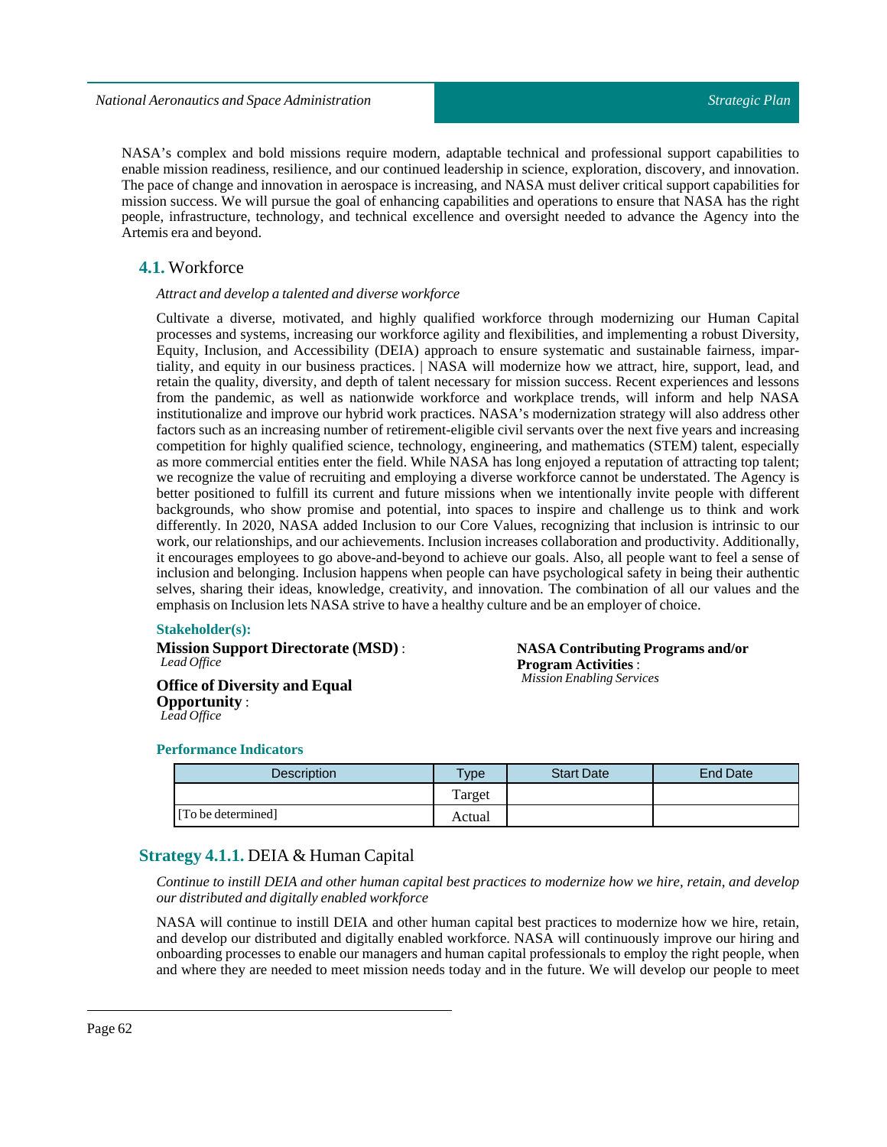NASA's complex and bold missions require modern, adaptable technical and professional support capabilities to enable mission readiness, resilience, and our continued leadership in science, exploration, discovery, and innovation. The pace of change and innovation in aerospace is increasing, and NASA must deliver critical support capabilities for mission success. We will pursue the goal of enhancing capabilities and operations to ensure that NASA has the right people, infrastructure, technology, and technical excellence and oversight needed to advance the Agency into the Artemis era and beyond.

### **4.1.** Workforce

#### *Attract and develop a talented and diverse workforce*

Cultivate a diverse, motivated, and highly qualified workforce through modernizing our Human Capital processes and systems, increasing our workforce agility and flexibilities, and implementing a robust Diversity, Equity, Inclusion, and Accessibility (DEIA) approach to ensure systematic and sustainable fairness, impartiality, and equity in our business practices. | NASA will modernize how we attract, hire, support, lead, and retain the quality, diversity, and depth of talent necessary for mission success. Recent experiences and lessons from the pandemic, as well as nationwide workforce and workplace trends, will inform and help NASA institutionalize and improve our hybrid work practices. NASA's modernization strategy will also address other factors such as an increasing number of retirement-eligible civil servants over the next five years and increasing competition for highly qualified science, technology, engineering, and mathematics (STEM) talent, especially as more commercial entities enter the field. While NASA has long enjoyed a reputation of attracting top talent; we recognize the value of recruiting and employing a diverse workforce cannot be understated. The Agency is better positioned to fulfill its current and future missions when we intentionally invite people with different backgrounds, who show promise and potential, into spaces to inspire and challenge us to think and work differently. In 2020, NASA added Inclusion to our Core Values, recognizing that inclusion is intrinsic to our work, our relationships, and our achievements. Inclusion increases collaboration and productivity. Additionally, it encourages employees to go above-and-beyond to achieve our goals. Also, all people want to feel a sense of inclusion and belonging. Inclusion happens when people can have psychological safety in being their authentic selves, sharing their ideas, knowledge, creativity, and innovation. The combination of all our values and the emphasis on Inclusion lets NASA strive to have a healthy culture and be an employer of choice.

#### **Stakeholder(s):**

**Mission Support Directorate (MSD)** : *Lead Office*

**NASA Contributing Programs and/or Program Activities** : *Mission Enabling Services*

**Office of Diversity and Equal Opportunity** : *Lead Office*

### **Performance Indicators**

| Description        | $v_{\rm p}$ | <b>Start Date</b> | <b>End Date</b> |
|--------------------|-------------|-------------------|-----------------|
|                    | Target      |                   |                 |
| [To be determined] | Actual      |                   |                 |

### **Strategy 4.1.1.** DEIA & Human Capital

Continue to instill DEIA and other human capital best practices to modernize how we hire, retain, and develop *our distributed and digitally enabled workforce*

NASA will continue to instill DEIA and other human capital best practices to modernize how we hire, retain, and develop our distributed and digitally enabled workforce. NASA will continuously improve our hiring and onboarding processes to enable our managers and human capital professionals to employ the right people, when and where they are needed to meet mission needs today and in the future. We will develop our people to meet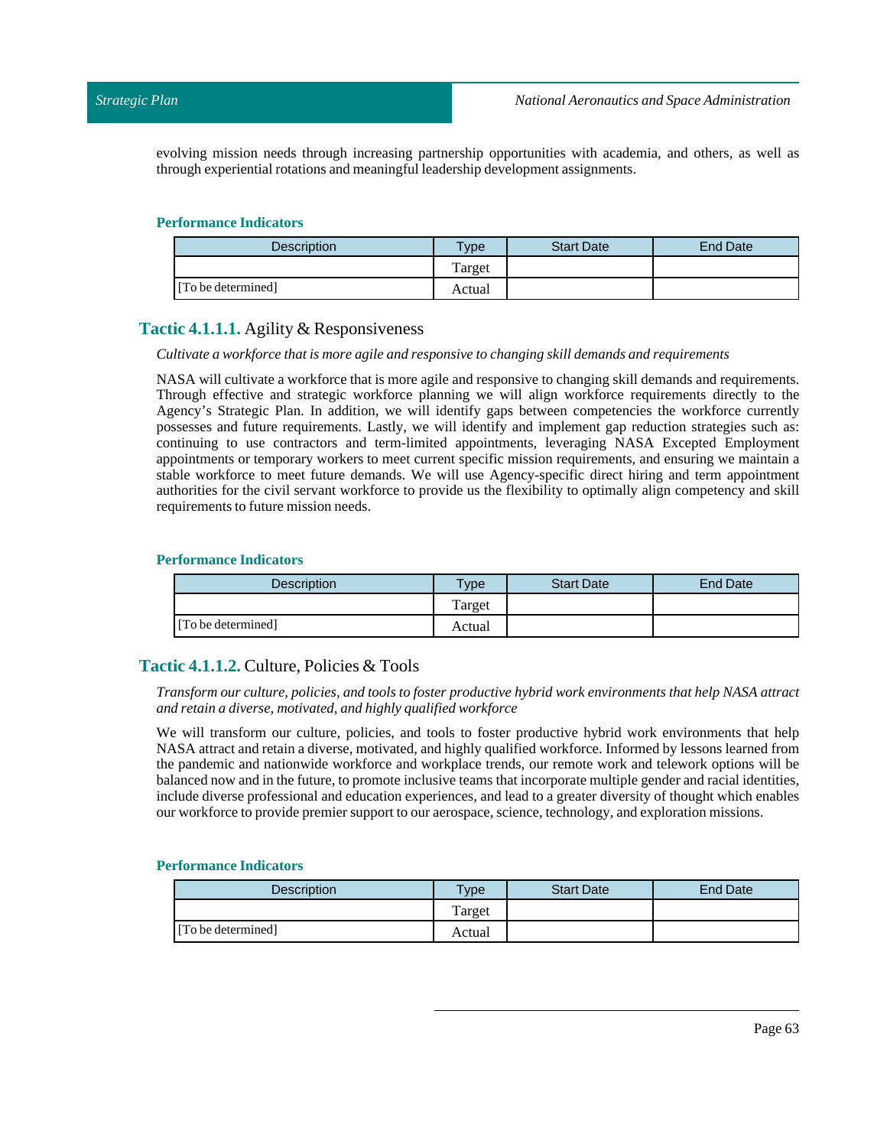evolving mission needs through increasing partnership opportunities with academia, and others, as well as through experiential rotations and meaningfulleadership development assignments.

#### **Performance Indicators**

| <b>Description</b> | <b>Type</b> | <b>Start Date</b> | <b>End Date</b> |
|--------------------|-------------|-------------------|-----------------|
|                    | Target      |                   |                 |
| [To be determined] | Actual      |                   |                 |

### **Tactic 4.1.1.1.** Agility & Responsiveness

#### *Cultivate a workforce thatis more agile and responsive to changing skill demands and requirements*

NASA will cultivate a workforce that is more agile and responsive to changing skill demands and requirements. Through effective and strategic workforce planning we will align workforce requirements directly to the Agency's Strategic Plan. In addition, we will identify gaps between competencies the workforce currently possesses and future requirements. Lastly, we will identify and implement gap reduction strategies such as: continuing to use contractors and term-limited appointments, leveraging NASA Excepted Employment appointments or temporary workers to meet current specific mission requirements, and ensuring we maintain a stable workforce to meet future demands. We will use Agency-specific direct hiring and term appointment authorities for the civil servant workforce to provide us the flexibility to optimally align competency and skill requirements to future mission needs.

### **Performance Indicators**

| <b>Description</b> | $\tau_{\text{ype}}$ | <b>Start Date</b> | <b>End Date</b> |
|--------------------|---------------------|-------------------|-----------------|
|                    | Target              |                   |                 |
| [To be determined] | Actual              |                   |                 |

### **Tactic 4.1.1.2.** Culture, Policies & Tools

*Transform our culture, policies, and tools to foster productive hybrid work environments that help NASA attract and retain a diverse, motivated, and highly qualified workforce*

We will transform our culture, policies, and tools to foster productive hybrid work environments that help NASA attract and retain a diverse, motivated, and highly qualified workforce. Informed by lessons learned from the pandemic and nationwide workforce and workplace trends, our remote work and telework options will be balanced now and in the future, to promote inclusive teams that incorporate multiple gender and racial identities, include diverse professional and education experiences, and lead to a greater diversity of thought which enables our workforce to provide premier support to our aerospace, science, technology, and exploration missions.

| <b>Description</b> | <b>Type</b> | <b>Start Date</b> | <b>End Date</b> |
|--------------------|-------------|-------------------|-----------------|
|                    | Target      |                   |                 |
| [To be determined] | Actual      |                   |                 |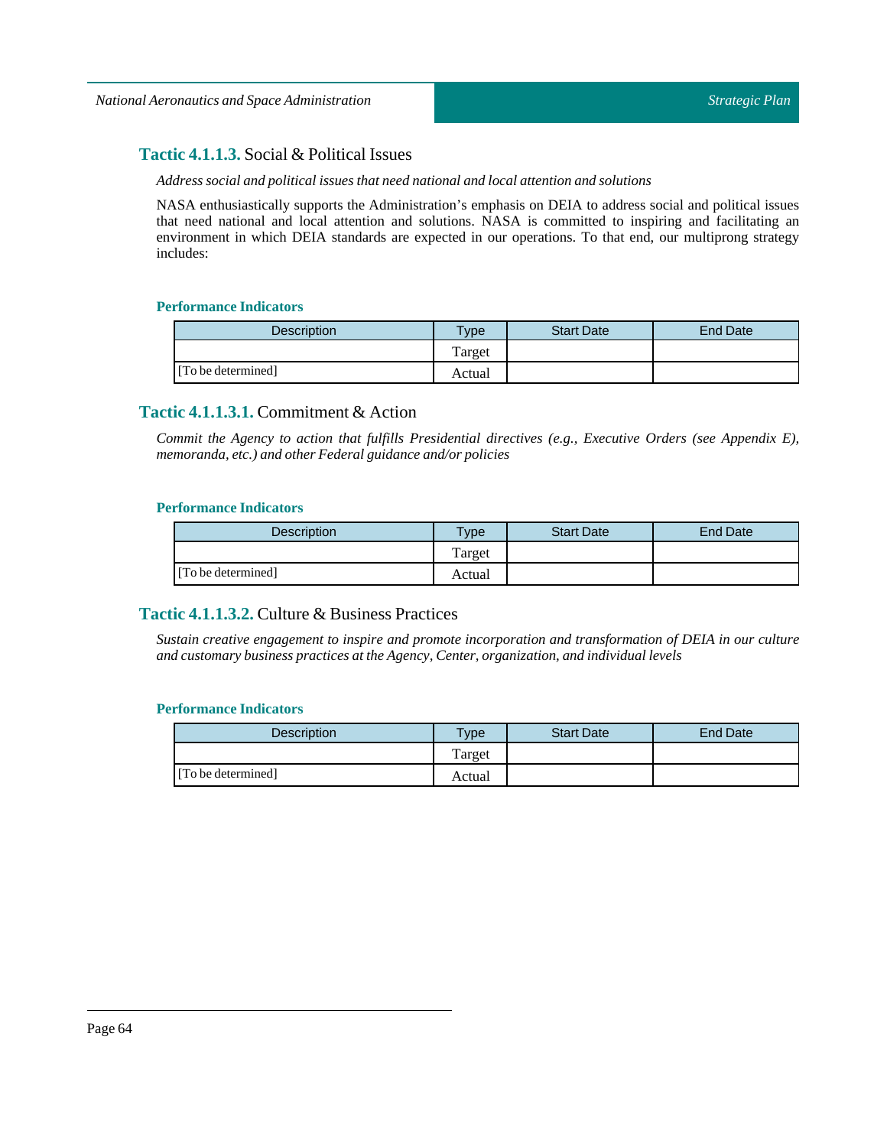### **Tactic 4.1.1.3.** Social & Political Issues

#### *Address social and politicalissues that need national and local attention and solutions*

NASA enthusiastically supports the Administration's emphasis on DEIA to address social and political issues that need national and local attention and solutions. NASA is committed to inspiring and facilitating an environment in which DEIA standards are expected in our operations. To that end, our multiprong strategy includes:

### **Performance Indicators**

| Description        | $v_{\rm p}$ | <b>Start Date</b> | <b>End Date</b> |
|--------------------|-------------|-------------------|-----------------|
|                    | Target      |                   |                 |
| [To be determined] | Actual      |                   |                 |

### **Tactic 4.1.1.3.1.** Commitment & Action

*Commit the Agency to action that fulfills Presidential directives (e.g., Executive Orders (see Appendix E), memoranda, etc.) and other Federal guidance and/or policies*

#### **Performance Indicators**

| <b>Description</b> | $T$ vpe | <b>Start Date</b> | <b>End Date</b> |
|--------------------|---------|-------------------|-----------------|
|                    | Target  |                   |                 |
| [To be determined] | Actual  |                   |                 |

### **Tactic 4.1.1.3.2.** Culture & Business Practices

*Sustain creative engagement to inspire and promote incorporation and transformation of DEIA in our culture and customary business practices atthe Agency, Center, organization, and individuallevels*

| <b>Description</b> | $T$ vpe | <b>Start Date</b> | End Date |
|--------------------|---------|-------------------|----------|
|                    | Target  |                   |          |
| [To be determined] | Actual  |                   |          |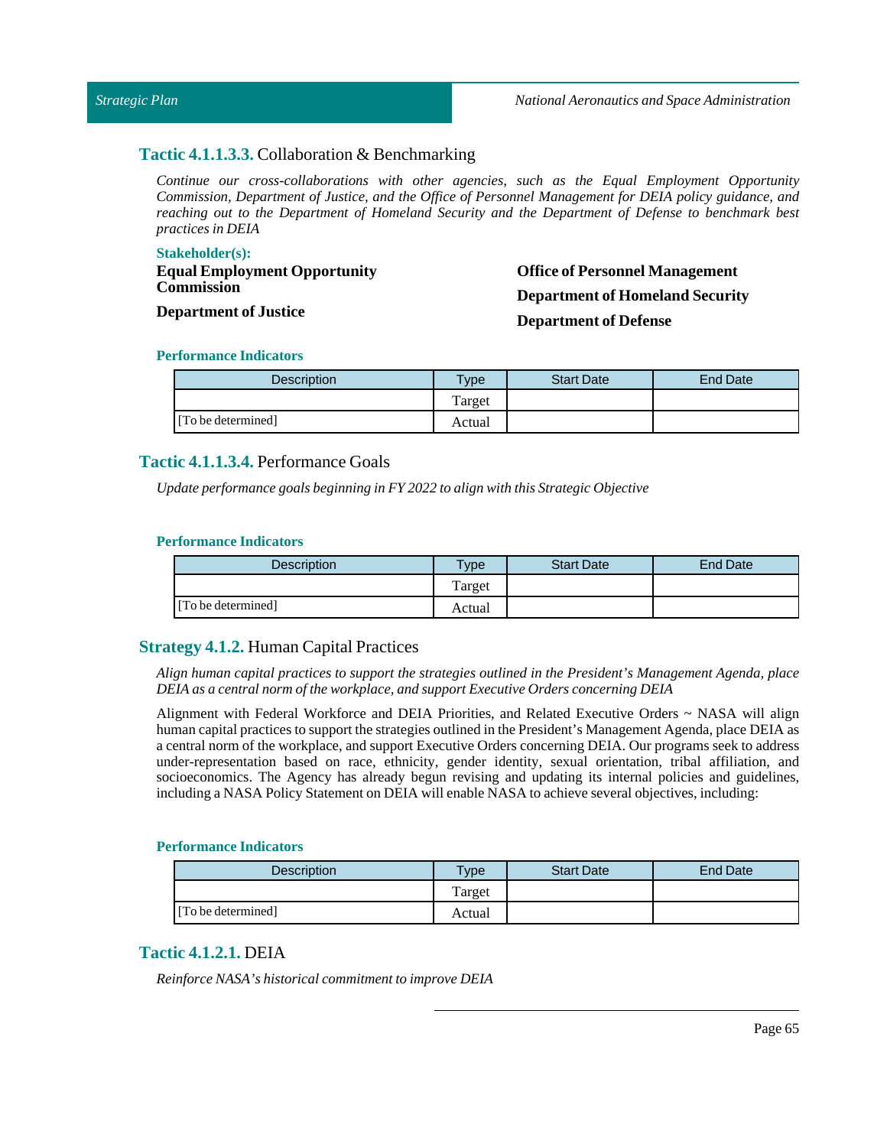#### *Strategic Plan*

### **Tactic 4.1.1.3.3.** Collaboration & Benchmarking

*Continue our cross-collaborations with other agencies, such as the Equal Employment Opportunity Commission, Department of Justice, and the Office of Personnel Management for DEIA policy guidance, and reaching out to the Department of Homeland Security and the Department of Defense to benchmark best practices in DEIA*

#### **Stakeholder(s):**

**Equal Employment Opportunity Commission**

**Office of Personnel Management Department of Homeland Security Department of Defense**

## **Department of Justice Performance Indicators**

| <b>Description</b> | <b>Type</b> | <b>Start Date</b> | <b>End Date</b> |
|--------------------|-------------|-------------------|-----------------|
|                    | Target      |                   |                 |
| [To be determined] | Actual      |                   |                 |

### **Tactic 4.1.1.3.4.** Performance Goals

*Update performance goals beginning in FY2022 to align with this Strategic Objective*

### **Performance Indicators**

| <b>Description</b> | $v$ pe | <b>Start Date</b> | <b>End Date</b> |
|--------------------|--------|-------------------|-----------------|
|                    | Target |                   |                 |
| [To be determined] | Actual |                   |                 |

### **Strategy 4.1.2.** Human Capital Practices

*Align human capital practices to support the strategies outlined in the President's Management Agenda, place DEIA as a central norm ofthe workplace, and support Executive Orders concerning DEIA*

Alignment with Federal Workforce and DEIA Priorities, and Related Executive Orders ~ NASA will align human capital practices to support the strategies outlined in the President's Management Agenda, place DEIA as a central norm of the workplace, and support Executive Orders concerning DEIA. Our programs seek to address under-representation based on race, ethnicity, gender identity, sexual orientation, tribal affiliation, and socioeconomics. The Agency has already begun revising and updating its internal policies and guidelines, including a NASA Policy Statement on DEIA will enable NASA to achieve several objectives, including:

#### **Performance Indicators**

| <b>Description</b> | vpe    | <b>Start Date</b> | End Date |
|--------------------|--------|-------------------|----------|
|                    | Target |                   |          |
| [To be determined] | Actual |                   |          |

### **Tactic 4.1.2.1.** DEIA

 $Reinforce NASA's historical commitment to improve DEIA$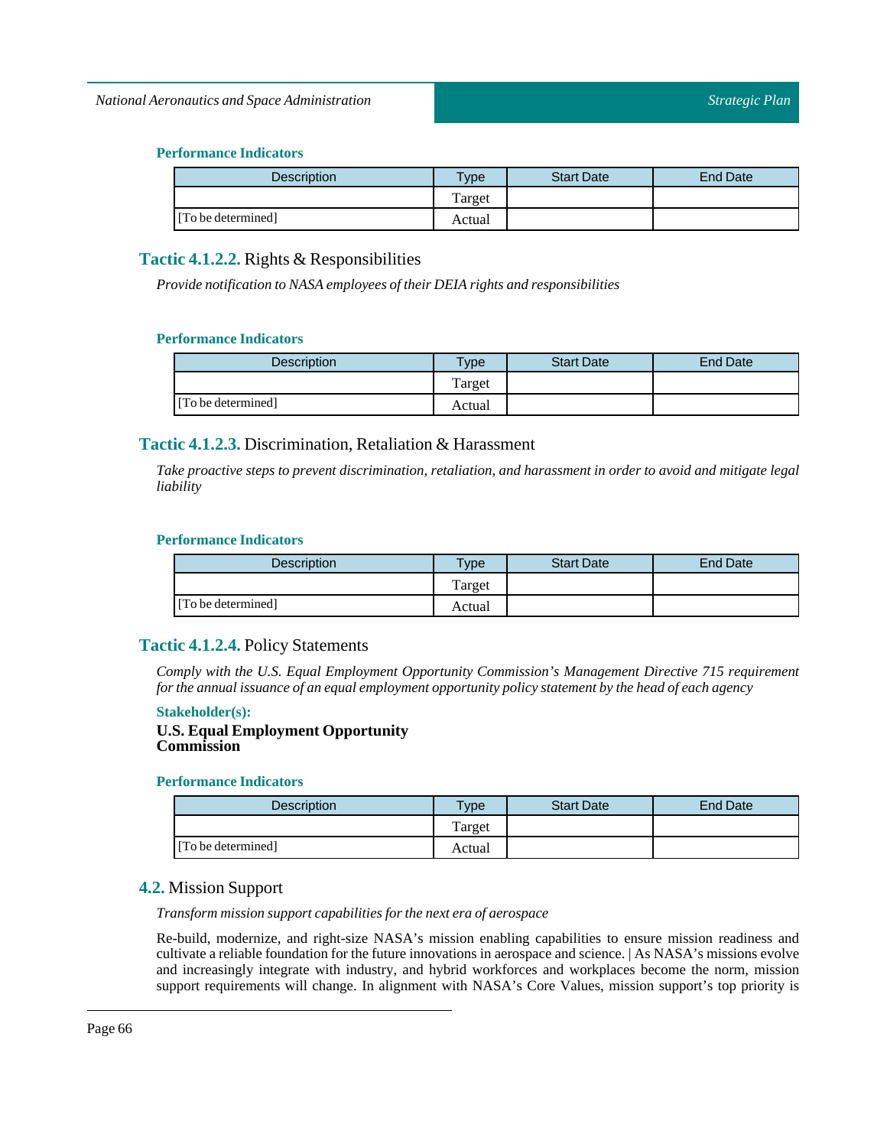### **Performance Indicators**

| <b>Description</b> | $T$ ype | <b>Start Date</b> | End Date |
|--------------------|---------|-------------------|----------|
|                    | Target  |                   |          |
| [To be determined] | Actual  |                   |          |

### **Tactic 4.1.2.2.** Rights & Responsibilities

*Provide notification to NASA employees oftheir DEIA rights and responsibilities*

### **Performance Indicators**

| <b>Description</b> | Type   | <b>Start Date</b> | <b>End Date</b> |
|--------------------|--------|-------------------|-----------------|
|                    | Target |                   |                 |
| [To be determined] | Actual |                   |                 |

### **Tactic 4.1.2.3.** Discrimination, Retaliation & Harassment

*Take proactive steps to prevent discrimination, retaliation, and harassment in order to avoid and mitigate legal liability*

### **Performance Indicators**

| Description        | $T$ ype | <b>Start Date</b> | End Date |
|--------------------|---------|-------------------|----------|
|                    | Target  |                   |          |
| [To be determined] | Actual  |                   |          |

### **Tactic 4.1.2.4.** Policy Statements

*Comply with the U.S. Equal Employment Opportunity Commission's Management Directive 715 requirement for the annualissuance of an equal employment opportunity policy statement by the head of each agency*

#### **Stakeholder(s):**

### **U.S. Equal Employment Opportunity Commission**

### **Performance Indicators**

| <b>Description</b> | $T$ <sub>V</sub> $pe$ | <b>Start Date</b> | End Date |
|--------------------|-----------------------|-------------------|----------|
|                    | Target                |                   |          |
| [To be determined] | Actual                |                   |          |

### **4.2.** Mission Support

*Transform mission support capabilities for the next era of aerospace*

Re-build, modernize, and right-size NASA's mission enabling capabilities to ensure mission readiness and cultivate a reliable foundation for the future innovations in aerospace and science. | As NASA's missions evolve and increasingly integrate with industry, and hybrid workforces and workplaces become the norm, mission support requirements will change. In alignment with NASA's Core Values, mission support's top priority is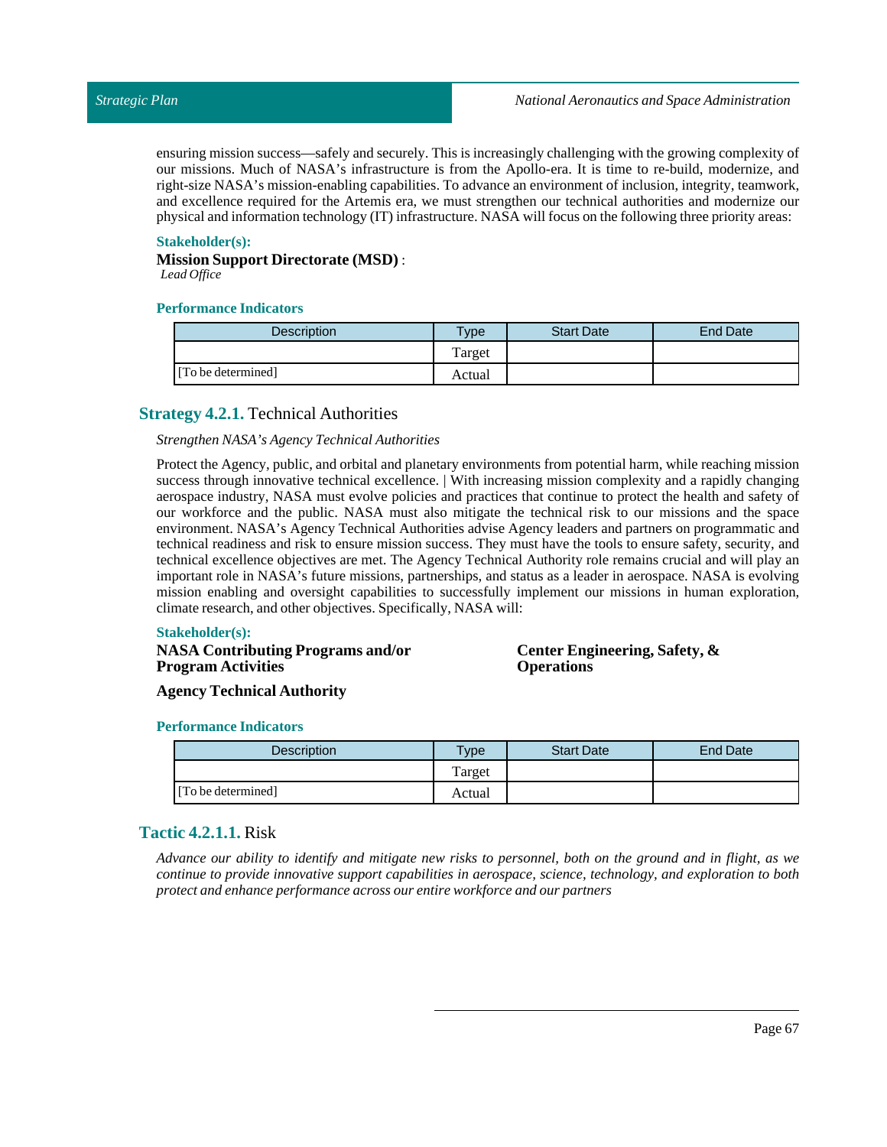ensuring mission success—safely and securely. This is increasingly challenging with the growing complexity of our missions. Much of NASA's infrastructure is from the Apollo-era. It is time to re-build, modernize, and right-size NASA's mission-enabling capabilities. To advance an environment of inclusion, integrity, teamwork, and excellence required for the Artemis era, we must strengthen our technical authorities and modernize our physical and information technology (IT) infrastructure. NASA will focus on the following three priority areas:

#### **Stakeholder(s):**

**Mission Support Directorate (MSD)** : *Lead Office*

#### **Performance Indicators**

| <b>Description</b> | $T$ <sub>ype</sub> | <b>Start Date</b> | End Date |
|--------------------|--------------------|-------------------|----------|
|                    | Target             |                   |          |
| [To be determined] | Actual             |                   |          |

### **Strategy 4.2.1.** Technical Authorities

#### *Strengthen NASA's AgencyTechnical Authorities*

Protect the Agency, public, and orbital and planetary environments from potential harm, while reaching mission success through innovative technical excellence. | With increasing mission complexity and a rapidly changing aerospace industry, NASA must evolve policies and practices that continue to protect the health and safety of our workforce and the public. NASA must also mitigate the technical risk to our missions and the space environment. NASA's Agency Technical Authorities advise Agency leaders and partners on programmatic and technical readiness and risk to ensure mission success. They must have the tools to ensure safety, security, and technical excellence objectives are met. The Agency Technical Authority role remains crucial and will play an important role in NASA's future missions, partnerships, and status as a leader in aerospace. NASA is evolving mission enabling and oversight capabilities to successfully implement our missions in human exploration, climate research, and other objectives. Specifically, NASA will:

#### **Stakeholder(s):**

### **NASA Contributing Programs and/or Program Activities**

**Center Engineering, Safety, & Operations**

**Agency Technical Authority**

#### **Performance Indicators**

| <b>Description</b> | Type   | <b>Start Date</b> | <b>End Date</b> |
|--------------------|--------|-------------------|-----------------|
|                    | Target |                   |                 |
| [To be determined] | Actual |                   |                 |

### **Tactic 4.2.1.1.** Risk

Advance our ability to identify and mitigate new risks to personnel, both on the ground and in flight, as we *continue to provide innovative support capabilities in aerospace, science, technology, and exploration to both protect and enhance performance across our entire workforce and our partners*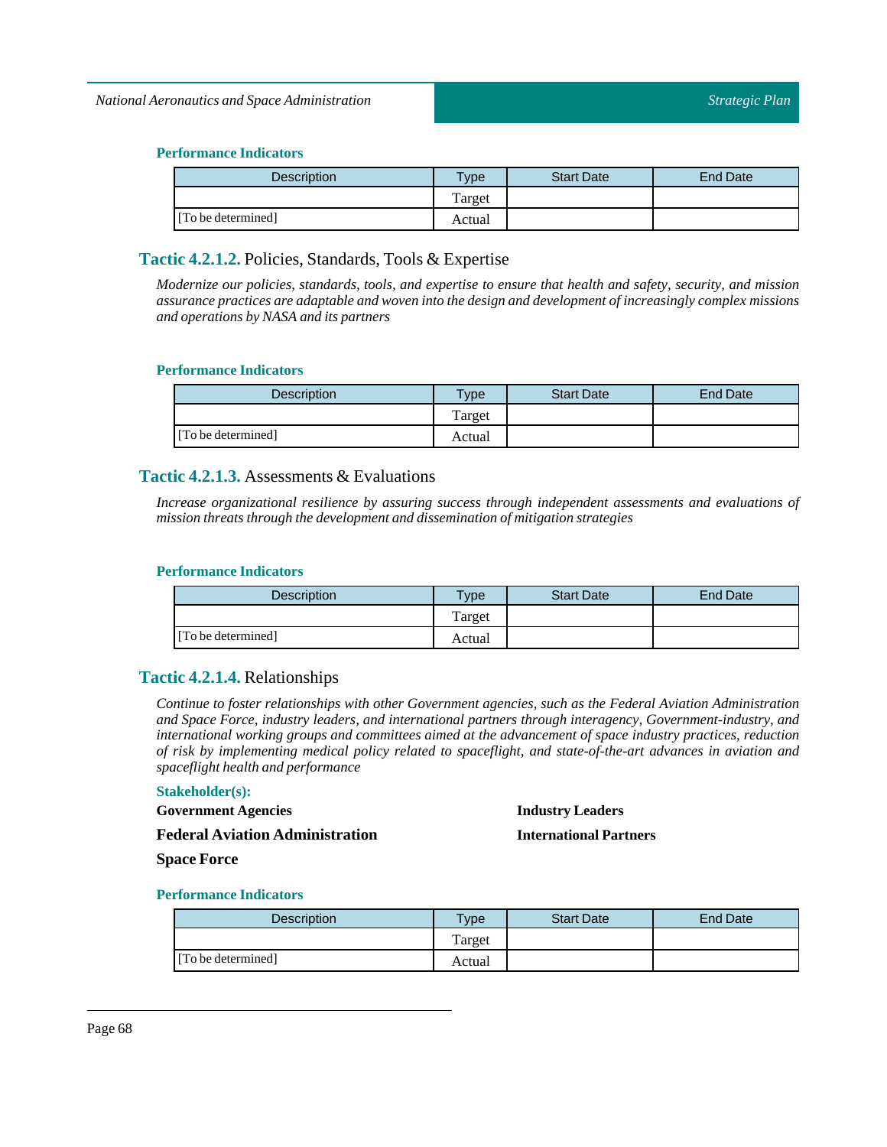### *National Aeronautics and Space Administration*

### **Performance Indicators**

| <b>Description</b> | $T$ ype | <b>Start Date</b> | End Date |
|--------------------|---------|-------------------|----------|
|                    | Target  |                   |          |
| [To be determined] | Actual  |                   |          |

### **Tactic 4.2.1.2.** Policies, Standards, Tools & Expertise

*Modernize our policies, standards, tools, and expertise to ensure that health and safety, security, and mission assurance practices are adaptable and woven into the design and development of increasingly complex missions and operations by NASA and its partners*

#### **Performance Indicators**

| <b>Description</b> | Type   | <b>Start Date</b> | <b>End Date</b> |
|--------------------|--------|-------------------|-----------------|
|                    | Target |                   |                 |
| [To be determined] | Actual |                   |                 |

### **Tactic 4.2.1.3.** Assessments & Evaluations

*Increase organizational resilience by assuring success through independent assessments and evaluations of mission threats through the development and dissemination of mitigation strategies*

### **Performance Indicators**

| <b>Description</b> | <b>Type</b> | <b>Start Date</b> | End Date |
|--------------------|-------------|-------------------|----------|
|                    | Target      |                   |          |
| [To be determined] | Actual      |                   |          |

### **Tactic 4.2.1.4.** Relationships

*Continue to foster relationships with other Government agencies, such as the Federal Aviation Administration and Space Force, industry leaders, and international partners through interagency, Government-industry, and international working groups and committees aimed at the advancement of space industry practices, reduction of risk by implementing medical policy related to spaceflight, and state-of-the-art advances in aviation and spaceflight health and performance*

#### **Stakeholder(s):**

**Government Agencies**

### **Industry Leaders International Partners**

**Federal Aviation Administration**

**Space Force**

| Description        | Type   | <b>Start Date</b> | <b>End Date</b> |
|--------------------|--------|-------------------|-----------------|
|                    | Target |                   |                 |
| [To be determined] | Actual |                   |                 |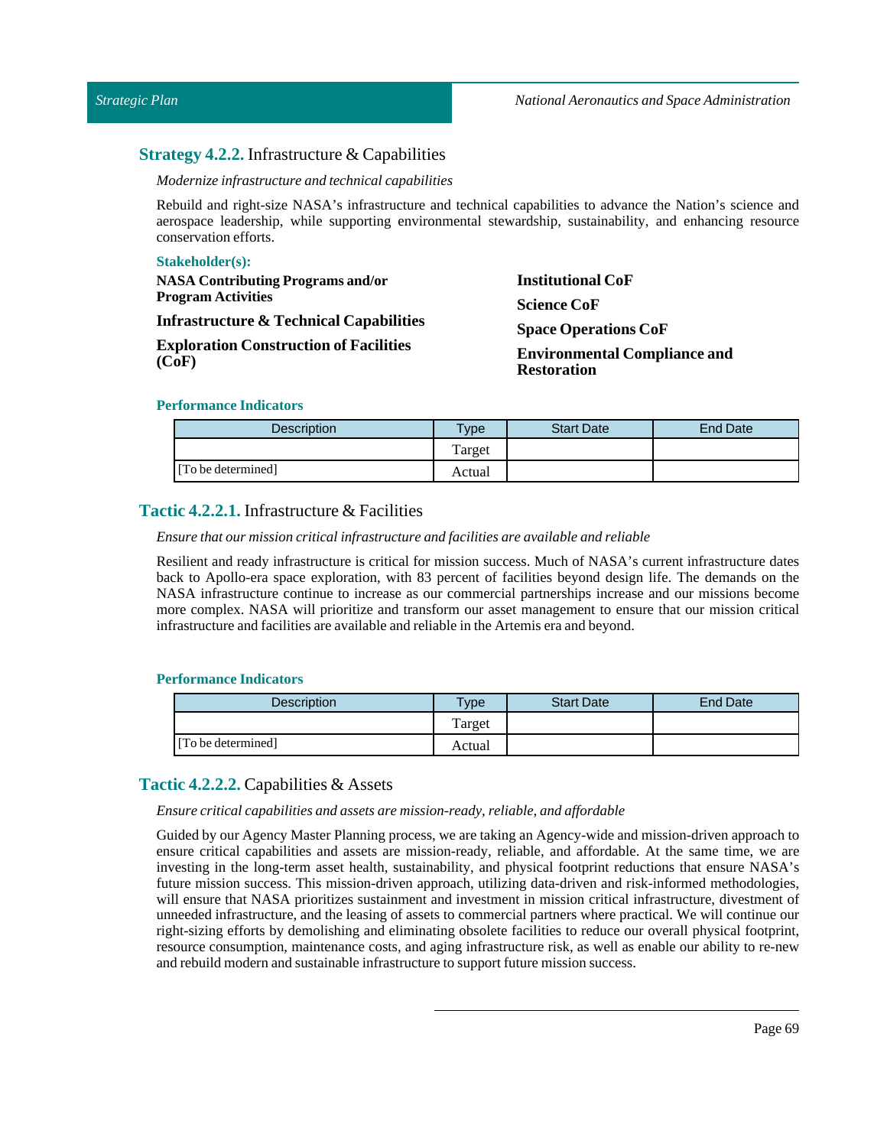### **Strategy 4.2.2.** Infrastructure & Capabilities

*Modernize infrastructure and technical capabilities*

Rebuild and right-size NASA's infrastructure and technical capabilities to advance the Nation's science and aerospace leadership, while supporting environmental stewardship, sustainability, and enhancing resource conservation efforts.

| <b>Stakeholder(s):</b>                                 |                                                                                |
|--------------------------------------------------------|--------------------------------------------------------------------------------|
| <b>NASA Contributing Programs and/or</b>               | <b>Institutional CoF</b>                                                       |
| <b>Program Activities</b>                              | <b>Science CoF</b>                                                             |
| <b>Infrastructure &amp; Technical Capabilities</b>     | <b>Space Operations CoF</b>                                                    |
| <b>Exploration Construction of Facilities</b><br>(CoF) | <b>Environmental Compliance and</b><br>$\mathbf{r}$ is the set of $\mathbf{r}$ |

# **Restoration**

### **Performance Indicators**

| <b>Description</b> | $T$ <sub>ype</sub> | <b>Start Date</b> | End Date |
|--------------------|--------------------|-------------------|----------|
|                    | Target             |                   |          |
| [To be determined] | Actual             |                   |          |

### **Tactic 4.2.2.1.** Infrastructure & Facilities

### *Ensure that our mission criticalinfrastructure and facilities are available and reliable*

Resilient and ready infrastructure is critical for mission success. Much of NASA's current infrastructure dates back to Apollo-era space exploration, with 83 percent of facilities beyond design life. The demands on the NASA infrastructure continue to increase as our commercial partnerships increase and our missions become more complex. NASA will prioritize and transform our asset management to ensure that our mission critical infrastructure and facilities are available and reliable in the Artemis era and beyond.

### **Performance Indicators**

| <b>Description</b> | $T$ <sub>ype</sub> | <b>Start Date</b> | <b>End Date</b> |
|--------------------|--------------------|-------------------|-----------------|
|                    | Target             |                   |                 |
| [To be determined] | Actual             |                   |                 |

### **Tactic 4.2.2.2.** Capabilities & Assets

#### *Ensure critical capabilities and assets are mission-ready, reliable, and affordable*

Guided by our Agency Master Planning process, we are taking an Agency-wide and mission-driven approach to ensure critical capabilities and assets are mission-ready, reliable, and affordable. At the same time, we are investing in the long-term asset health, sustainability, and physical footprint reductions that ensure NASA's future mission success. This mission-driven approach, utilizing data-driven and risk-informed methodologies, will ensure that NASA prioritizes sustainment and investment in mission critical infrastructure, divestment of unneeded infrastructure, and the leasing of assets to commercial partners where practical. We will continue our right-sizing efforts by demolishing and eliminating obsolete facilities to reduce our overall physical footprint, resource consumption, maintenance costs, and aging infrastructure risk, as well as enable our ability to re-new and rebuild modern and sustainable infrastructure to support future mission success.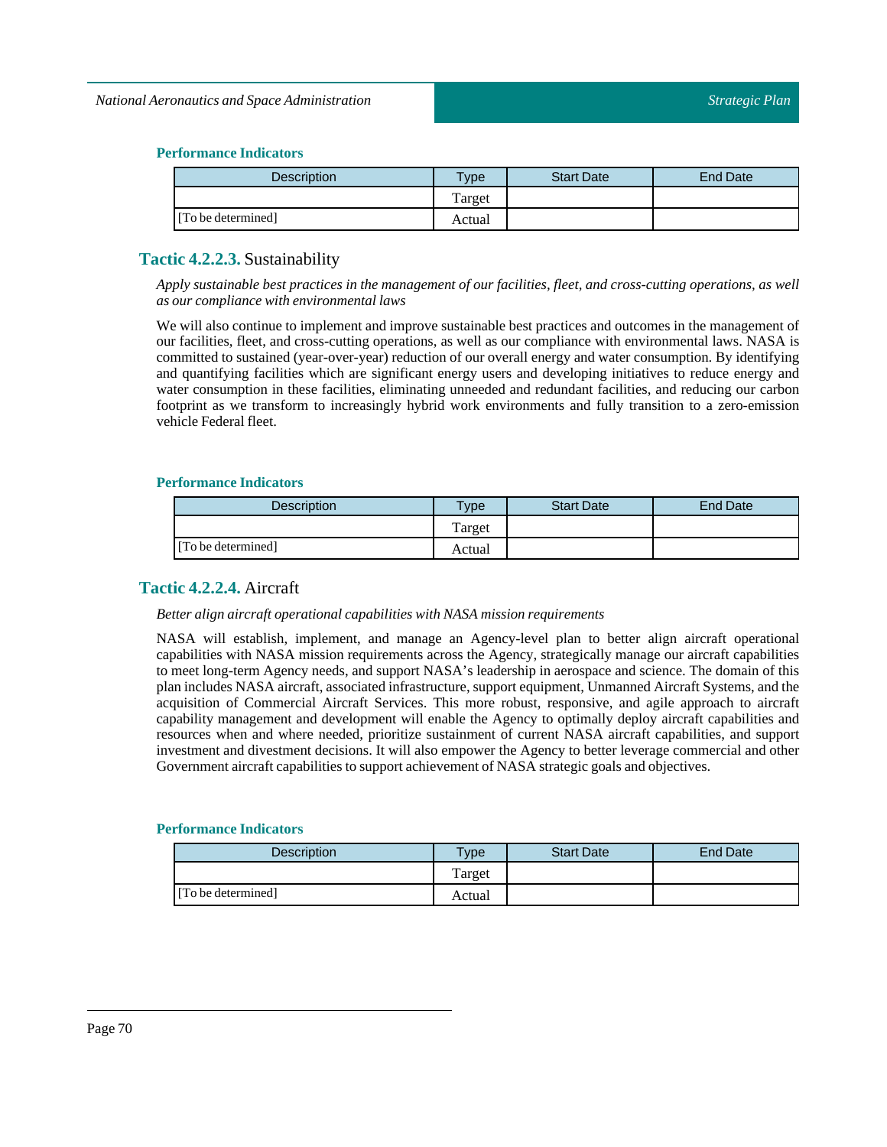### **Performance Indicators**

| Description        | <b>Type</b> | <b>Start Date</b> | End Date |
|--------------------|-------------|-------------------|----------|
|                    | Target      |                   |          |
| [To be determined] | Actual      |                   |          |

### **Tactic 4.2.2.3.** Sustainability

Apply sustainable best practices in the management of our facilities, fleet, and cross-cutting operations, as well *as our compliance with environmentallaws*

We will also continue to implement and improve sustainable best practices and outcomes in the management of our facilities, fleet, and cross-cutting operations, as well as our compliance with environmental laws. NASA is committed to sustained (year-over-year) reduction of our overall energy and water consumption. By identifying and quantifying facilities which are significant energy users and developing initiatives to reduce energy and water consumption in these facilities, eliminating unneeded and redundant facilities, and reducing our carbon footprint as we transform to increasingly hybrid work environments and fully transition to a zero-emission vehicle Federal fleet.

### **Performance Indicators**

| <b>Description</b> | <b>Type</b> | <b>Start Date</b> | <b>End Date</b> |
|--------------------|-------------|-------------------|-----------------|
|                    | Target      |                   |                 |
| [To be determined] | Actual      |                   |                 |

### **Tactic 4.2.2.4.** Aircraft

#### *Better align aircraft operational capabilities with NASA mission requirements*

NASA will establish, implement, and manage an Agency-level plan to better align aircraft operational capabilities with NASA mission requirements across the Agency, strategically manage our aircraft capabilities to meet long-term Agency needs, and support NASA's leadership in aerospace and science. The domain of this plan includes NASA aircraft, associated infrastructure, support equipment, Unmanned Aircraft Systems, and the acquisition of Commercial Aircraft Services. This more robust, responsive, and agile approach to aircraft capability management and development will enable the Agency to optimally deploy aircraft capabilities and resources when and where needed, prioritize sustainment of current NASA aircraft capabilities, and support investment and divestment decisions. It will also empower the Agency to better leverage commercial and other Government aircraft capabilities to support achievement of NASA strategic goals and objectives.

| <b>Description</b> | Type   | <b>Start Date</b> | End Date |
|--------------------|--------|-------------------|----------|
|                    | Target |                   |          |
| [To be determined] | Actual |                   |          |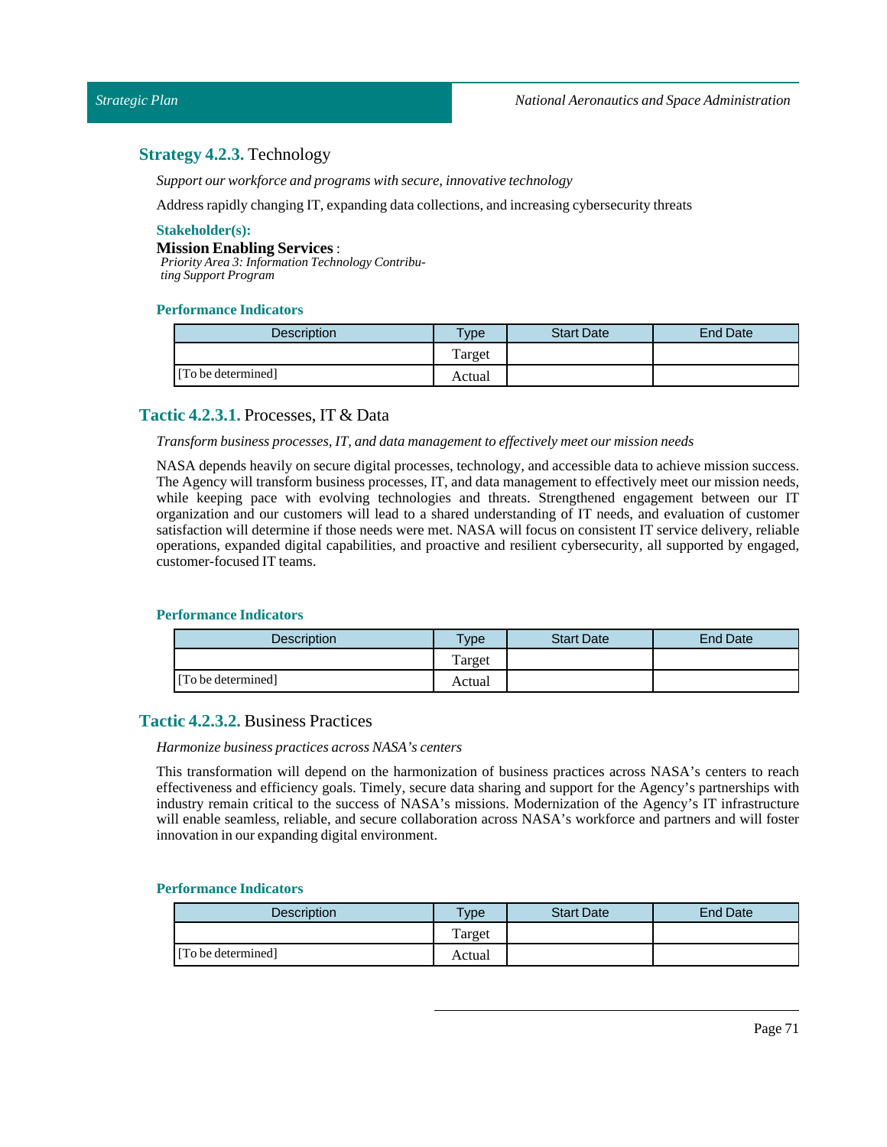### **Strategy 4.2.3.** Technology

*Support our workforce and programs with secure,innovative technology*

Address rapidly changing IT, expanding data collections, and increasing cybersecurity threats

### **Stakeholder(s):**

#### **Mission Enabling Services**:

*Priority Area 3: Information Technology Contributing Support Program*

#### **Performance Indicators**

| <b>Description</b> | <b>Type</b> | <b>Start Date</b> | End Date |
|--------------------|-------------|-------------------|----------|
|                    | Target      |                   |          |
| [To be determined] | Actual      |                   |          |

### **Tactic 4.2.3.1.** Processes, IT & Data

#### *Transform business processes, IT, and data managementto effectively meet our mission needs*

NASA depends heavily on secure digital processes, technology, and accessible data to achieve mission success. The Agency will transform business processes, IT, and data management to effectively meet our mission needs, while keeping pace with evolving technologies and threats. Strengthened engagement between our IT organization and our customers will lead to a shared understanding of IT needs, and evaluation of customer satisfaction will determine if those needs were met. NASA will focus on consistent IT service delivery, reliable operations, expanded digital capabilities, and proactive and resilient cybersecurity, all supported by engaged, customer-focused IT teams.

#### **Performance Indicators**

| <b>Description</b> | $T$ <sub>V</sub> $pe$ | <b>Start Date</b> | <b>End Date</b> |
|--------------------|-----------------------|-------------------|-----------------|
|                    | Target                |                   |                 |
| [To be determined] | Actual                |                   |                 |

### **Tactic 4.2.3.2.** Business Practices

#### *Harmonize business practices across NASA's centers*

This transformation will depend on the harmonization of business practices across NASA's centers to reach effectiveness and efficiency goals. Timely, secure data sharing and support for the Agency's partnerships with industry remain critical to the success of NASA's missions. Modernization of the Agency's IT infrastructure will enable seamless, reliable, and secure collaboration across NASA's workforce and partners and will foster innovation in our expanding digital environment.

| <b>Description</b> | $T$ ype | <b>Start Date</b> | <b>End Date</b> |
|--------------------|---------|-------------------|-----------------|
|                    | Target  |                   |                 |
| [To be determined] | Actual  |                   |                 |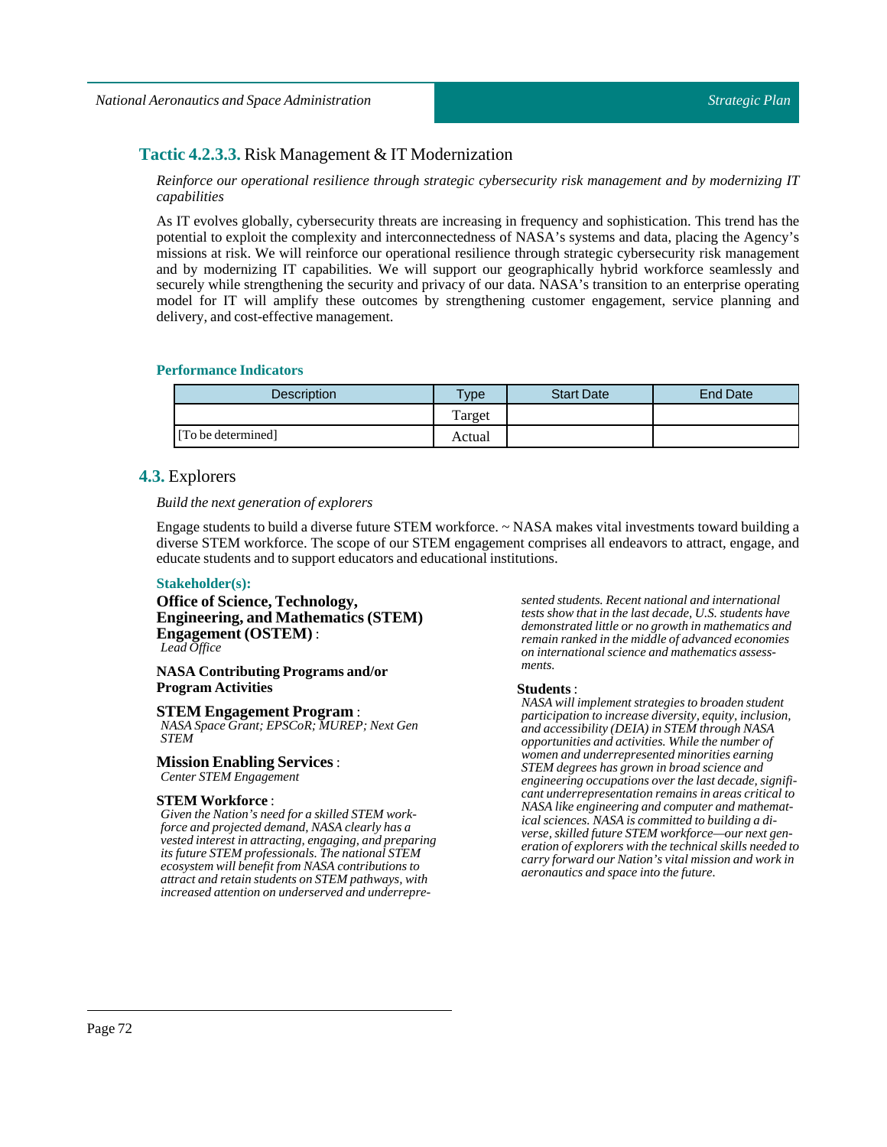### **Tactic 4.2.3.3.** Risk Management & IT Modernization

*Reinforce our operational resilience through strategic cybersecurity risk management and by modernizing IT capabilities*

As IT evolves globally, cybersecurity threats are increasing in frequency and sophistication. This trend has the potential to exploit the complexity and interconnectedness of NASA's systems and data, placing the Agency's missions at risk. We will reinforce our operational resilience through strategic cybersecurity risk management and by modernizing IT capabilities. We will support our geographically hybrid workforce seamlessly and securely while strengthening the security and privacy of our data. NASA's transition to an enterprise operating model for IT will amplify these outcomes by strengthening customer engagement, service planning and delivery, and cost-effective management.

#### **Performance Indicators**

| Description        | $T$ <sub>V</sub> pe | <b>Start Date</b> | <b>End Date</b> |
|--------------------|---------------------|-------------------|-----------------|
|                    | Target              |                   |                 |
| [To be determined] | Actual              |                   |                 |

### **4.3.** Explorers

#### *Build the next generation of explorers*

Engage students to build a diverse future STEM workforce. ~ NASA makes vital investments toward building a diverse STEM workforce. The scope of our STEM engagement comprises all endeavors to attract, engage, and educate students and to support educators and educational institutions.

#### **Stakeholder(s):**

**Office of Science, Technology, Engineering, and Mathematics (STEM) Engagement (OSTEM)** : *Lead Office*

#### **NASA Contributing Programs and/or Program Activities**

#### **STEM Engagement Program** :

*NASA Space Grant; EPSCoR; MUREP; Next Gen STEM*

#### **Mission Enabling Services**: *Center STEM Engagement*

### **STEM Workforce** :

*Given the Nation's need for a skilled STEM workforce and projected demand, NASA clearly has a vested interest in attracting, engaging, and preparing its future STEM professionals. The national STEM ecosystem will benefit from NASA contributions to attract and retain students on STEM pathways, with increased attention on underserved and underrepre-* *sented students. Recent national and international tests show that in the last decade, U.S. students have demonstrated little or no growth in mathematics and remain ranked in the middle of advanced economies on international science and mathematics assessments.*

#### **Students** :

*NASA will implement strategies to broaden student participation to increase diversity, equity, inclusion, and accessibility (DEIA) in STEM through NASA opportunities and activities. While the number of women and underrepresented minorities earning STEM degrees has grown in broad science and engineering occupations over the last decade, significant underrepresentation remains in areas critical to NASA like engineering and computer and mathematical sciences. NASA is committed to building a diverse, skilled future STEM workforce—our next generation of explorers with the technical skills needed to carry forward our Nation's vital mission and work in aeronautics and space into the future.*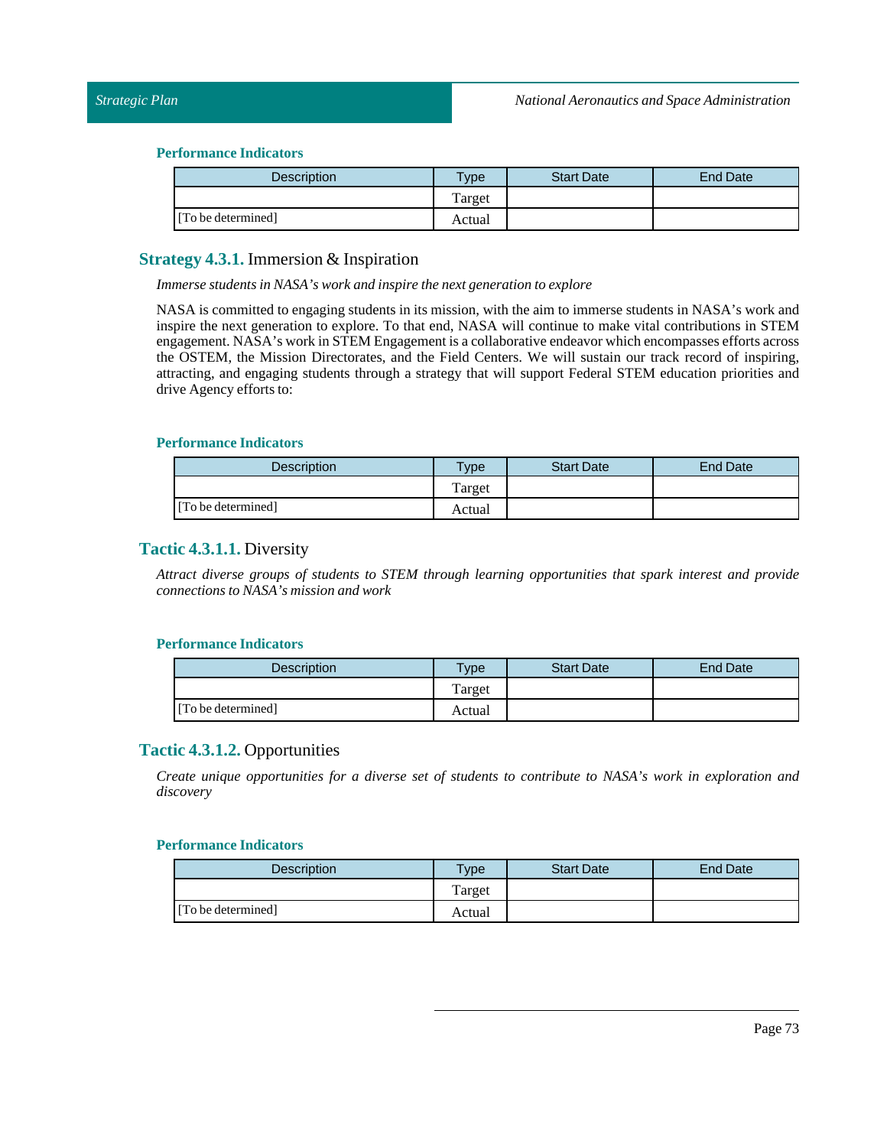#### **Performance Indicators**

| Description        | $T$ ype | <b>Start Date</b> | <b>End Date</b> |
|--------------------|---------|-------------------|-----------------|
|                    | Target  |                   |                 |
| [To be determined] | Actual  |                   |                 |

# **Strategy 4.3.1.** Immersion & Inspiration

*Immerse students in NASA's work and inspire the next generation to explore*

NASA is committed to engaging students in its mission, with the aim to immerse students in NASA's work and inspire the next generation to explore. To that end, NASA will continue to make vital contributions in STEM engagement. NASA's work in STEM Engagement is a collaborative endeavor which encompasses efforts across the OSTEM, the Mission Directorates, and the Field Centers. We will sustain our track record of inspiring, attracting, and engaging students through a strategy that will support Federal STEM education priorities and drive Agency efforts to:

### **Performance Indicators**

| <b>Description</b> | <b>Type</b> | <b>Start Date</b> | End Date |
|--------------------|-------------|-------------------|----------|
|                    | Target      |                   |          |
| [To be determined] | Actual      |                   |          |

# **Tactic 4.3.1.1.** Diversity

*Attract diverse groups of students to STEM through learning opportunities that spark interest and provide connections to NASA's mission and work*

### **Performance Indicators**

| <b>Description</b> | <b>Type</b> | <b>Start Date</b> | End Date |
|--------------------|-------------|-------------------|----------|
|                    | Target      |                   |          |
| [To be determined] | Actual      |                   |          |

# **Tactic 4.3.1.2.** Opportunities

*Create unique opportunities for a diverse set of students to contribute to NASA's work in exploration and discovery*

| <b>Description</b> | $T$ ype | <b>Start Date</b> | <b>End Date</b> |
|--------------------|---------|-------------------|-----------------|
|                    | Target  |                   |                 |
| [To be determined] | Actual  |                   |                 |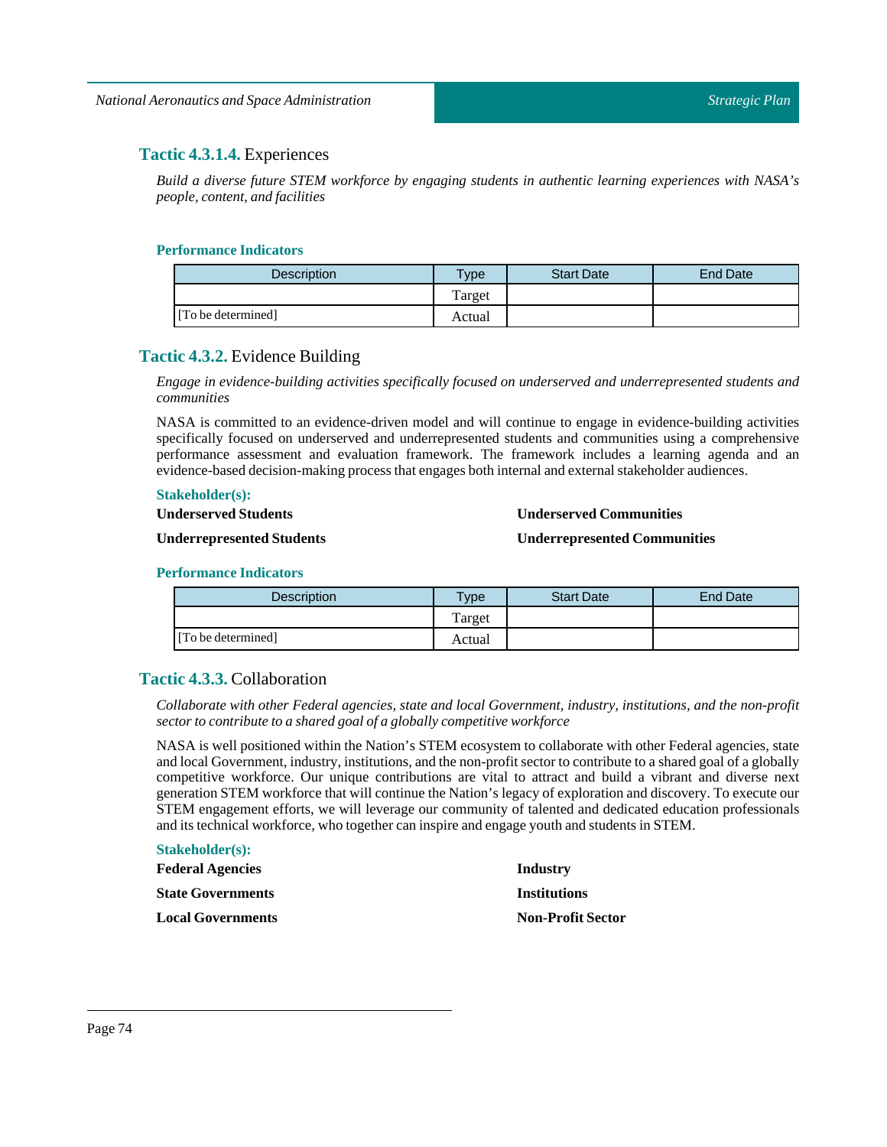# **Tactic 4.3.1.4.** Experiences

*Build a diverse future STEM workforce by engaging students in authentic learning experiences with NASA's people, content, and facilities*

# **Performance Indicators**

| <b>Description</b> | Type   | <b>Start Date</b> | <b>End Date</b> |
|--------------------|--------|-------------------|-----------------|
|                    | Target |                   |                 |
| [To be determined] | Actual |                   |                 |

# **Tactic 4.3.2.** Evidence Building

*Engage in evidence-building activities specifically focused on underserved and underrepresented students and communities*

NASA is committed to an evidence-driven model and will continue to engage in evidence-building activities specifically focused on underserved and underrepresented students and communities using a comprehensive performance assessment and evaluation framework. The framework includes a learning agenda and an evidence-based decision-making process that engages both internal and external stakeholder audiences.

# **Stakeholder(s):**

**Underserved Students** 

### **Underserved Communities**

#### **Underrepresented Students**

# **Underrepresented Communities**

### **Performance Indicators**

| <b>Description</b> | Type   | <b>Start Date</b> | <b>End Date</b> |
|--------------------|--------|-------------------|-----------------|
|                    | Target |                   |                 |
| [To be determined] | Actual |                   |                 |

# **Tactic 4.3.3.** Collaboration

*Collaborate with other Federal agencies, state and local Government, industry, institutions, and the non-profit sector to contribute to a shared goal of a globally competitive workforce*

NASA is well positioned within the Nation's STEM ecosystem to collaborate with other Federal agencies, state and local Government, industry, institutions, and the non-profit sector to contribute to a shared goal of a globally competitive workforce. Our unique contributions are vital to attract and build a vibrant and diverse next generation STEM workforce that will continue the Nation's legacy of exploration and discovery. To execute our STEM engagement efforts, we will leverage our community of talented and dedicated education professionals and its technical workforce, who together can inspire and engage youth and students inSTEM.

#### **Stakeholder(s):**

| <b>Federal Agencies</b>  | Industry                 |
|--------------------------|--------------------------|
| <b>State Governments</b> | <b>Institutions</b>      |
| <b>Local Governments</b> | <b>Non-Profit Sector</b> |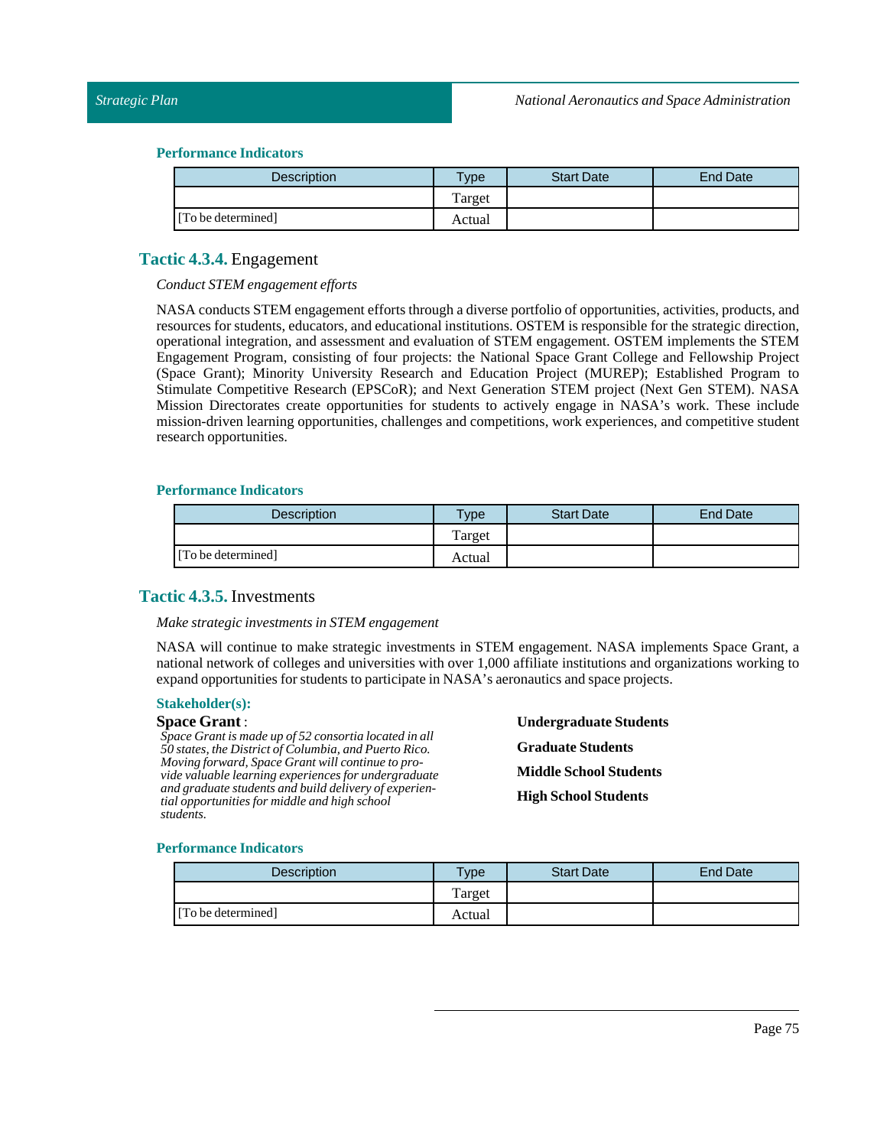### **Performance Indicators**

| Description        | <b>Type</b> | <b>Start Date</b> | <b>End Date</b> |
|--------------------|-------------|-------------------|-----------------|
|                    | Target      |                   |                 |
| [To be determined] | Actual      |                   |                 |

# **Tactic 4.3.4.** Engagement

### *Conduct STEM engagement efforts*

NASA conductsSTEM engagement efforts through a diverse portfolio of opportunities, activities, products, and resources for students, educators, and educational institutions. OSTEM is responsible for the strategic direction, operational integration, and assessment and evaluation of STEM engagement. OSTEM implements the STEM Engagement Program, consisting of four projects: the National Space Grant College and Fellowship Project (Space Grant); Minority University Research and Education Project (MUREP); Established Program to Stimulate Competitive Research (EPSCoR); and Next Generation STEM project (Next Gen STEM). NASA Mission Directorates create opportunities for students to actively engage in NASA's work. These include mission-driven learning opportunities, challenges and competitions, work experiences, and competitive student research opportunities.

# **Performance Indicators**

| <b>Description</b> | $T$ <sub>V</sub> $pe$ | <b>Start Date</b> | End Date |
|--------------------|-----------------------|-------------------|----------|
|                    | Target                |                   |          |
| [To be determined] | Actual                |                   |          |

# **Tactic 4.3.5.** Investments

#### *Make strategic investments in STEM engagement*

NASA will continue to make strategic investments in STEM engagement. NASA implements Space Grant, a national network of colleges and universities with over 1,000 affiliate institutions and organizations working to expand opportunities for students to participate in NASA's aeronautics and space projects.

### **Stakeholder(s):**

#### **Space Grant** :

*Space Grant is made up of 52 consortia located in all 50 states, the District of Columbia, and Puerto Rico. Moving forward, Space Grant will continue to provide valuable learning experiences for undergraduate and graduate students and build delivery of experiential opportunities for middle and high school students.*

**UndergraduateStudents GraduateStudents Middle School Students High School Students** 

| <b>Description</b> | <b>Vpe</b> | <b>Start Date</b> | <b>End Date</b> |
|--------------------|------------|-------------------|-----------------|
|                    | Target     |                   |                 |
| [To be determined] | Actual     |                   |                 |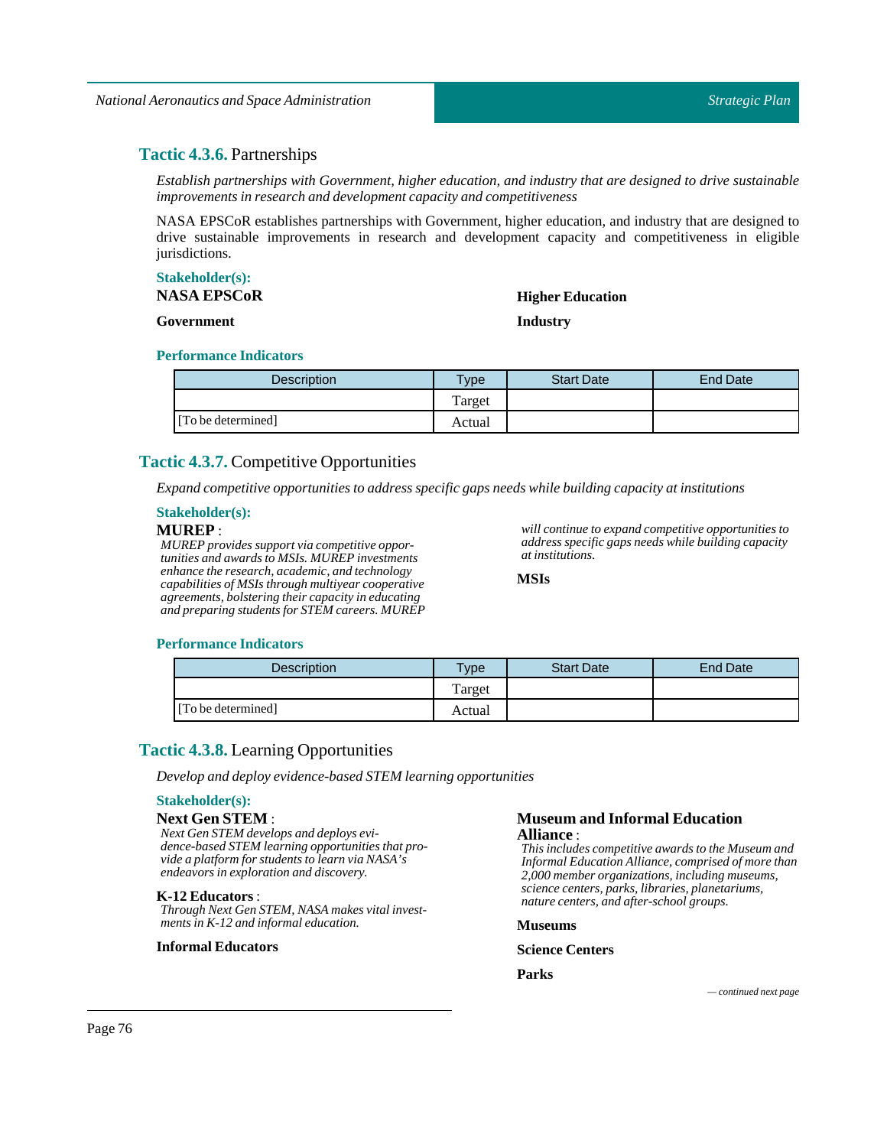# **Tactic 4.3.6.** Partnerships

*Establish partnerships with Government, higher education, and industry that are designed to drive sustainable improvements in research and development capacity and competitiveness*

NASA EPSCoR establishes partnerships with Government, higher education, and industry that are designed to drive sustainable improvements in research and development capacity and competitiveness in eligible jurisdictions.

#### **Stakeholder(s): NASA EPSCoR**

**Government**

# **Higher Education Industry**

#### **Performance Indicators**

| <b>Description</b> | Type   | <b>Start Date</b> | <b>End Date</b> |
|--------------------|--------|-------------------|-----------------|
|                    | Target |                   |                 |
| [To be determined] | Actual |                   |                 |

# **Tactic 4.3.7.** Competitive Opportunities

*Expand competitive opportunities to address specific gaps needs while building capacity atinstitutions*

### **Stakeholder(s):**

# **MUREP** :

*MUREP provides support via competitive opportunities and awards to MSIs. MUREP investments enhance the research, academic, and technology capabilities of MSIs through multiyear cooperative agreements, bolstering their capacity in educating and preparing students for STEM careers. MUREP* *will continue to expand competitive opportunities to address specific gaps needs while building capacity at institutions.*

**MSIs**

### **Performance Indicators**

| Description        | $T$ ype | <b>Start Date</b> | <b>End Date</b> |
|--------------------|---------|-------------------|-----------------|
|                    | Target  |                   |                 |
| [To be determined] | Actual  |                   |                 |

# **Tactic 4.3.8.** Learning Opportunities

*Develop and deploy evidence-based STEM learning opportunities*

#### **Stakeholder(s):**

### **Next Gen STEM** :

*Next Gen STEM develops and deploys evidence-based STEM learning opportunities that provide a platform for students to learn via NASA's endeavors in exploration and discovery.*

#### **K-12 Educators** :

*Through Next Gen STEM, NASA makes vital investments in K-12 and informal education.*

#### **Informal Educators**

#### **Museum and Informal Education Alliance** :

*This includes competitive awards to the Museum and Informal Education Alliance, comprised of more than 2,000 member organizations, including museums, science centers, parks, libraries, planetariums, nature centers, and after-school groups.*

**Museums**

#### **Science Centers**

**Parks**

*— continued next page*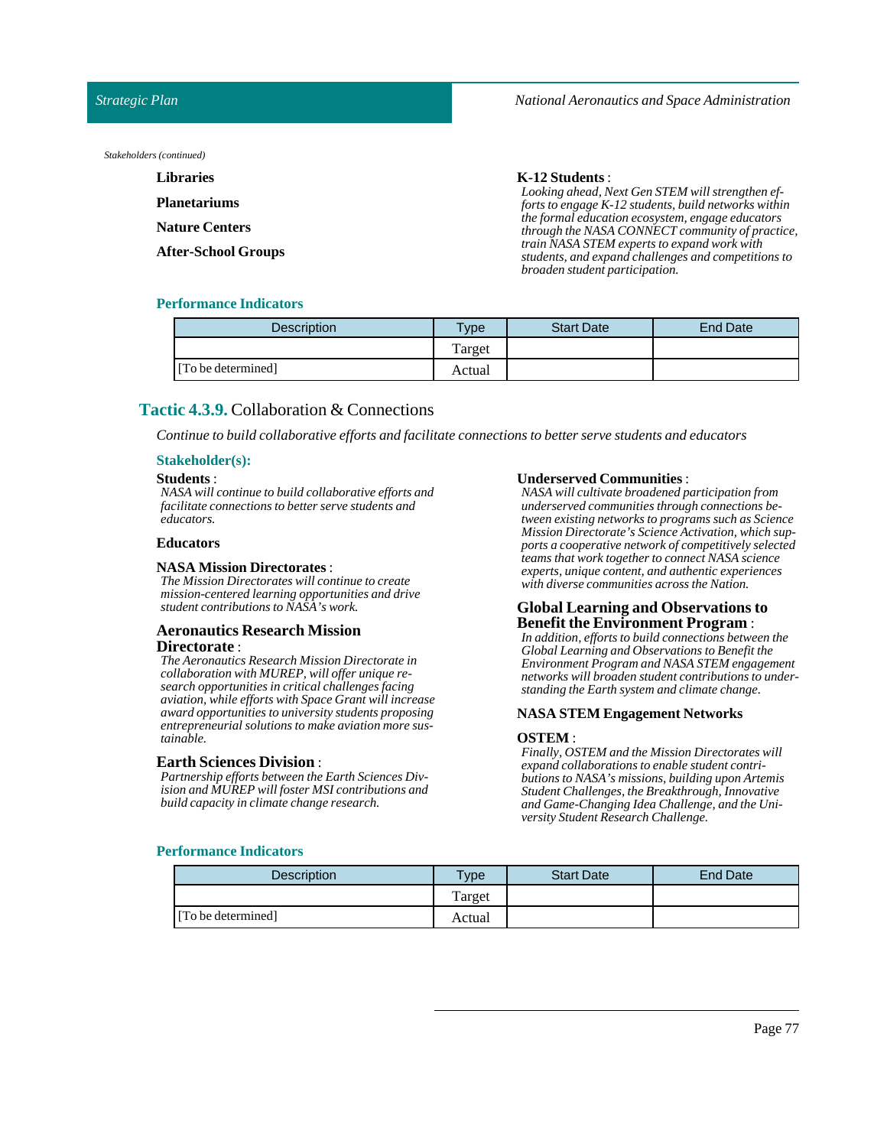*National Aeronautics and Space Administration*

*Strategic Plan*

*Stakeholders (continued)*

| <b>Libraries</b>      | $K-12$ Students :                                                                                                                    |
|-----------------------|--------------------------------------------------------------------------------------------------------------------------------------|
| Planetariums          | Looking ahead, Next Gen STEM will strengthen ef-<br>forts to engage K-12 students, build networks within                             |
| <b>Nature Centers</b> | the formal education ecosystem, engage educators<br>through the NASA CONNECT community of practice,                                  |
| After-School Groups   | train NASA STEM experts to expand work with<br>students, and expand challenges and competitions to<br>broaden student participation. |

### **Performance Indicators**

| <b>Description</b> | <b>Vpe</b> | <b>Start Date</b> | <b>End Date</b> |
|--------------------|------------|-------------------|-----------------|
|                    | Target     |                   |                 |
| [To be determined] | Actual     |                   |                 |

# **Tactic 4.3.9.** Collaboration & Connections

*Continue to build collaborative efforts and facilitate connections to better serve students and educators*

### **Stakeholder(s):**

#### **Students** :

*NASA will continue to build collaborative efforts and facilitate connections to better serve students and educators.*

#### **Educators**

#### **NASA Mission Directorates** :

*The Mission Directorates will continue to create mission-centered learning opportunities and drive student contributions to NASA's work.*

#### **Aeronautics Research Mission Directorate** :

*The Aeronautics Research Mission Directorate in collaboration with MUREP, will offer unique research opportunities in critical challenges facing aviation, while efforts with Space Grant will increase award opportunities to university students proposing entrepreneurial solutions to make aviation more sustainable.*

#### **Earth Sciences Division** :

*Partnership efforts between the Earth Sciences Division and MUREP will foster MSI contributions and build capacity in climate change research.*

#### **Underserved Communities** :

*NASA will cultivate broadened participation from underserved communities through connections between existing networks to programs such as Science Mission Directorate's Science Activation, which supports a cooperative network of competitively selected teams that work together to connect NASA science experts, unique content, and authentic experiences with diverse communities across the Nation.*

# **Global Learning and Observations to Benefit the Environment Program** :

*In addition, efforts to build connections between the Global Learning and Observations to Benefit the Environment Program and NASA STEM engagement networks will broaden student contributions to understanding the Earth system and climate change.*

#### **NASA STEM Engagement Networks**

#### **OSTEM** :

*Finally, OSTEM and the Mission Directorates will expand collaborations to enable student contributions to NASA's missions, building upon Artemis Student Challenges, the Breakthrough, Innovative and Game-Changing Idea Challenge, and the University Student Research Challenge.*

| <b>Description</b> | $T$ <sub>V</sub> pe | <b>Start Date</b> | End Date |
|--------------------|---------------------|-------------------|----------|
|                    | Target              |                   |          |
| [To be determined] | Actual              |                   |          |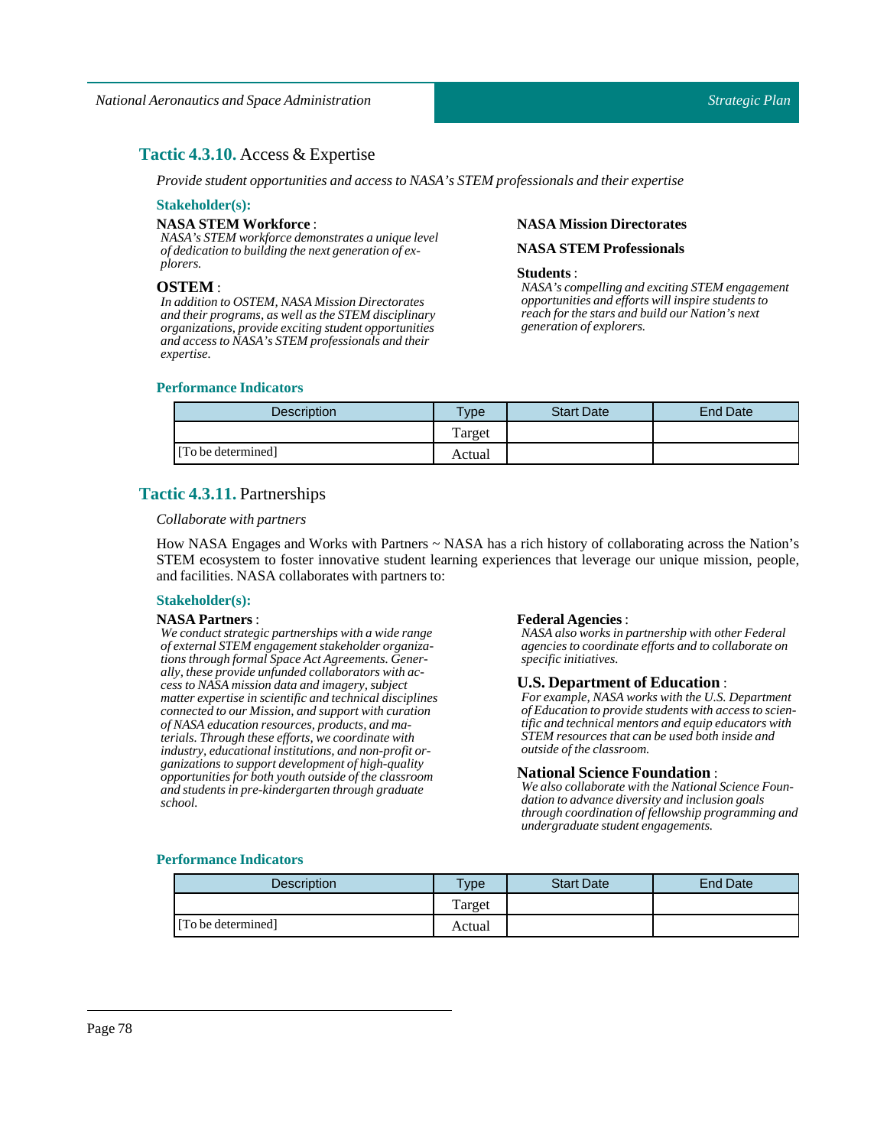# **Tactic 4.3.10.** Access & Expertise

*Provide student opportunities and access to NASA's STEM professionals and their expertise*

#### **Stakeholder(s):**

#### **NASA STEM Workforce** :

*NASA's STEM workforce demonstrates a unique level of dedication to building the next generation of explorers.*

#### **OSTEM** :

*In addition to OSTEM, NASA Mission Directorates and their programs, as well as the STEM disciplinary organizations, provide exciting student opportunities and access to NASA's STEM professionals and their expertise.*

### **Performance Indicators**

# Description **Type Start Date** Find Date Target [To be determined] Actual

# **Tactic 4.3.11.** Partnerships

#### *Collaborate with partners*

How NASA Engages and Works with Partners ~ NASA has a rich history of collaborating across the Nation's STEM ecosystem to foster innovative student learning experiences that leverage our unique mission, people, and facilities. NASA collaborates with partners to:

#### **Stakeholder(s):**

#### **NASA Partners** :

*We conduct strategic partnerships with a wide range of external STEM engagement stakeholder organizations through formal Space Act Agreements. Generally, these provide unfunded collaborators with access to NASA mission data and imagery, subject matter expertise in scientific and technical disciplines connected to our Mission, and support with curation of NASA education resources, products, and materials. Through these efforts, we coordinate with industry, educational institutions, and non-profit organizations to support development of high-quality opportunities for both youth outside of the classroom and students in pre-kindergarten through graduate school.*

#### **Federal Agencies** :

**NASA Mission Directorates NASA STEM Professionals**

*generation of explorers.*

*NASA's compelling and exciting STEM engagement opportunities and efforts will inspire students to reach for the stars and build our Nation's next*

**Students** :

*NASA also works in partnership with other Federal agencies to coordinate efforts and to collaborate on specific initiatives.*

#### **U.S. Department of Education** :

*For example, NASA works with the U.S. Department of Education to provide students with access to scientific and technical mentors and equip educators with STEM resources that can be used both inside and outside of the classroom.*

#### **National Science Foundation** :

*We also collaborate with the National Science Foundation to advance diversity and inclusion goals through coordination of fellowship programming and undergraduate student engagements.*

| <b>Description</b> | $TV$ pe | <b>Start Date</b> | <b>End Date</b> |
|--------------------|---------|-------------------|-----------------|
|                    | Target  |                   |                 |
| [To be determined] | Actual  |                   |                 |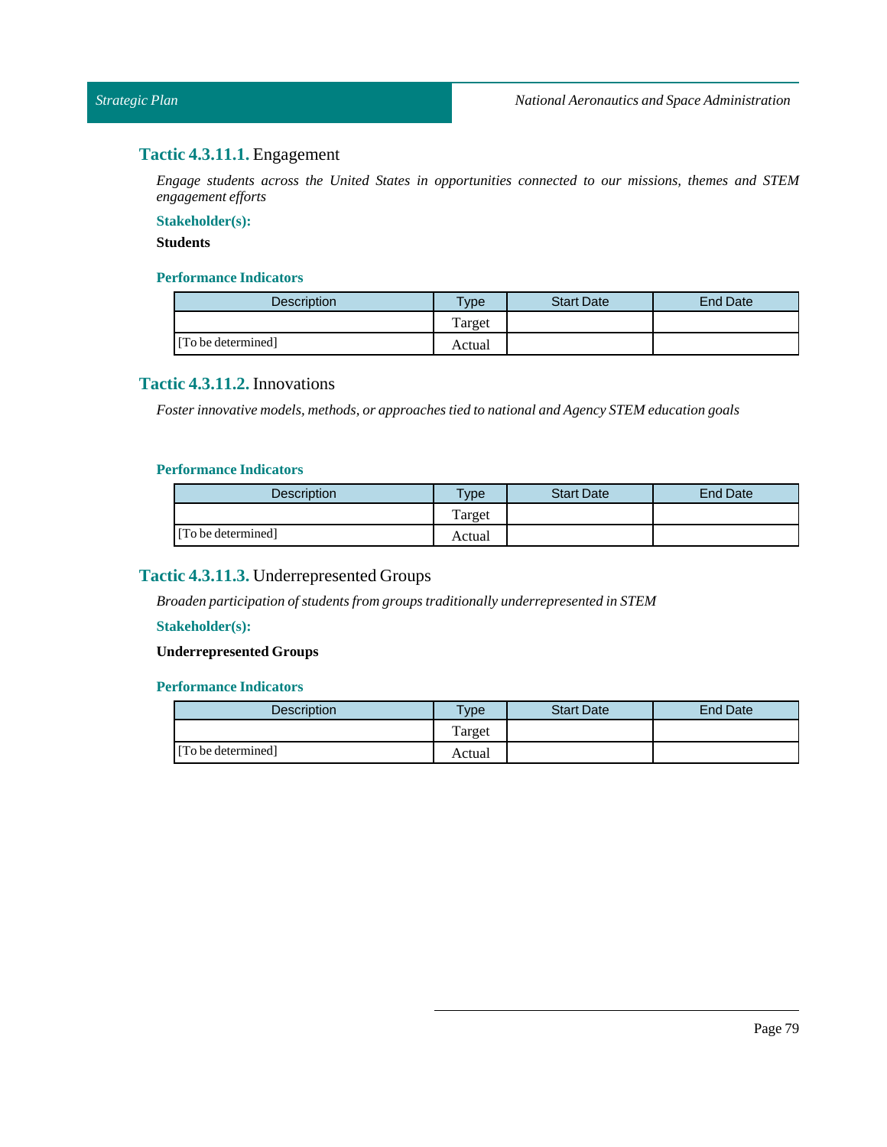# **Tactic 4.3.11.1.** Engagement

*Engage students across the United States in opportunities connected to our missions, themes and STEM engagement efforts*

### **Stakeholder(s):**

# **Students**

# **Performance Indicators**

| <b>Description</b> | vpe    | <b>Start Date</b> | <b>End Date</b> |
|--------------------|--------|-------------------|-----------------|
|                    | Target |                   |                 |
| [To be determined] | Actual |                   |                 |

# **Tactic 4.3.11.2.** Innovations

*Foster innovative models, methods, or approaches tied to national and Agency STEM education goals*

### **Performance Indicators**

| <b>Description</b> | <b>Type</b> | <b>Start Date</b> | End Date |
|--------------------|-------------|-------------------|----------|
|                    | Target      |                   |          |
| [To be determined] | Actual      |                   |          |

# **Tactic 4.3.11.3.** Underrepresented Groups

*Broaden participation of students from groups traditionally underrepresented in STEM*

### **Stakeholder(s):**

# **Underrepresented Groups**

| Description        | $T$ <sub>ype</sub> | <b>Start Date</b> | End Date |
|--------------------|--------------------|-------------------|----------|
|                    | Target             |                   |          |
| [To be determined] | Actual             |                   |          |